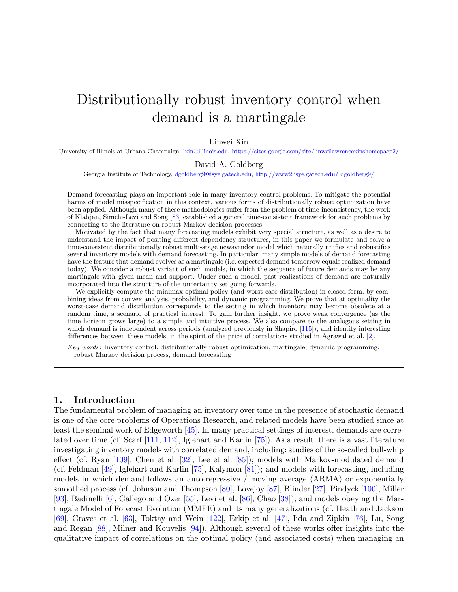# Distributionally robust inventory control when demand is a martingale

## Linwei Xin

University of Illinois at Urbana-Champaign, [lxin@illinois.edu,](mailto:lxin@illinois.edu) <https://sites.google.com/site/linweilawrencexinshomepage2/>

David A. Goldberg

Georgia Institute of Technology, [dgoldberg9@isye.gatech.edu,](mailto:dgoldberg9@isye.gatech.edu) [http://www2.isye.gatech.edu/ dgoldberg9/](http://www2.isye.gatech.edu/~dgoldberg9/)

Demand forecasting plays an important role in many inventory control problems. To mitigate the potential harms of model misspecification in this context, various forms of distributionally robust optimization have been applied. Although many of these methodologies suffer from the problem of time-inconsistency, the work of Klabjan, Simchi-Levi and Song [\[83\]](#page-30-0) established a general time-consistent framework for such problems by connecting to the literature on robust Markov decision processes.

Motivated by the fact that many forecasting models exhibit very special structure, as well as a desire to understand the impact of positing different dependency structures, in this paper we formulate and solve a time-consistent distributionally robust multi-stage newsvendor model which naturally unifies and robustifies several inventory models with demand forecasting. In particular, many simple models of demand forecasting have the feature that demand evolves as a martingale (i.e. expected demand tomorrow equals realized demand today). We consider a robust variant of such models, in which the sequence of future demands may be any martingale with given mean and support. Under such a model, past realizations of demand are naturally incorporated into the structure of the uncertainty set going forwards.

We explicitly compute the minimax optimal policy (and worst-case distribution) in closed form, by combining ideas from convex analysis, probability, and dynamic programming. We prove that at optimality the worst-case demand distribution corresponds to the setting in which inventory may become obsolete at a random time, a scenario of practical interest. To gain further insight, we prove weak convergence (as the time horizon grows large) to a simple and intuitive process. We also compare to the analogous setting in which demand is independent across periods (analyzed previously in Shapiro [\[115\]](#page-31-0)), and identify interesting differences between these models, in the spirit of the price of correlations studied in Agrawal et al. [\[2\]](#page-27-0).

Key words : inventory control, distributionally robust optimization, martingale, dynamic programming, robust Markov decision process, demand forecasting

# 1. Introduction

The fundamental problem of managing an inventory over time in the presence of stochastic demand is one of the core problems of Operations Research, and related models have been studied since at least the seminal work of Edgeworth [\[45\]](#page-28-0). In many practical settings of interest, demands are correlated over time (cf. Scarf [\[111,](#page-31-1) [112\]](#page-31-2), Iglehart and Karlin [\[75\]](#page-30-1)). As a result, there is a vast literature investigating inventory models with correlated demand, including: studies of the so-called bull-whip effect (cf. Ryan [\[109\]](#page-31-3), Chen et al. [\[32\]](#page-28-1), Lee et al. [\[85\]](#page-30-2)); models with Markov-modulated demand (cf. Feldman [\[49\]](#page-29-0), Iglehart and Karlin [\[75\]](#page-30-1), Kalymon [\[81\]](#page-30-3)); and models with forecasting, including models in which demand follows an auto-regressive / moving average (ARMA) or exponentially smoothed process (cf. Johnson and Thompson [\[80\]](#page-30-4), Lovejoy [\[87\]](#page-30-5), Blinder [\[27\]](#page-28-2), Pindyck [\[100\]](#page-31-4), Miller [\[93\]](#page-30-6), Badinelli [\[6\]](#page-27-1), Gallego and Ozer [\[55\]](#page-29-1), Levi et al. [\[86\]](#page-30-7), Chao [\[38\]](#page-28-3)); and models obeying the Martingale Model of Forecast Evolution (MMFE) and its many generalizations (cf. Heath and Jackson [\[69\]](#page-29-2), Graves et al. [\[63\]](#page-29-3), Toktay and Wein [\[122\]](#page-31-5), Erkip et al. [\[47\]](#page-28-4), Iida and Zipkin [\[76\]](#page-30-8), Lu, Song and Regan [\[88\]](#page-30-9), Milner and Kouvelis [\[94\]](#page-30-10)). Although several of these works offer insights into the qualitative impact of correlations on the optimal policy (and associated costs) when managing an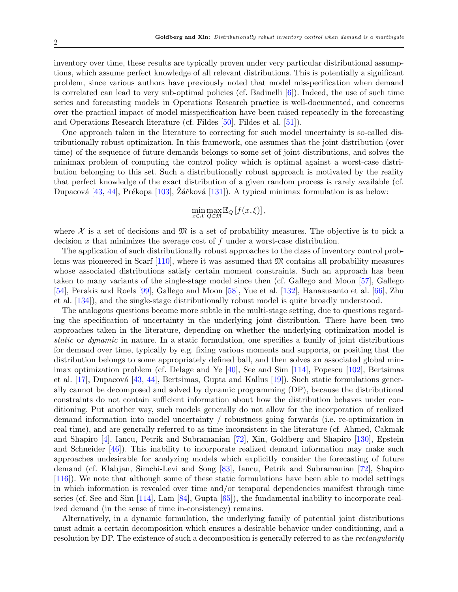inventory over time, these results are typically proven under very particular distributional assumptions, which assume perfect knowledge of all relevant distributions. This is potentially a significant problem, since various authors have previously noted that model misspecification when demand is correlated can lead to very sub-optimal policies (cf. Badinelli  $[6]$ ). Indeed, the use of such time series and forecasting models in Operations Research practice is well-documented, and concerns over the practical impact of model misspecification have been raised repeatedly in the forecasting and Operations Research literature (cf. Fildes [\[50\]](#page-29-4), Fildes et al. [\[51\]](#page-29-5)).

One approach taken in the literature to correcting for such model uncertainty is so-called distributionally robust optimization. In this framework, one assumes that the joint distribution (over time) of the sequence of future demands belongs to some set of joint distributions, and solves the minimax problem of computing the control policy which is optimal against a worst-case distribution belonging to this set. Such a distributionally robust approach is motivated by the reality that perfect knowledge of the exact distribution of a given random process is rarely available (cf. Dupacová  $[43, 44]$  $[43, 44]$ , Prékopa  $[103]$ , Záčková  $[131]$  $[131]$ ). A typical minimax formulation is as below:

$$
\min_{x \in \mathcal{X}} \max_{Q \in \mathfrak{M}} \mathbb{E}_Q[f(x,\xi)],
$$

where  $X$  is a set of decisions and  $\mathfrak{M}$  is a set of probability measures. The objective is to pick a decision  $x$  that minimizes the average cost of  $f$  under a worst-case distribution.

The application of such distributionally robust approaches to the class of inventory control problems was pioneered in Scarf  $[110]$ , where it was assumed that  $\mathfrak{M}$  contains all probability measures whose associated distributions satisfy certain moment constraints. Such an approach has been taken to many variants of the single-stage model since then (cf. Gallego and Moon [\[57\]](#page-29-6), Gallego [\[54\]](#page-29-7), Perakis and Roels [\[99\]](#page-31-8), Gallego and Moon [\[58\]](#page-29-8), Yue et al. [\[132\]](#page-32-1), Hanasusanto et al. [\[66\]](#page-29-9), Zhu et al. [\[134\]](#page-32-2)), and the single-stage distributionally robust model is quite broadly understood.

The analogous questions become more subtle in the multi-stage setting, due to questions regarding the specification of uncertainty in the underlying joint distribution. There have been two approaches taken in the literature, depending on whether the underlying optimization model is static or dynamic in nature. In a static formulation, one specifies a family of joint distributions for demand over time, typically by e.g. fixing various moments and supports, or positing that the distribution belongs to some appropriately defined ball, and then solves an associated global minimax optimization problem (cf. Delage and Ye [\[40\]](#page-28-7), See and Sim [\[114\]](#page-31-9), Popescu [\[102\]](#page-31-10), Bertsimas et al.  $[17]$ , Dupacová  $[43, 44]$  $[43, 44]$ , Bertsimas, Gupta and Kallus  $[19]$ ). Such static formulations generally cannot be decomposed and solved by dynamic programming (DP), because the distributional constraints do not contain sufficient information about how the distribution behaves under conditioning. Put another way, such models generally do not allow for the incorporation of realized demand information into model uncertainty / robustness going forwards (i.e. re-optimization in real time), and are generally referred to as time-inconsistent in the literature (cf. Ahmed, Cakmak and Shapiro [\[4\]](#page-27-4), Iancu, Petrik and Subramanian [\[72\]](#page-29-10), Xin, Goldberg and Shapiro [\[130\]](#page-32-3), Epstein and Schneider  $[46]$ ). This inability to incorporate realized demand information may make such approaches undesirable for analyzing models which explicitly consider the forecasting of future demand (cf. Klabjan, Simchi-Levi and Song [\[83\]](#page-30-0), Iancu, Petrik and Subramanian [\[72\]](#page-29-10), Shapiro [\[116\]](#page-31-11)). We note that although some of these static formulations have been able to model settings in which information is revealed over time and/or temporal dependencies manifest through time series (cf. See and Sim  $[114]$ , Lam  $[84]$ , Gupta  $[65]$ ), the fundamental inability to incorporate realized demand (in the sense of time in-consistency) remains.

Alternatively, in a dynamic formulation, the underlying family of potential joint distributions must admit a certain decomposition which ensures a desirable behavior under conditioning, and a resolution by DP. The existence of such a decomposition is generally referred to as the *rectangularity*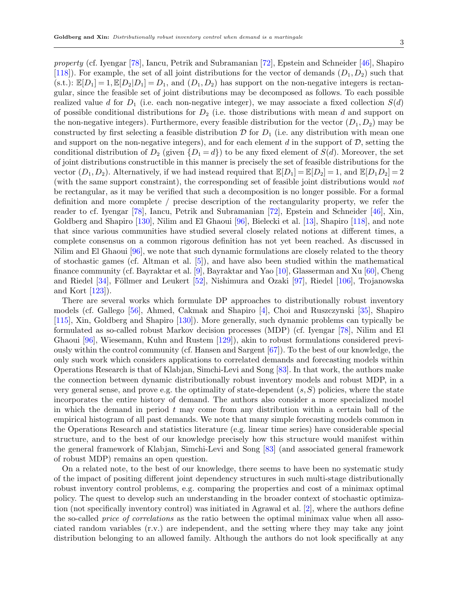property (cf. Iyengar [\[78\]](#page-30-12), Iancu, Petrik and Subramanian [\[72\]](#page-29-10), Epstein and Schneider [\[46\]](#page-28-8), Shapiro [\[118\]](#page-31-12)). For example, the set of all joint distributions for the vector of demands  $(D_1, D_2)$  such that  $(s.t.): \mathbb{E}[D_1] = 1, \mathbb{E}[D_2|D_1] = D_1$ , and  $(D_1, D_2)$  has support on the non-negative integers is rectangular, since the feasible set of joint distributions may be decomposed as follows. To each possible realized value d for  $D_1$  (i.e. each non-negative integer), we may associate a fixed collection  $S(d)$ of possible conditional distributions for  $D_2$  (i.e. those distributions with mean d and support on the non-negative integers). Furthermore, every feasible distribution for the vector  $(D_1, D_2)$  may be constructed by first selecting a feasible distribution  $\mathcal D$  for  $D_1$  (i.e. any distribution with mean one and support on the non-negative integers), and for each element d in the support of  $D$ , setting the conditional distribution of  $D_2$  (given  $\{D_1 = d\}$ ) to be any fixed element of  $S(d)$ . Moreover, the set of joint distributions constructible in this manner is precisely the set of feasible distributions for the vector  $(D_1, D_2)$ . Alternatively, if we had instead required that  $\mathbb{E}[D_1] = \mathbb{E}[D_2] = 1$ , and  $\mathbb{E}[D_1D_2] = 2$ (with the same support constraint), the corresponding set of feasible joint distributions would not be rectangular, as it may be verified that such a decomposition is no longer possible. For a formal definition and more complete / precise description of the rectangularity property, we refer the reader to cf. Iyengar [\[78\]](#page-30-12), Iancu, Petrik and Subramanian [\[72\]](#page-29-10), Epstein and Schneider [\[46\]](#page-28-8), Xin, Goldberg and Shapiro [\[130\]](#page-32-3), Nilim and El Ghaoui [\[96\]](#page-30-13), Bielecki et al. [\[13\]](#page-27-5), Shapiro [\[118\]](#page-31-12), and note that since various communities have studied several closely related notions at different times, a complete consensus on a common rigorous definition has not yet been reached. As discussed in Nilim and El Ghaoui  $[96]$ , we note that such dynamic formulations are closely related to the theory of stochastic games (cf. Altman et al. [\[5\]](#page-27-6)), and have also been studied within the mathematical finance community (cf. Bayraktar et al. [\[9\]](#page-27-7), Bayraktar and Yao [\[10\]](#page-27-8), Glasserman and Xu [\[60\]](#page-29-12), Cheng and Riedel [\[34\]](#page-28-9), Föllmer and Leukert [\[52\]](#page-29-13), Nishimura and Ozaki [\[97\]](#page-30-14), Riedel [\[106\]](#page-31-13), Trojanowska and Kort [\[123\]](#page-31-14)).

There are several works which formulate DP approaches to distributionally robust inventory models (cf. Gallego [\[56\]](#page-29-14), Ahmed, Cakmak and Shapiro [\[4\]](#page-27-4), Choi and Ruszczynski [\[35\]](#page-28-10), Shapiro [\[115\]](#page-31-0), Xin, Goldberg and Shapiro [\[130\]](#page-32-3)). More generally, such dynamic problems can typically be formulated as so-called robust Markov decision processes (MDP) (cf. Iyengar [\[78\]](#page-30-12), Nilim and El Ghaoui [\[96\]](#page-30-13), Wiesemann, Kuhn and Rustem [\[129\]](#page-32-4)), akin to robust formulations considered previously within the control community (cf. Hansen and Sargent [\[67\]](#page-29-15)). To the best of our knowledge, the only such work which considers applications to correlated demands and forecasting models within Operations Research is that of Klabjan, Simchi-Levi and Song [\[83\]](#page-30-0). In that work, the authors make the connection between dynamic distributionally robust inventory models and robust MDP, in a very general sense, and prove e.g. the optimality of state-dependent  $(s, S)$  policies, where the state incorporates the entire history of demand. The authors also consider a more specialized model in which the demand in period  $t$  may come from any distribution within a certain ball of the empirical histogram of all past demands. We note that many simple forecasting models common in the Operations Research and statistics literature (e.g. linear time series) have considerable special structure, and to the best of our knowledge precisely how this structure would manifest within the general framework of Klabjan, Simchi-Levi and Song [\[83\]](#page-30-0) (and associated general framework of robust MDP) remains an open question.

On a related note, to the best of our knowledge, there seems to have been no systematic study of the impact of positing different joint dependency structures in such multi-stage distributionally robust inventory control problems, e.g. comparing the properties and cost of a minimax optimal policy. The quest to develop such an understanding in the broader context of stochastic optimization (not specifically inventory control) was initiated in Agrawal et al. [\[2\]](#page-27-0), where the authors define the so-called price of correlations as the ratio between the optimal minimax value when all associated random variables (r.v.) are independent, and the setting where they may take any joint distribution belonging to an allowed family. Although the authors do not look specifically at any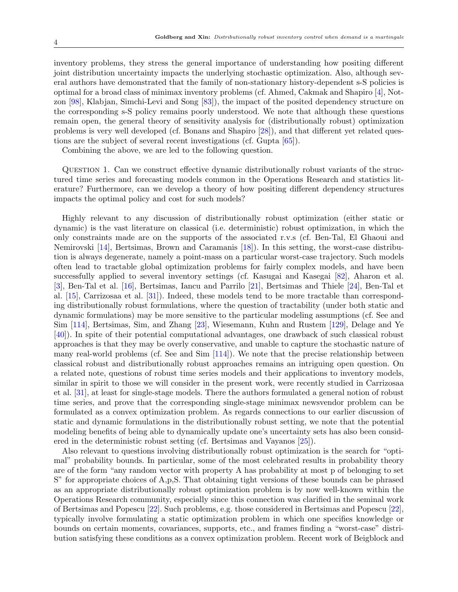inventory problems, they stress the general importance of understanding how positing different joint distribution uncertainty impacts the underlying stochastic optimization. Also, although several authors have demonstrated that the family of non-stationary history-dependent s-S policies is optimal for a broad class of minimax inventory problems (cf. Ahmed, Cakmak and Shapiro [\[4\]](#page-27-4), Notzon [\[98\]](#page-30-15), Klabjan, Simchi-Levi and Song [\[83\]](#page-30-0)), the impact of the posited dependency structure on the corresponding s-S policy remains poorly understood. We note that although these questions remain open, the general theory of sensitivity analysis for (distributionally robust) optimization problems is very well developed (cf. Bonans and Shapiro [\[28\]](#page-28-11)), and that different yet related questions are the subject of several recent investigations (cf. Gupta [\[65\]](#page-29-11)).

<span id="page-3-0"></span>Combining the above, we are led to the following question.

Question 1. Can we construct effective dynamic distributionally robust variants of the structured time series and forecasting models common in the Operations Research and statistics literature? Furthermore, can we develop a theory of how positing different dependency structures impacts the optimal policy and cost for such models?

Highly relevant to any discussion of distributionally robust optimization (either static or dynamic) is the vast literature on classical (i.e. deterministic) robust optimization, in which the only constraints made are on the supports of the associated r.v.s (cf. Ben-Tal, El Ghaoui and Nemirovski [\[14\]](#page-27-9), Bertsimas, Brown and Caramanis [\[18\]](#page-27-10)). In this setting, the worst-case distribution is always degenerate, namely a point-mass on a particular worst-case trajectory. Such models often lead to tractable global optimization problems for fairly complex models, and have been successfully applied to several inventory settings (cf. Kasugai and Kasegai [\[82\]](#page-30-16), Aharon et al. [\[3\]](#page-27-11), Ben-Tal et al. [\[16\]](#page-27-12), Bertsimas, Iancu and Parrilo [\[21\]](#page-27-13), Bertsimas and Thiele [\[24\]](#page-28-12), Ben-Tal et al. [\[15\]](#page-27-14), Carrizosaa et al. [\[31\]](#page-28-13)). Indeed, these models tend to be more tractable than corresponding distributionally robust formulations, where the question of tractability (under both static and dynamic formulations) may be more sensitive to the particular modeling assumptions (cf. See and Sim [\[114\]](#page-31-9), Bertsimas, Sim, and Zhang [\[23\]](#page-28-14), Wiesemann, Kuhn and Rustem [\[129\]](#page-32-4), Delage and Ye [\[40\]](#page-28-7)). In spite of their potential computational advantages, one drawback of such classical robust approaches is that they may be overly conservative, and unable to capture the stochastic nature of many real-world problems (cf. See and Sim [\[114\]](#page-31-9)). We note that the precise relationship between classical robust and distributionally robust approaches remains an intriguing open question. On a related note, questions of robust time series models and their applications to inventory models, similar in spirit to those we will consider in the present work, were recently studied in Carrizosaa et al. [\[31\]](#page-28-13), at least for single-stage models. There the authors formulated a general notion of robust time series, and prove that the corresponding single-stage minimax newsvendor problem can be formulated as a convex optimization problem. As regards connections to our earlier discussion of static and dynamic formulations in the distributionally robust setting, we note that the potential modeling benefits of being able to dynamically update one's uncertainty sets has also been considered in the deterministic robust setting (cf. Bertsimas and Vayanos [\[25\]](#page-28-15)).

Also relevant to questions involving distributionally robust optimization is the search for "optimal" probability bounds. In particular, some of the most celebrated results in probability theory are of the form "any random vector with property A has probability at most p of belonging to set S" for appropriate choices of A,p,S. That obtaining tight versions of these bounds can be phrased as an appropriate distributionally robust optimization problem is by now well-known within the Operations Research community, especially since this connection was clarified in the seminal work of Bertsimas and Popescu [\[22\]](#page-27-15). Such problems, e.g. those considered in Bertsimas and Popescu [\[22\]](#page-27-15), typically involve formulating a static optimization problem in which one specifies knowledge or bounds on certain moments, covariances, supports, etc., and frames finding a "worst-case" distribution satisfying these conditions as a convex optimization problem. Recent work of Beigblock and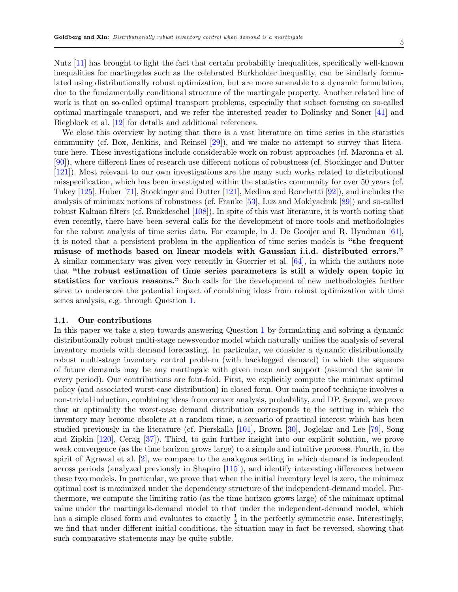Nutz [\[11\]](#page-27-16) has brought to light the fact that certain probability inequalities, specifically well-known inequalities for martingales such as the celebrated Burkholder inequality, can be similarly formulated using distributionally robust optimization, but are more amenable to a dynamic formulation, due to the fundamentally conditional structure of the martingale property. Another related line of work is that on so-called optimal transport problems, especially that subset focusing on so-called optimal martingale transport, and we refer the interested reader to Dolinsky and Soner [\[41\]](#page-28-16) and Biegblock et al. [\[12\]](#page-27-17) for details and additional references.

We close this overview by noting that there is a vast literature on time series in the statistics community (cf. Box, Jenkins, and Reinsel [\[29\]](#page-28-17)), and we make no attempt to survey that literature here. These investigations include considerable work on robust approaches (cf. Maronna et al. [\[90\]](#page-30-17)), where different lines of research use different notions of robustness (cf. Stockinger and Dutter [\[121\]](#page-31-15)). Most relevant to our own investigations are the many such works related to distributional misspecification, which has been investigated within the statistics community for over 50 years (cf. Tukey [\[125\]](#page-32-5), Huber [\[71\]](#page-29-16), Stockinger and Dutter [\[121\]](#page-31-15), Medina and Ronchetti [\[92\]](#page-30-18)), and includes the analysis of minimax notions of robustness (cf. Franke [\[53\]](#page-29-17), Luz and Moklyachuk [\[89\]](#page-30-19)) and so-called robust Kalman filters (cf. Ruckdeschel [\[108\]](#page-31-16)). In spite of this vast literature, it is worth noting that even recently, there have been several calls for the development of more tools and methodologies for the robust analysis of time series data. For example, in J. De Gooijer and R. Hyndman [\[61\]](#page-29-18), it is noted that a persistent problem in the application of time series models is "the frequent misuse of methods based on linear models with Gaussian i.i.d. distributed errors." A similar commentary was given very recently in Guerrier et al. [\[64\]](#page-29-19), in which the authors note that "the robust estimation of time series parameters is still a widely open topic in statistics for various reasons." Such calls for the development of new methodologies further serve to underscore the potential impact of combining ideas from robust optimization with time series analysis, e.g. through Question [1.](#page-3-0)

# 1.1. Our contributions

In this paper we take a step towards answering Question [1](#page-3-0) by formulating and solving a dynamic distributionally robust multi-stage newsvendor model which naturally unifies the analysis of several inventory models with demand forecasting. In particular, we consider a dynamic distributionally robust multi-stage inventory control problem (with backlogged demand) in which the sequence of future demands may be any martingale with given mean and support (assumed the same in every period). Our contributions are four-fold. First, we explicitly compute the minimax optimal policy (and associated worst-case distribution) in closed form. Our main proof technique involves a non-trivial induction, combining ideas from convex analysis, probability, and DP. Second, we prove that at optimality the worst-case demand distribution corresponds to the setting in which the inventory may become obsolete at a random time, a scenario of practical interest which has been studied previously in the literature (cf. Pierskalla [\[101\]](#page-31-17), Brown [\[30\]](#page-28-18), Joglekar and Lee [\[79\]](#page-30-20), Song and Zipkin [\[120\]](#page-31-18), Cerag [\[37\]](#page-28-19)). Third, to gain further insight into our explicit solution, we prove weak convergence (as the time horizon grows large) to a simple and intuitive process. Fourth, in the spirit of Agrawal et al. [\[2\]](#page-27-0), we compare to the analogous setting in which demand is independent across periods (analyzed previously in Shapiro [\[115\]](#page-31-0)), and identify interesting differences between these two models. In particular, we prove that when the initial inventory level is zero, the minimax optimal cost is maximized under the dependency structure of the independent-demand model. Furthermore, we compute the limiting ratio (as the time horizon grows large) of the minimax optimal value under the martingale-demand model to that under the independent-demand model, which has a simple closed form and evaluates to exactly  $\frac{1}{2}$  in the perfectly symmetric case. Interestingly, we find that under different initial conditions, the situation may in fact be reversed, showing that such comparative statements may be quite subtle.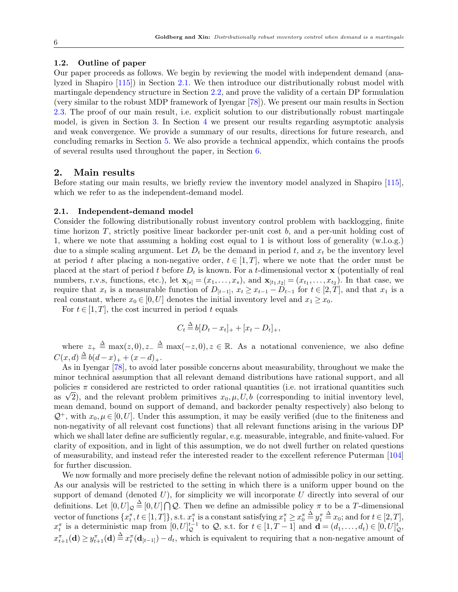## 1.2. Outline of paper

Our paper proceeds as follows. We begin by reviewing the model with independent demand (analyzed in Shapiro [\[115\]](#page-31-0)) in Section [2.1.](#page-5-0) We then introduce our distributionally robust model with martingale dependency structure in Section [2.2,](#page-8-0) and prove the validity of a certain DP formulation (very similar to the robust MDP framework of Iyengar [\[78\]](#page-30-12)). We present our main results in Section [2.3.](#page-10-0) The proof of our main result, i.e. explicit solution to our distributionally robust martingale model, is given in Section [3.](#page-11-0) In Section [4](#page-22-0) we present our results regarding asymptotic analysis and weak convergence. We provide a summary of our results, directions for future research, and concluding remarks in Section [5.](#page-26-0) We also provide a technical appendix, which contains the proofs of several results used throughout the paper, in Section [6.](#page-32-6)

## 2. Main results

Before stating our main results, we briefly review the inventory model analyzed in Shapiro [\[115\]](#page-31-0), which we refer to as the independent-demand model.

#### <span id="page-5-0"></span>2.1. Independent-demand model

Consider the following distributionally robust inventory control problem with backlogging, finite time horizon T, strictly positive linear backorder per-unit cost b, and a per-unit holding cost of 1, where we note that assuming a holding cost equal to 1 is without loss of generality (w.l.o.g.) due to a simple scaling argument. Let  $D_t$  be the demand in period t, and  $x_t$  be the inventory level at period t after placing a non-negative order,  $t \in [1, T]$ , where we note that the order must be placed at the start of period t before  $D_t$  is known. For a t-dimensional vector **x** (potentially of real numbers, r.v.s, functions, etc.), let  $\mathbf{x}_{[s]} = (x_1, \ldots, x_s)$ , and  $\mathbf{x}_{[t_1,t_2]} = (x_{t_1}, \ldots, x_{t_2})$ . In that case, we require that  $x_t$  is a measurable function of  $D_{[t-1]}$ ,  $x_t \ge x_{t-1} - D_{t-1}$  for  $t \in [2, T]$ , and that  $x_1$  is a real constant, where  $x_0 \in [0, U]$  denotes the initial inventory level and  $x_1 \geq x_0$ .

For  $t \in [1, T]$ , the cost incurred in period t equals

$$
C_t \stackrel{\Delta}{=} b[D_t - x_t]_+ + [x_t - D_t]_+,
$$

where  $z_+ \stackrel{\Delta}{=} \max(z,0), z_- \stackrel{\Delta}{=} \max(-z,0), z \in \mathbb{R}$ . As a notational convenience, we also define  $C(x,d) \stackrel{\Delta}{=} b(d-x)_+ + (x-d)_+.$ 

As in Iyengar [\[78\]](#page-30-12), to avoid later possible concerns about measurability, throughout we make the minor technical assumption that all relevant demand distributions have rational support, and all policies  $\pi$  considered are restricted to order rational quantities (i.e. not irrational quantities such policies  $\pi$  considered are restricted to order rational quantities (i.e. not irrational quantities such as  $\sqrt{2}$ ), and the relevant problem primitives  $x_0, \mu, U, b$  (corresponding to initial inventory level, mean demand, bound on support of demand, and backorder penalty respectively) also belong to  $\mathcal{Q}^+$ , with  $x_0, \mu \in [0, U]$ . Under this assumption, it may be easily verified (due to the finiteness and non-negativity of all relevant cost functions) that all relevant functions arising in the various DP which we shall later define are sufficiently regular, e.g. measurable, integrable, and finite-valued. For clarity of exposition, and in light of this assumption, we do not dwell further on related questions of measurability, and instead refer the interested reader to the excellent reference Puterman [\[104\]](#page-31-19) for further discussion.

We now formally and more precisely define the relevant notion of admissible policy in our setting. As our analysis will be restricted to the setting in which there is a uniform upper bound on the support of demand (denoted  $U$ ), for simplicity we will incorporate  $U$  directly into several of our definitions. Let  $[0, U]_{\mathcal{Q}} \triangleq [0, U] \cap \mathcal{Q}$ . Then we define an admissible policy  $\pi$  to be a T-dimensional vector of functions  $\{x_t^{\pi}, t \in [1, T]\}$ , s.t.  $x_1^{\pi}$  is a constant satisfying  $x_1^{\pi} \ge x_0^{\pi} \stackrel{\Delta}{=} y_1^{\pi} \stackrel{\Delta}{=} x_0$ ; and for  $t \in [2, T]$ ,  $x_t^{\pi}$  is a deterministic map from  $[0, U]_{\mathcal{Q}}^{t-1}$  to  $\mathcal{Q}$ , s.t. for  $t \in [1, T-1]$  and  $\mathbf{d} = (d_1, \ldots, d_t) \in [0, U]_{\mathcal{Q}}^t$ ,  $x_{t+1}^{\pi}(\mathbf{d}) \geq y_{t+1}^{\pi}(\mathbf{d}) \stackrel{\Delta}{=} x_t^{\pi}(\mathbf{d}_{[t-1]}) - d_t$ , which is equivalent to requiring that a non-negative amount of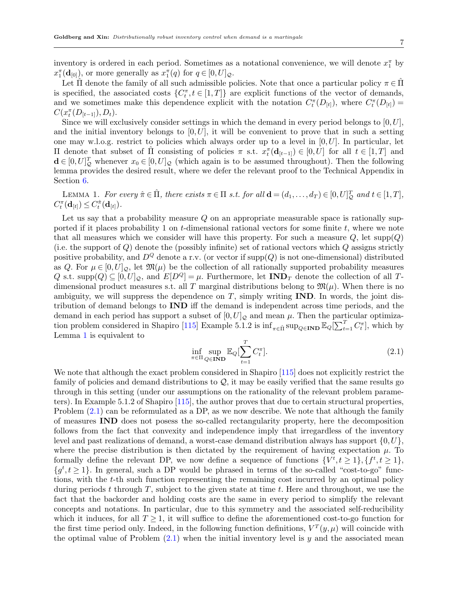inventory is ordered in each period. Sometimes as a notational convenience, we will denote  $x_1^{\pi}$  by  $x_1^{\pi}(\mathbf{d}_{[0]}),$  or more generally as  $x_1^{\pi}(q)$  for  $q \in [0, U]_{\mathcal{Q}}$ .

Let  $\Pi$  denote the family of all such admissible policies. Note that once a particular policy  $\pi \in \Pi$ is specified, the associated costs  $\{C_t^{\pi}, t \in [1,T]\}$  are explicit functions of the vector of demands, and we sometimes make this dependence explicit with the notation  $C_t^{\pi}(D_{[t]})$ , where  $C_t^{\pi}(D_{[t]})$  =  $C(x_t^{\pi}(D_{[t-1]}), D_t).$ 

Since we will exclusively consider settings in which the demand in every period belongs to  $[0, U]$ , and the initial inventory belongs to  $[0, U]$ , it will be convenient to prove that in such a setting one may w.l.o.g. restrict to policies which always order up to a level in  $[0, U]$ . In particular, let II denote that subset of  $\hat{\Pi}$  consisting of policies π s.t.  $x_t^{\pi}(\mathbf{d}_{[t-1]}) \in [0, U]$  for all  $t \in [1, T]$  and  $\mathbf{d} \in [0, U]_{\mathcal{Q}}^{T}$  whenever  $x_0 \in [0, U]_{\mathcal{Q}}$  (which again is to be assumed throughout). Then the following lemma provides the desired result, where we defer the relevant proof to the Technical Appendix in Section [6.](#page-32-6)

<span id="page-6-0"></span>LEMMA 1. For every  $\hat{\pi} \in \hat{\Pi}$ , there exists  $\pi \in \Pi$  s.t. for all  $\mathbf{d} = (d_1, \dots, d_T) \in [0, U]_{\mathcal{Q}}^T$  and  $t \in [1, T]$ ,  $C^{\pi}_t(\mathbf{d}_{[t]}) \leq C^{\hat{\pi}}_t(\mathbf{d}_{[t]})$ .

Let us say that a probability measure  $Q$  on an appropriate measurable space is rationally supported if it places probability 1 on  $t$ -dimensional rational vectors for some finite  $t$ , where we note that all measures which we consider will have this property. For such a measure  $Q$ , let supp $(Q)$ (i.e. the support of  $Q$ ) denote the (possibly infinite) set of rational vectors which  $Q$  assigns strictly positive probability, and  $D^Q$  denote a r.v. (or vector if  $\text{supp}(Q)$  is not one-dimensional) distributed as Q. For  $\mu \in [0, U]_{\mathcal{Q}}$ , let  $\mathfrak{M}(\mu)$  be the collection of all rationally supported probability measures Q s.t. supp $(Q) \subseteq [0, U]_{Q}$ , and  $E[D^{Q}] = \mu$ . Furthermore, let  $\text{IND}_T$  denote the collection of all Tdimensional product measures s.t. all T marginal distributions belong to  $\mathfrak{M}(\mu)$ . When there is no ambiguity, we will suppress the dependence on  $T$ , simply writing  $\bf{IND}$ . In words, the joint distribution of demand belongs to IND iff the demand is independent across time periods, and the demand in each period has support a subset of  $[0, U]_{\mathcal{Q}}$  and mean  $\mu$ . Then the particular optimiza-tion problem considered in Shapiro [\[115\]](#page-31-0) Example 5.1.2 is  $\inf_{\pi \in \hat{\Pi}} \sup_{Q \in \mathbf{IND}} \mathbb{E}_Q[\sum_{t=1}^T C_t^{\pi}],$  which by Lemma [1](#page-6-0) is equivalent to

<span id="page-6-1"></span>
$$
\inf_{\pi \in \Pi} \sup_{Q \in \mathbf{IND}} \mathbb{E}_Q[\sum_{t=1}^T C_t^{\pi}]. \tag{2.1}
$$

We note that although the exact problem considered in Shapiro [\[115\]](#page-31-0) does not explicitly restrict the family of policies and demand distributions to  $\mathcal{Q}$ , it may be easily verified that the same results go through in this setting (under our assumptions on the rationality of the relevant problem parameters). In Example 5.1.2 of Shapiro [\[115\]](#page-31-0), the author proves that due to certain structural properties, Problem [\(2.1\)](#page-6-1) can be reformulated as a DP, as we now describe. We note that although the family of measures IND does not posess the so-called rectangularity property, here the decomposition follows from the fact that convexity and independence imply that irregardless of the inventory level and past realizations of demand, a worst-case demand distribution always has support  $\{0, U\}$ , where the precise distribution is then dictated by the requirement of having expectation  $\mu$ . To formally define the relevant DP, we now define a sequence of functions  $\{V^t, t \geq 1\}, \{f^t, t \geq 1\}$ ,  ${g^t, t \geq 1}$ . In general, such a DP would be phrased in terms of the so-called "cost-to-go" functions, with the t-th such function representing the remaining cost incurred by an optimal policy during periods t through  $T$ , subject to the given state at time t. Here and throughout, we use the fact that the backorder and holding costs are the same in every period to simplify the relevant concepts and notations. In particular, due to this symmetry and the associated self-reducibility which it induces, for all  $T > 1$ , it will suffice to define the aforementioned cost-to-go function for the first time period only. Indeed, in the following function definitions,  $V^T(y,\mu)$  will coincide with the optimal value of Problem  $(2.1)$  when the initial inventory level is y and the associated mean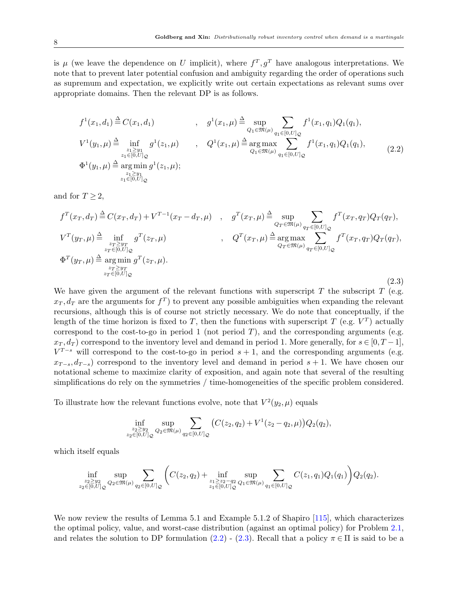is  $\mu$  (we leave the dependence on U implicit), where  $f^T, g^T$  have analogous interpretations. We note that to prevent later potential confusion and ambiguity regarding the order of operations such as supremum and expectation, we explicitly write out certain expectations as relevant sums over appropriate domains. Then the relevant DP is as follows.

<span id="page-7-0"></span>
$$
f^{1}(x_{1}, d_{1}) \triangleq C(x_{1}, d_{1}) \qquad , \quad g^{1}(x_{1}, \mu) \triangleq \sup_{Q_{1} \in \mathfrak{M}(\mu)} \sum_{q_{1} \in [0, U]_{Q}} f^{1}(x_{1}, q_{1}) Q_{1}(q_{1}),
$$
  
\n
$$
V^{1}(y_{1}, \mu) \triangleq \inf_{\substack{z_{1} \geq y_{1} \\ z_{1} \in [0, U]_{Q} \\ z_{1} \in [0, U]_{Q}}} g^{1}(z_{1}, \mu) \qquad , \quad Q^{1}(x_{1}, \mu) \triangleq \arg \max_{Q_{1} \in \mathfrak{M}(\mu)} \sum_{q_{1} \in [0, U]_{Q}} f^{1}(x_{1}, q_{1}) Q_{1}(q_{1}),
$$
  
\n
$$
\Phi^{1}(y_{1}, \mu) \triangleq \arg \min_{z_{1} \in [0, U]_{Q}} g^{1}(z_{1}, \mu);
$$
\n
$$
z_{1} \in [0, U]_{Q}
$$
\n
$$
(2.2)
$$

and for  $T \geq 2$ ,

<span id="page-7-1"></span>
$$
f^{T}(x_{T},d_{T}) \triangleq C(x_{T},d_{T}) + V^{T-1}(x_{T}-d_{T},\mu) , \quad g^{T}(x_{T},\mu) \triangleq \sup_{Q_{T} \in \mathfrak{M}(\mu)} \sum_{q_{T} \in [0,U]_{Q}} f^{T}(x_{T},q_{T})Q_{T}(q_{T}),
$$
  
\n
$$
V^{T}(y_{T},\mu) \triangleq \inf_{\substack{z_{T} \geq y_{T} \\ z_{T} \in [0,U]_{Q} \\ z_{T} \in [0,U]_{Q}}} g^{T}(z_{T},\mu) , \quad Q^{T}(x_{T},\mu) \triangleq \arg \max_{Q_{T} \in \mathfrak{M}(\mu)} \sum_{q_{T} \in [0,U]_{Q}} f^{T}(x_{T},q_{T})Q_{T}(q_{T}),
$$
  
\n
$$
\Phi^{T}(y_{T},\mu) \triangleq \arg \min_{\substack{z_{T} \geq y_{T} \\ z_{T} \in [0,U]_{Q}}} g^{T}(z_{T},\mu).
$$
\n(2.3)

We have given the argument of the relevant functions with superscript  $T$  the subscript  $T$  (e.g.  $x_T, d_T$  are the arguments for  $f^T$ ) to prevent any possible ambiguities when expanding the relevant recursions, although this is of course not strictly necessary. We do note that conceptually, if the length of the time horizon is fixed to T, then the functions with superscript T (e.g.  $V<sup>T</sup>$ ) actually correspond to the cost-to-go in period 1 (not period  $T$ ), and the corresponding arguments (e.g.  $x_T, d_T$  correspond to the inventory level and demand in period 1. More generally, for  $s \in [0, T-1]$ ,  $V^{T-s}$  will correspond to the cost-to-go in period  $s+1$ , and the corresponding arguments (e.g.  $x_{T-s}, d_{T-s}$  correspond to the inventory level and demand in period  $s + 1$ . We have chosen our notational scheme to maximize clarity of exposition, and again note that several of the resulting simplifications do rely on the symmetries / time-homogeneities of the specific problem considered.

To illustrate how the relevant functions evolve, note that  $V^2(y_2, \mu)$  equals

$$
\inf_{\substack{z_2 \ge y_2 \\ z_2 \in [0,U]}} \sup_{Q_2 \in \mathfrak{M}(\mu)} \sum_{q_2 \in [0,U]_Q} \big( C(z_2,q_2) + V^1(z_2 - q_2, \mu) \big) Q_2(q_2),
$$

which itself equals

$$
\inf_{\substack{z_2 \ge y_2 \\ z_2 \in [0,U]_Q}} \sup_{Q_2 \in \mathfrak{M}(\mu)} \sum_{q_2 \in [0,U]_Q} \Biggl( C(z_2,q_2) + \inf_{\substack{z_1 \ge z_2 - q_2 \\ z_1 \in [0,U]_Q}} \sup_{Q_1 \in \mathfrak{M}(\mu)} \sum_{q_1 \in [0,U]_Q} C(z_1,q_1) Q_1(q_1) \Biggr) Q_2(q_2).
$$

We now review the results of Lemma 5.1 and Example 5.1.2 of Shapiro [\[115\]](#page-31-0), which characterizes the optimal policy, value, and worst-case distribution (against an optimal policy) for Problem [2.1,](#page-6-1) and relates the solution to DP formulation [\(2.2\)](#page-7-0) - [\(2.3\)](#page-7-1). Recall that a policy  $\pi \in \Pi$  is said to be a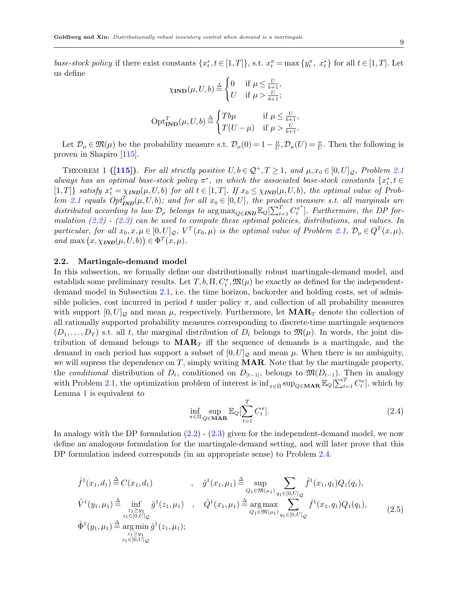base-stock policy if there exist constants  $\{x_t^*, t \in [1,T]\}$ , s.t.  $x_t^{\pi} = \max\{y_t^{\pi}, x_t^*\}$  for all  $t \in [1,T]$ . Let us define

<span id="page-8-3"></span>
$$
\chi_{\mathbf{IND}}(\mu, U, b) \stackrel{\Delta}{=} \begin{cases} 0 & \text{if } \mu \le \frac{U}{b+1}, \\ U & \text{if } \mu > \frac{U}{b+1}; \end{cases}
$$

$$
\text{Opt}_{\mathbf{IND}}^T(\mu, U, b) \stackrel{\Delta}{=} \begin{cases} Tb\mu & \text{if } \mu \le \frac{U}{b+1}, \\ T(U - \mu) & \text{if } \mu > \frac{U}{b+1}. \end{cases}
$$

Let  $\mathcal{D}_{\mu} \in \mathfrak{M}(\mu)$  be the probability measure s.t.  $\mathcal{D}_{\mu}(0) = 1 - \frac{\mu}{U}$  $\frac{\mu}{U}, \mathcal{D}_{\mu}(U) = \frac{\mu}{U}$ . Then the following is proven in Shapiro [\[115\]](#page-31-0).

THEOREM 1 ([\[115\]](#page-31-0)). For all strictly positive  $U, b \in \mathcal{Q}^+, T \geq 1$ , and  $\mu, x_0 \in [0, U]_{\mathcal{Q}},$  Problem [2.1](#page-6-1) always has an optimal base-stock policy  $\pi^*$ , in which the associated base-stock constants  $\{x_t^*, t \in$ [1, T]} satisfy  $x_t^* = \chi_{IND}(\mu, U, b)$  for all  $t \in [1, T]$ . If  $x_0 \leq \chi_{IND}(\mu, U, b)$ , the optimal value of Prob-lem [2.1](#page-6-1) equals  $Opt_{\text{IND}}^T(\mu, U, b)$ ; and for all  $x_0 \in [0, U]$ , the product measure s.t. all marginals are distributed according to law  $\mathcal{D}_{\mu}$  belongs to  $\arg \max_{Q \in \text{IND}} \mathbb{E}_{Q}[\sum_{t=1}^{T} C_t^{\pi^*}]$  $\binom{n^*}{t}$ . Furthermore, the DP formulation  $(2.2)$  -  $(2.3)$  can be used to compute these optimal policies, distributions, and values. In particular, for all  $x_0, x, \mu \in [0, U]_{\mathcal{Q}}, V^T(x_0, \mu)$  is the optimal value of Problem [2.1,](#page-6-1)  $\mathcal{D}_{\mu} \in Q^T(x, \mu)$ , and max  $(x, \chi_{IND}(\mu, U, b)) \in \Phi^{T}(x, \mu)$ .

#### <span id="page-8-0"></span>2.2. Martingale-demand model

In this subsection, we formally define our distributionally robust martingale-demand model, and establish some preliminary results. Let  $T, b, \Pi, C_t^{\pi}, \mathfrak{M}(\mu)$  be exactly as defined for the independentdemand model in Subsection [2.1,](#page-5-0) i.e. the time horizon, backorder and holding costs, set of admissible policies, cost incurred in period t under policy  $\pi$ , and collection of all probability measures with support  $[0, U]_{\mathcal{O}}$  and mean  $\mu$ , respectively. Furthermore, let  $\mathbf{MAR}_T$  denote the collection of all rationally supported probability measures corresponding to discrete-time martingale sequences  $(D_1,\ldots,D_T)$  s.t. all t, the marginal distribution of  $D_t$  belongs to  $\mathfrak{M}(\mu)$ . In words, the joint distribution of demand belongs to  $\text{MAR}_T$  iff the sequence of demands is a martingale, and the demand in each period has support a subset of  $[0, U]_{\mathcal{Q}}$  and mean  $\mu$ . When there is no ambiguity, we will supress the dependence on  $T$ , simply writing **MAR**. Note that by the martingale property, the *conditional* distribution of  $D_t$ , conditioned on  $D_{[t-1]}$ , belongs to  $\mathfrak{M}(D_{t-1})$ . Then in analogy with Problem [2.1,](#page-6-1) the optimization problem of interest is  $\inf_{\pi \in \hat{\Pi}} \sup_{Q \in \mathbf{MAR}} \mathbb{E}_Q[\sum_{t=1}^T C_t^{\pi}],$  which by Lemma [1](#page-6-0) is equivalent to

<span id="page-8-1"></span>
$$
\inf_{\pi \in \Pi} \sup_{Q \in \mathbf{MAR}} \mathbb{E}_Q[\sum_{t=1}^T C_t^{\pi}]. \tag{2.4}
$$

In analogy with the DP formulation  $(2.2)$  -  $(2.3)$  given for the independent-demand model, we now define an analogous formulation for the martingale-demand setting, and will later prove that this DP formulation indeed corresponds (in an appropriate sense) to Problem [2.4.](#page-8-1)

<span id="page-8-2"></span>
$$
\hat{f}^{1}(x_{1},d_{1}) \stackrel{\Delta}{=} C(x_{1},d_{1}) \qquad , \quad \hat{g}^{1}(x_{1},\mu_{1}) \stackrel{\Delta}{=} \sup_{\substack{Q_{1} \in \mathfrak{M}(\mu_{1})}} \sum_{q_{1} \in [0,U]_{\mathcal{Q}}} \hat{f}^{1}(x_{1},q_{1})Q_{1}(q_{1}),
$$
\n
$$
\hat{V}^{1}(y_{1},\mu_{1}) \stackrel{\Delta}{=} \inf_{\substack{z_{1} \ge y_{1} \\ z_{1} \in [0,U]_{\mathcal{Q}}}} \hat{g}^{1}(z_{1},\mu_{1}) \qquad , \quad \hat{Q}^{1}(x_{1},\mu_{1}) \stackrel{\Delta}{=} \underset{Q_{1} \in \mathfrak{M}(\mu_{1})} {\arg \max_{q_{1} \in [0,U]_{\mathcal{Q}}}} \sum_{q_{1} \in [0,U]_{\mathcal{Q}}} \hat{f}^{1}(x_{1},q_{1})Q_{1}(q_{1}),
$$
\n
$$
\hat{\Phi}^{1}(y_{1},\mu_{1}) \stackrel{\Delta}{=} \underset{z_{1} \ge y_{1}} {\arg \min} \hat{g}^{1}(z_{1},\mu_{1});
$$
\n
$$
z_{1} \in [0,U]_{\mathcal{Q}}
$$
\n
$$
(2.5)
$$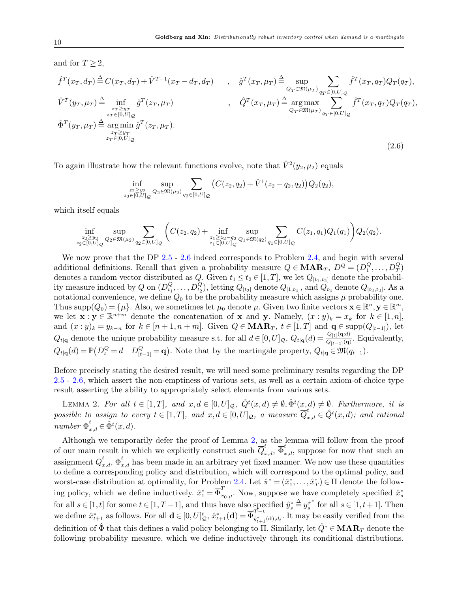<span id="page-9-0"></span>and for 
$$
T \ge 2
$$
,  
\n
$$
\hat{f}^T(x_T, d_T) \stackrel{\Delta}{=} C(x_T, d_T) + \hat{V}^{T-1}(x_T - d_T, d_T) , \quad \hat{g}^T(x_T, \mu_T) \stackrel{\Delta}{=} \sup_{\substack{Q_T \in \mathfrak{M}(\mu_T) \\ Q_T \in [0, U] \downarrow Q}} \sum_{\substack{q \in [0, U] \downarrow Q \\ Q_T \in \mathfrak{M}(\mu_T) \\ Q_T \in [0, U] \downarrow Q}} \hat{f}^T(x_T, q_T) Q_T(q_T),
$$
\n
$$
\hat{V}^T(y_T, \mu_T) \stackrel{\Delta}{=} \inf_{\substack{z_T \ge y_T \\ z_T \in [0, U] \downarrow Q}} \hat{g}^T(z_T, \mu_T) , \quad \hat{Q}^T(x_T, \mu_T) \stackrel{\Delta}{=} \arg \max_{Q_T \in \mathfrak{M}(\mu_T) \\ Q_T \in \mathfrak{M}(\mu_T) \\ q_T \in [0, U] \downarrow Q} \hat{f}^T(x_T, q_T) Q_T(q_T),
$$
\n
$$
\hat{\Phi}^T(y_T, \mu_T) \stackrel{\Delta}{=} \arg \min_{\substack{z_T \ge y_T \\ z_T \in [0, U] \downarrow Q}} \hat{g}^T(z_T, \mu_T).
$$
\n(2.6)

To again illustrate how the relevant functions evolve, note that  $\hat{V}^2(y_2, \mu_2)$  equals

$$
\inf_{\substack{z_2 \ge y_2 \\ z_2 \in [0,U]}} \sup_{Q_2 \in \mathfrak{M}(\mu_2)} \sum_{q_2 \in [0,U]_Q} \big( C(z_2,q_2) + \hat{V}^1(z_2 - q_2, q_2) \big) Q_2(q_2),
$$

which itself equals

$$
\inf_{\substack{z_2 \ge y_2 \\ z_2 \in [0,U]}} \sup_{Q_2 \in \mathfrak{M}(\mu_2)} \sum_{q_2 \in [0,U]_Q} \Biggl( C(z_2,q_2) + \inf_{\substack{z_1 \ge z_2 - q_2 \\ z_1 \in [0,U]_Q}} \sup_{Q_1 \in \mathfrak{M}(q_2)} \sum_{q_1 \in [0,U]_Q} C(z_1,q_1) Q_1(q_1) \Biggr) Q_2(q_2).
$$

We now prove that the DP [2.5](#page-8-2) - [2.6](#page-9-0) indeed corresponds to Problem [2.4,](#page-8-1) and begin with several additional definitions. Recall that given a probability measure  $Q \in \mathbf{MAR}_T$ ,  $D^Q = (D_1^Q, \ldots, D_T^Q)$ denotes a random vector distributed as  $Q$ . Given  $t_1 \le t_2 \in [1, T]$ , we let  $Q_{[t_1,t_2]}$  denote the probability measure induced by Q on  $(D_{t_1}^Q,\ldots,D_{t_2}^Q)$ , letting  $Q_{[t_2]}$  denote  $Q_{[1,t_2]}$ , and  $Q_{t_2}$  denote  $Q_{[t_2,t_2]}$ . As a notational convenience, we define  $Q_0$  to be the probability measure which assigns  $\mu$  probability one. Thus supp $(Q_0) = \{\mu\}$ . Also, we sometimes let  $\mu_0$  denote  $\mu$ . Given two finite vectors  $\mathbf{x} \in \mathbb{R}^n, \mathbf{y} \in \mathbb{R}^m$ , we let  $\mathbf{x} : \mathbf{y} \in \mathbb{R}^{n+m}$  denote the concatenation of  $\mathbf{x}$  and  $\mathbf{y}$ . Namely,  $(x : y)_k = x_k$  for  $k \in [1, n]$ , and  $(x:y)_k = y_{k-n}$  for  $k \in [n+1, n+m]$ . Given  $Q \in \mathbf{MAR}_T$ ,  $t \in [1,T]$  and  $\mathbf{q} \in \text{supp}(Q_{[t-1]})$ , let  $Q_{t|\mathbf{q}}$  denote the unique probability measure s.t. for all  $d \in [0, U]_{\mathcal{Q}}, Q_{t|\mathbf{q}}(d) = \frac{Q_{[t]}(\mathbf{q}:d)}{Q_{t-1}(\mathbf{q}:d)}$  $\frac{\mathcal{Q}_{[t]}(\mathbf{q},u)}{\mathcal{Q}_{[t-1]}(\mathbf{q})}$ . Equivalently,  $Q_{t|\mathbf{q}}(d) = \mathbb{P}\left(D_t^Q = d \mid D_{[t-1]}^Q = \mathbf{q}\right)$ . Note that by the martingale property,  $Q_{t|\mathbf{q}} \in \mathfrak{M}(q_{t-1})$ .

Before precisely stating the desired result, we will need some preliminary results regarding the DP [2.5](#page-8-2) - [2.6,](#page-9-0) which assert the non-emptiness of various sets, as well as a certain axiom-of-choice type result asserting the ability to appropriately select elements from various sets.

<span id="page-9-1"></span>LEMMA 2. For all  $t \in [1, T]$ , and  $x, d \in [0, U]_{\mathcal{Q}}$ ,  $\hat{Q}^t(x, d) \neq \emptyset$ ,  $\hat{\Phi}^t(x, d) \neq \emptyset$ . Furthermore, it is possible to assign to every  $t \in [1,T]$ , and  $x, d \in [0,U]_{\mathcal{Q}}$ , a measure  $\overline{Q}_{x,d}^t \in \hat{Q}^t(x,d)$ ; and rational number  $\overline{\Phi}_{x,d}^t \in \hat{\Phi}^t(x,d)$ .

Although we temporarily defer the proof of Lemma [2,](#page-9-1) as the lemma will follow from the proof of our main result in which we explicitly construct such  $\overline{Q}_{x,d}^t$ ,  $\overline{\Phi}_{x,d}^t$ , suppose for now that such an assignment  $\overline{Q}_{x,d}^t$ ,  $\overline{\Phi}_{x,d}^t$  has been made in an arbitrary yet fixed manner. We now use these quantities to define a corresponding policy and distribution, which will correspond to the optimal policy, and worst-case distribution at optimality, for Problem [2.4.](#page-8-1) Let  $\hat{\pi}^* = (\hat{x}_1^*, \dots, \hat{x}_T^*) \in \Pi$  denote the following policy, which we define inductively.  $\hat{x}_1^* = \overline{\Phi}_{x_0,\mu}^T$ . Now, suppose we have completely specified  $\hat{x}_s^*$ for all  $s \in [1, t]$  for some  $t \in [1, T-1]$ , and thus have also specified  $\hat{y}_s^* \stackrel{\Delta}{=} y_s^{\hat{\pi}^*}$  $s^{\hat{\pi}^*}$  for all  $s \in [1, t+1]$ . Then we define  $\hat{x}_{t+1}^*$  as follows. For all  $\mathbf{d} \in [0, U]_{\mathcal{Q}}^t$ ,  $\hat{x}_{t+1}^*(\mathbf{d}) = \overline{\Phi}_{\hat{y}_{t+1}^*}^{\overline{T-t}}$  $\hat{y}_{t+1}^*(\mathbf{d})$ , It may be easily verified from the definition of  $\hat{\Phi}$  that this defines a valid policy belonging to Π. Similarly, let  $\hat{Q}^* \in \mathbf{MAR}_T$  denote the following probability measure, which we define inductively through its conditional distributions.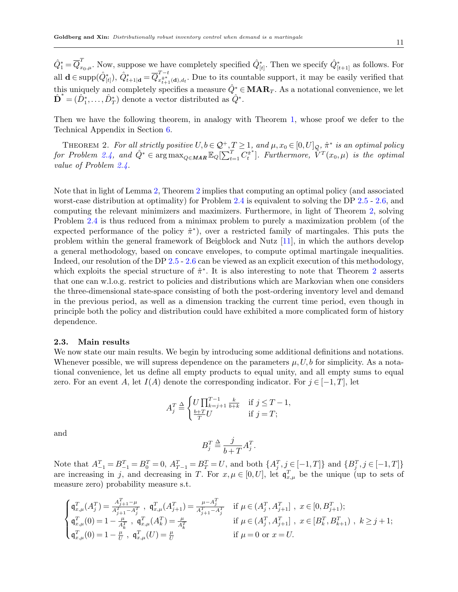$\hat{Q}_1^* = \overline{Q}_{x_0,\mu}^T$ . Now, suppose we have completely specified  $\hat{Q}_{[t]}^*$ . Then we specify  $\hat{Q}_{[t+1]}^*$  as follows. For all  $\mathbf{d} \in \text{supp}(\hat{Q}^*_{[t]}), \ \hat{Q}^*_{t+1|\mathbf{d}} = \overline{Q}^{T-t}_{x^{\hat{\pi}^*}_{t+1}}$  $\hat{x}_{t+1}^*$ <sub>(d),d<sub>t</sub></sub>. Due to its countable support, it may be easily verified that this uniquely and completely specifies a measure  $\hat{Q}^* \in \mathbf{MAR}_T$ . As a notational convenience, we let  $\mathbf{\hat{D}}^* = (\hat{D}_1^*, \dots, \hat{D}_T^*)$  denote a vector distributed as  $\hat{Q}^*$ .

<span id="page-10-1"></span>Then we have the following theorem, in analogy with Theorem [1,](#page-8-3) whose proof we defer to the Technical Appendix in Section [6.](#page-32-6)

THEOREM 2. For all strictly positive  $U, b \in \mathcal{Q}^+, T \geq 1$ , and  $\mu, x_0 \in [0, U]_{\mathcal{Q}}, \hat{\pi}^*$  is an optimal policy for Problem [2.4,](#page-8-1) and  $\hat{Q}^* \in \arg \max_{Q \in \mathbf{MAR}} \mathbb{E}_Q[\sum_{t=1}^T \overline{C_t^*}^*]$  $\{\hat{\bar{r}}^T(x_0,\mu)$  is the optimal value of Problem [2.4.](#page-8-1)

Note that in light of Lemma [2,](#page-9-1) Theorem [2](#page-10-1) implies that computing an optimal policy (and associated worst-case distribution at optimality) for Problem [2.4](#page-8-1) is equivalent to solving the DP [2.5](#page-8-2) - [2.6,](#page-9-0) and computing the relevant minimizers and maximizers. Furthermore, in light of Theorem [2,](#page-10-1) solving Problem [2.4](#page-8-1) is thus reduced from a minimax problem to purely a maximization problem (of the expected performance of the policy  $\hat{\pi}^*$ , over a restricted family of martingales. This puts the problem within the general framework of Beigblock and Nutz [\[11\]](#page-27-16), in which the authors develop a general methodology, based on concave envelopes, to compute optimal martingale inequalities. Indeed, our resolution of the DP [2.5](#page-8-2) - [2.6](#page-9-0) can be viewed as an explicit execution of this methodology, which exploits the special structure of  $\hat{\pi}^*$ . It is also interesting to note that Theorem [2](#page-10-1) asserts that one can w.l.o.g. restrict to policies and distributions which are Markovian when one considers the three-dimensional state-space consisting of both the post-ordering inventory level and demand in the previous period, as well as a dimension tracking the current time period, even though in principle both the policy and distribution could have exhibited a more complicated form of history dependence.

#### <span id="page-10-0"></span>2.3. Main results

We now state our main results. We begin by introducing some additional definitions and notations. Whenever possible, we will supress dependence on the parameters  $\mu$ , U, b for simplicity. As a notational convenience, let us define all empty products to equal unity, and all empty sums to equal zero. For an event A, let  $I(A)$  denote the corresponding indicator. For  $j \in [-1, T]$ , let

$$
A_j^T \triangleq \begin{cases} U \prod_{k=j+1}^{T-1} \frac{k}{b+k} & \text{if } j \le T-1, \\ \frac{b+T}{T}U & \text{if } j = T; \end{cases}
$$

and

$$
B_j^T \stackrel{\Delta}{=} \frac{j}{b+T} A_j^T.
$$

Note that  $A_{-1}^T = B_{-1}^T = B_0^T = 0$ ,  $A_{T-1}^T = B_T^T = U$ , and both  $\{A_j^T, j \in [-1, T]\}$  and  $\{B_j^T, j \in [-1, T]\}$ are increasing in j, and decreasing in T. For  $x, \mu \in [0, U]$ , let  $\mathfrak{q}_{x,\mu}^T$  be the unique (up to sets of measure zero) probability measure s.t.

$$
\begin{cases} \mathfrak{q}_{x,\mu}^T(A_j^T)=\frac{A_{j+1}^T-\mu}{A_{j+1}^T-A_j^T}\ ,\ \mathfrak{q}_{x,\mu}^T(A_{j+1}^T)=\frac{\mu-A_j^T}{A_{j+1}^T-A_j^T} \quad \text{ if }\mu\in(A_j^T,A_{j+1}^T]\ ,\ x\in[0,B_{j+1}^T);\\ \mathfrak{q}_{x,\mu}^T(0)=1-\frac{\mu}{A_k^T}\ ,\ \mathfrak{q}_{x,\mu}^T(A_k^T)=\frac{\mu}{A_k^T} \quad \ \ &\text{ if }\mu\in(A_j^T,A_{j+1}^T]\ ,\ x\in[B_k^T,B_{k+1}^T)\ ,\ k\geq j+1;\\ \mathfrak{q}_{x,\mu}^T(0)=1-\frac{\mu}{U}\ ,\ \mathfrak{q}_{x,\mu}^T(U)=\frac{\mu}{U} \quad \ \ &\text{ if }\mu=0\ \text{ or }\ x=U. \end{cases}
$$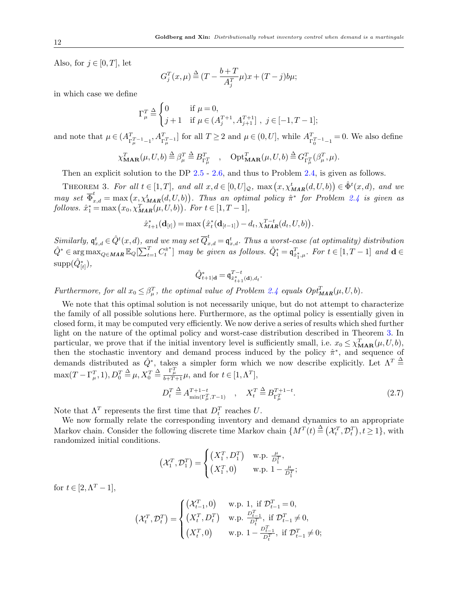Also, for  $j \in [0, T]$ , let

$$
G_j^T(x,\mu) \stackrel{\Delta}{=} (T - \frac{b+T}{A_j^T}\mu)x + (T - j)b\mu;
$$

in which case we define

$$
\Gamma_{\mu}^{T} \stackrel{\Delta}{=} \begin{cases} 0 & \text{if } \mu = 0, \\ j+1 & \text{if } \mu \in (A_{j}^{T+1}, A_{j+1}^{T+1}], \ j \in [-1, T-1]; \end{cases}
$$

and note that  $\mu \in (A^{T}_{\Gamma_{\mu}^{T-1}-1}, A^{T}_{\Gamma_{\mu}^{T}-1}]$  for all  $T \geq 2$  and  $\mu \in (0, U]$ , while  $A^{T}_{\Gamma_{0}^{T-1}-1} = 0$ . We also define

$$
\chi_{\mathbf{MAR}}^T(\mu, U, b) \stackrel{\Delta}{=} \beta_{\mu}^T \stackrel{\Delta}{=} B_{\Gamma_{\mu}^T}^T \quad , \quad \mathrm{Opt}_{\mathbf{MAR}}^T(\mu, U, b) \stackrel{\Delta}{=} G_{\Gamma_{\mu}^T}^T(\beta_{\mu}^T, \mu).
$$

Then an explicit solution to the DP [2.5](#page-8-2) - [2.6,](#page-9-0) and thus to Problem [2.4,](#page-8-1) is given as follows.

<span id="page-11-0"></span>THEOREM 3. For all  $t \in [1, T]$ , and all  $x, d \in [0, U]_{\mathcal{Q}}$ ,  $\max(x, \chi^t_{\text{MAR}}(d, U, b)) \in \hat{\Phi}^t(x, d)$ , and we may set  $\overline{\Phi}_{x,d}^t = \max(x, \chi_{\text{MAR}}^t(d, U, b)).$  Thus an optimal policy  $\hat{\pi}^*$  for Problem [2.4](#page-8-1) is given as follows.  $\hat{x}_1^* = \max(x_0, \chi_{\text{MAR}}^T(\mu, U, b)).$  For  $t \in [1, T - 1],$ 

$$
\hat{x}_{t+1}^*(\mathbf{d}_{[t]}) = \max(\hat{x}_t^*(\mathbf{d}_{[t-1]}) - d_t, \chi_{\mathit{MAR}}^{T-t}(d_t, U, b)).
$$

Similarly,  $\mathfrak{q}^t_{x,d} \in \hat{Q}^t(x,d)$ , and we may set  $\overline{Q}^t_{x,d} = \mathfrak{q}^t_{x,d}$ . Thus a worst-case (at optimality) distribution  $\hat{Q}^* \in \argmax_{Q \in \mathit{MAR}} \mathbb{E}_Q[\sum_{t=1}^T C_t^{\hat{\pi}^*}]$  $\{ \hat{q}^*_{t} \}$  may be given as follows.  $\hat{Q}^*_1 = \mathfrak{q}_{\hat{x}^*_1,\mu}^T$ . For  $t \in [1, T-1]$  and  $\mathbf{d} \in \mathbb{R}$  $\mathrm{supp}(\hat{Q}^*_{[t]}),$ 

$$
\hat{Q}_{t+1|\mathbf{d}}^* = \mathbf{q}_{\hat{x}_{t+1}^*(\mathbf{d}), d_t}^{T-t}.
$$

Furthermore, for all  $x_0 \leq \beta_{\mu}^T$ , the optimal value of Problem [2.4](#page-8-1) equals  $Opt_{\text{MAR}}^T(\mu, U, b)$ .

We note that this optimal solution is not necessarily unique, but do not attempt to characterize the family of all possible solutions here. Furthermore, as the optimal policy is essentially given in closed form, it may be computed very efficiently. We now derive a series of results which shed further light on the nature of the optimal policy and worst-case distribution described in Theorem [3.](#page-11-0) In particular, we prove that if the initial inventory level is sufficiently small, i.e.  $x_0 \le \chi_{\text{MAR}}^T(\mu, U, b)$ , then the stochastic inventory and demand process induced by the policy  $\hat{\pi}^*$ , and sequence of demands distributed as  $\hat{Q}^*$ , takes a simpler form which we now describe explicitly. Let  $\Lambda^T \triangleq$  $\max(T - \Gamma_{\mu}^T, 1), D_0^T \stackrel{\Delta}{=} \mu, X_0^T \stackrel{\Delta}{=} \frac{\Gamma_{\mu}^T}{b + T + 1} \mu$ , and for  $t \in [1, \Lambda^T]$ ,

<span id="page-11-1"></span>
$$
D_t^T \stackrel{\Delta}{=} A_{\min(\Gamma_\mu^T, T-1)}^{T+1-t} \quad , \quad X_t^T \stackrel{\Delta}{=} B_{\Gamma_\mu^T}^{T+1-t}.
$$
 (2.7)

Note that  $\Lambda^T$  represents the first time that  $D_t^T$  reaches U.

We now formally relate the corresponding inventory and demand dynamics to an appropriate Markov chain. Consider the following discrete time Markov chain  $\{M^T(t) \triangleq (\mathcal{X}_t^T, \mathcal{D}_t^T), t \ge 1\}$ , with randomized initial conditions.

$$
\left(\mathcal{X}_1^T, \mathcal{D}_1^T\right) = \begin{cases} \left(X_1^T, D_1^T\right) & \text{w.p. } \frac{\mu}{D_1^T}, \\ \left(X_1^T, 0\right) & \text{w.p. } 1 - \frac{\mu}{D_1^T}; \end{cases}
$$

for  $t \in [2, \Lambda^T - 1]$ ,

$$
\left(\mathcal{X}_{t}^{T}, \mathcal{D}_{t}^{T}\right) = \begin{cases} \left(\mathcal{X}_{t-1}^{T}, 0\right) & \text{w.p. 1, if } \mathcal{D}_{t-1}^{T} = 0, \\ \left(X_{t}^{T}, \mathcal{D}_{t}^{T}\right) & \text{w.p. } \frac{\mathcal{D}_{t-1}^{T}}{\mathcal{D}_{t}^{T}}, \text{ if } \mathcal{D}_{t-1}^{T} \neq 0, \\ \left(X_{t}^{T}, 0\right) & \text{w.p. } 1 - \frac{\mathcal{D}_{t-1}^{T}}{\mathcal{D}_{t}^{T}}, \text{ if } \mathcal{D}_{t-1}^{T} \neq 0; \end{cases}
$$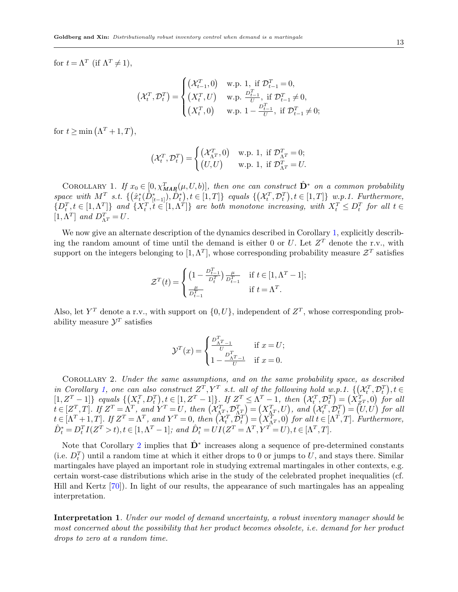for  $t = \Lambda^T$  (if  $\Lambda^T \neq 1$ ),

$$
\left(\mathcal{X}_{t}^{T}, \mathcal{D}_{t}^{T}\right) = \begin{cases} \left(\mathcal{X}_{t-1}^{T}, 0\right) & \text{w.p. 1, if } \mathcal{D}_{t-1}^{T} = 0, \\ \left(X_{t}^{T}, U\right) & \text{w.p. } \frac{D_{t-1}^{T}}{U}, \text{ if } \mathcal{D}_{t-1}^{T} \neq 0, \\ \left(X_{t}^{T}, 0\right) & \text{w.p. } 1 - \frac{D_{t-1}^{T}}{U}, \text{ if } \mathcal{D}_{t-1}^{T} \neq 0; \end{cases}
$$

for  $t \geq \min(\Lambda^T + 1, T)$ ,

$$
\left(\mathcal{X}_t^T, \mathcal{D}_t^T\right) = \begin{cases} \left(\mathcal{X}_{\Lambda^T}^T, 0\right) & \text{w.p. 1, if } \mathcal{D}_{\Lambda^T}^T = 0; \\ \left(U, U\right) & \text{w.p. 1, if } \mathcal{D}_{\Lambda^T}^T = U. \end{cases}
$$

<span id="page-12-0"></span>COROLLARY 1. If  $x_0 \in [0, \chi_{\text{MAP}}^T(\mu, U, b)],$  then one can construct  $\hat{\mathbf{D}}^*$  on a common probability space with  $M^T$  s.t.  $\{(\hat{x}_t^*(\hat{D}_{[t-1]}^*), \hat{D}_t^*)\}_{t \in [1,T]}$  equals  $\{(\mathcal{X}_t^T, \mathcal{D}_t^T)\}_{t \in [1,T]}$  w.p.1. Furthermore,  $\{D_t^T, t \in [1, \Lambda^T]\}$  and  $\{X_t^T, t \in [1, \Lambda^T]\}$  are both monotone increasing, with  $X_t^T \leq D_t^T$  for all  $t \in$ [ $1, \Lambda^T$ ] and  $D_{\Lambda^T}^T = U$ .

We now give an alternate description of the dynamics described in Corollary [1,](#page-12-0) explicitly describing the random amount of time until the demand is either 0 or U. Let  $Z<sup>T</sup>$  denote the r.v., with support on the integers belonging to  $[1, \Lambda^T]$ , whose corresponding probability measure  $\mathcal{Z}^T$  satisfies

$$
\mathcal{Z}^T(t) = \begin{cases} \left(1 - \frac{D_{t-1}^T}{D_t^T}\right) \frac{\mu}{D_{t-1}^T} & \text{if } t \in [1, \Lambda^T - 1];\\ \frac{\mu}{D_{t-1}^T} & \text{if } t = \Lambda^T. \end{cases}
$$

Also, let  $Y^T$  denote a r.v., with support on  $\{0, U\}$ , independent of  $Z^T$ , whose corresponding probability measure  $\mathcal{Y}^T$  satisfies

$$
\mathcal{Y}^{T}(x) = \begin{cases} \frac{D_{\Lambda^{T}-1}^{T}}{U} & \text{if } x = U; \\ 1 - \frac{D_{\Lambda^{T}-1}^{T}}{U} & \text{if } x = 0. \end{cases}
$$

<span id="page-12-1"></span>Corollary 2. Under the same assumptions, and on the same probability space, as described in Corollary [1,](#page-12-0) one can also construct  $Z^T, Y^T$  s.t. all of the following hold w.p.1.  $\{(\mathcal{X}_t^T, \mathcal{D}_t^T), t \in$  $[1, Z^T - 1]$  equals  $\{ (X_t^T, D_t^T), t \in [1, Z^T - 1] \}$ . If  $Z^T \leq \Lambda^T - 1$ , then  $(X_t^T, \mathcal{D}_t^T) = (X_{Z^T}^T, 0)$  for all  $t \in [Z_{\_}^T, T]$ . If  $Z^T = \Lambda^T$ , and  $Y^T = U$ , then  $(\mathcal{X}_{\Lambda^T}^T, \mathcal{D}_{\Lambda^T}^T) = (X_{\Lambda^T}^T, U)$ , and  $(\mathcal{X}_{t}^T, \mathcal{D}_{t}^T) = (U, U)$  for all  $t \in [\Lambda^T + 1, T]$ . If  $Z^T = \Lambda^T$ , and  $Y^T = 0$ , then  $(\mathcal{X}_t^T, \mathcal{D}_t^T) = (X_{\Lambda^T}^T, 0)$  for all  $t \in [\Lambda^T, T]$ . Furthermore,  $\hat{D}_{t}^{*} = D_{t}^{T} I(Z^{T} > t), t \in [1, \Lambda^{T} - 1]; \text{ and } \hat{D}_{t}^{*} = \hat{UI}(Z^{T} = \Lambda^{T}, Y^{T} = U), t \in [\Lambda^{T}, T].$ 

Note that Corollary [2](#page-12-1) implies that  $\hat{\mathbf{D}}^*$  increases along a sequence of pre-determined constants (i.e.  $D_t^T$ ) until a random time at which it either drops to 0 or jumps to U, and stays there. Similar martingales have played an important role in studying extremal martingales in other contexts, e.g. certain worst-case distributions which arise in the study of the celebrated prophet inequalities (cf. Hill and Kertz [\[70\]](#page-29-20)). In light of our results, the appearance of such martingales has an appealing interpretation.

Interpretation 1. Under our model of demand uncertainty, a robust inventory manager should be most concerned about the possibility that her product becomes obsolete, i.e. demand for her product drops to zero at a random time.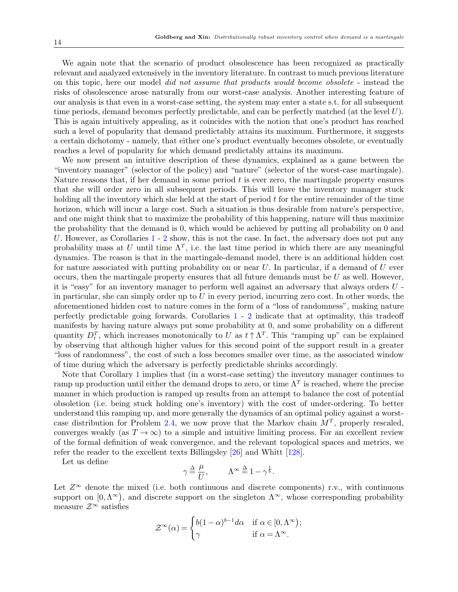We again note that the scenario of product obsolescence has been recognized as practically relevant and analyzed extensively in the inventory literature. In contrast to much previous literature on this topic, here our model did not assume that products would become obsolete - instead the risks of obsolescence arose naturally from our worst-case analysis. Another interesting feature of our analysis is that even in a worst-case setting, the system may enter a state s.t. for all subsequent time periods, demand becomes perfectly predictable, and can be perfectly matched (at the level  $U$ ). This is again intuitively appealing, as it coincides with the notion that one's product has reached such a level of popularity that demand predictably attains its maximum. Furthermore, it suggests a certain dichotomy - namely, that either one's product eventually becomes obsolete, or eventually reaches a level of popularity for which demand predictably attains its maximum.

We now present an intuitive description of these dynamics, explained as a game between the "inventory manager" (selector of the policy) and "nature" (selector of the worst-case martingale). Nature reasons that, if her demand in some period t is ever zero, the martingale property ensures that she will order zero in all subsequent periods. This will leave the inventory manager stuck holding all the inventory which she held at the start of period  $t$  for the entire remainder of the time horizon, which will incur a large cost. Such a situation is thus desirable from nature's perspective, and one might think that to maximize the probability of this happening, nature will thus maximize the probability that the demand is 0, which would be achieved by putting all probability on 0 and U. However, as Corollaries  $1 - 2$  $1 - 2$  $1 - 2$  show, this is not the case. In fact, the adversary does not put any probability mass at U until time  $\Lambda^T$ , i.e. the last time period in which there are any meaningful dynamics. The reason is that in the martingale-demand model, there is an additional hidden cost for nature associated with putting probability on or near  $U$ . In particular, if a demand of  $U$  ever occurs, then the martingale property ensures that all future demands must be  $U$  as well. However, it is "easy" for an inventory manager to perform well against an adversary that always orders U in particular, she can simply order up to  $U$  in every period, incurring zero cost. In other words, the aforementioned hidden cost to nature comes in the form of a "loss of randomness", making nature perfectly predictable going forwards. Corollaries [1](#page-12-0) - [2](#page-12-1) indicate that at optimality, this tradeoff manifests by having nature always put some probability at 0, and some probability on a different quantity  $D_t^T$ , which increases monotonically to U as  $t \uparrow \Lambda^T$ . This "ramping up" can be explained by observing that although higher values for this second point of the support result in a greater "loss of randomness", the cost of such a loss becomes smaller over time, as the associated window of time during which the adversary is perfectly predictable shrinks accordingly.

Note that Corollary [1](#page-12-0) implies that (in a worst-case setting) the inventory manager continues to ramp up production until either the demand drops to zero, or time  $\Lambda^T$  is reached, where the precise manner in which production is ramped up results from an attempt to balance the cost of potential obsoletion (i.e. being stuck holding one's inventory) with the cost of under-ordering. To better understand this ramping up, and more generally the dynamics of an optimal policy against a worst-case distribution for Problem [2.4,](#page-8-1) we now prove that the Markov chain  $M<sup>T</sup>$ , properly rescaled, converges weakly (as  $T \to \infty$ ) to a simple and intuitive limiting process. For an excellent review of the formal definition of weak convergence, and the relevant topological spaces and metrics, we refer the reader to the excellent texts Billingsley [\[26\]](#page-28-20) and Whitt [\[128\]](#page-32-7).

Let us define

$$
\gamma \stackrel{\Delta}{=} \frac{\mu}{U}, \qquad \Lambda^{\infty} \stackrel{\Delta}{=} 1 - \gamma^{\frac{1}{b}}.
$$

Let  $Z^{\infty}$  denote the mixed (i.e. both continuous and discrete components) r.v., with continuous support on  $[0, \Lambda^{\infty})$ , and discrete support on the singleton  $\Lambda^{\infty}$ , whose corresponding probability measure  $\mathcal{Z}^{\infty}$  satisfies

$$
\mathcal{Z}^{\infty}(\alpha) = \begin{cases} b(1-\alpha)^{b-1}d\alpha & \text{if } \alpha \in [0,\Lambda^{\infty});\\ \gamma & \text{if } \alpha = \Lambda^{\infty}. \end{cases}
$$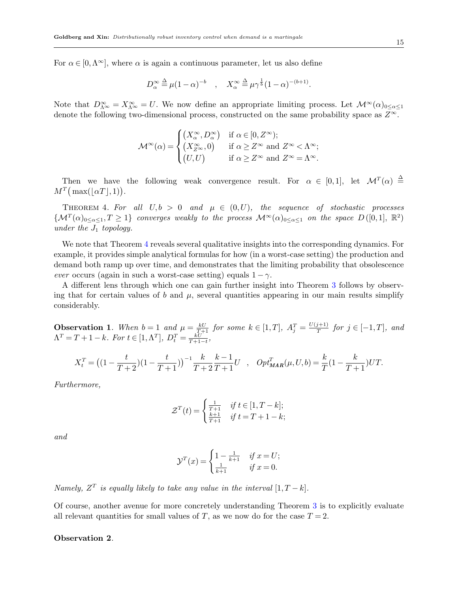For  $\alpha \in [0, \Lambda^{\infty}]$ , where  $\alpha$  is again a continuous parameter, let us also define

$$
D_{\alpha}^{\infty} \stackrel{\Delta}{=} \mu (1 - \alpha)^{-b} \quad , \quad X_{\alpha}^{\infty} \stackrel{\Delta}{=} \mu \gamma^{\frac{1}{b}} (1 - \alpha)^{-(b+1)}.
$$

Note that  $D_{\Lambda^{\infty}}^{\infty} = X_{\Lambda^{\infty}}^{\infty} = U$ . We now define an appropriate limiting process. Let  $\mathcal{M}^{\infty}(\alpha)_{0 \leq \alpha \leq 1}$ denote the following two-dimensional process, constructed on the same probability space as  $Z^{\infty}$ .

$$
\mathcal{M}^{\infty}(\alpha) = \begin{cases} \left(X_{\alpha}^{\infty}, D_{\alpha}^{\infty}\right) & \text{if } \alpha \in [0, Z^{\infty});\\ \left(X_{Z^{\infty}}^{\infty}, 0\right) & \text{if } \alpha \geq Z^{\infty} \text{ and } Z^{\infty} < \Lambda^{\infty};\\ \left(U, U\right) & \text{if } \alpha \geq Z^{\infty} \text{ and } Z^{\infty} = \Lambda^{\infty}. \end{cases}
$$

Then we have the following weak convergence result. For  $\alpha \in [0,1]$ , let  $\mathcal{M}^T(\alpha) \triangleq$  $M^T(\max(|\alpha T|, 1)).$ 

<span id="page-14-0"></span>THEOREM 4. For all  $U, b > 0$  and  $\mu \in (0, U)$ , the sequence of stochastic processes  $\{\mathcal{M}^T(\alpha)_{0\leq \alpha\leq 1}, T\geq 1\}$  converges weakly to the process  $\mathcal{M}^{\infty}(\alpha)_{0\leq \alpha\leq 1}$  on the space  $D([0,1], \mathbb{R}^2)$ under the  $J_1$  topology.

We note that Theorem [4](#page-14-0) reveals several qualitative insights into the corresponding dynamics. For example, it provides simple analytical formulas for how (in a worst-case setting) the production and demand both ramp up over time, and demonstrates that the limiting probability that obsolescence ever occurs (again in such a worst-case setting) equals  $1 - \gamma$ .

A different lens through which one can gain further insight into Theorem [3](#page-11-0) follows by observing that for certain values of b and  $\mu$ , several quantities appearing in our main results simplify considerably.

**Observation 1.** When  $b=1$  and  $\mu = \frac{kU}{T+1}$  for some  $k \in [1, T]$ ,  $A_j^T = \frac{U(j+1)}{T}$  $f_T^{(j+1)}$  for  $j \in [-1, T]$ , and  $\Lambda^T = T + 1 - k$ . For  $t \in [1, \Lambda^T]$ ,  $D_t^T = \frac{kU}{T + 1 - t}$ ,

$$
X_t^T = ((1 - \frac{t}{T+2})(1 - \frac{t}{T+1}))^{-1} \frac{k}{T+2} \frac{k-1}{T+1} U , \quad Opt_{\text{MAR}}^T(\mu, U, b) = \frac{k}{T} (1 - \frac{k}{T+1}) U T.
$$

Furthermore,

$$
\mathcal{Z}^{T}(t) = \begin{cases} \frac{1}{T+1} & \text{if } t \in [1, T-k];\\ \frac{k+1}{T+1} & \text{if } t = T+1-k; \end{cases}
$$

and

$$
\mathcal{Y}^{T}(x) = \begin{cases} 1 - \frac{1}{k+1} & \text{if } x = U; \\ \frac{1}{k+1} & \text{if } x = 0. \end{cases}
$$

Namely,  $Z<sup>T</sup>$  is equally likely to take any value in the interval  $[1, T - k]$ .

Of course, another avenue for more concretely understanding Theorem [3](#page-11-0) is to explicitly evaluate all relevant quantities for small values of T, as we now do for the case  $T = 2$ .

## <span id="page-14-1"></span>Observation 2.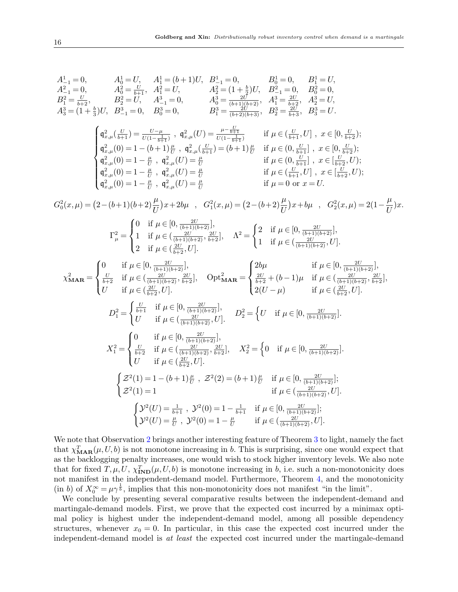$$
A^{1}_{-1}=0, \t A^{2}_{0}=\bar{U}, \t A^{2}_{1}=U, \t A^{2}_{0}=\bar{U}, \t B^{1}_{-1}=0, \t B^{1}_{0}=0, \t B^{1}_{1}=\bar{U},
$$
  
\n
$$
A^{2}_{-1}=\bar{U}, \t A^{2}_{0}=\bar{U}, \t A^{2}_{1}=\bar{U}, \t A^{2}_{2}=\bar{U}, \t A^{2}_{2}=\bar{U}, \t A^{2}_{3}=\bar{U}, \t A^{2}_{3}=\bar{U}, \t A^{2}_{3}=\bar{U}, \t A^{2}_{3}=\bar{U}, \t A^{2}_{3}=\bar{U}, \t A^{2}_{3}=\bar{U}, \t A^{2}_{3}=\bar{U}, \t A^{2}_{3}=\bar{U}, \t A^{2}_{3}=\bar{U}, \t A^{2}_{3}=\bar{U}, \t A^{2}_{3}=\bar{U}, \t A^{2}_{3}=\bar{U}, \t A^{2}_{3}=\bar{U}, \t A^{2}_{3}=\bar{U}, \t A^{2}_{3}=\bar{U}, \t A^{2}_{3}=\bar{U}, \t A^{2}_{3}=\bar{U}, \t A^{2}_{3}=\bar{U}, \t A^{2}_{3}=\bar{U}, \t A^{2}_{3}=\bar{U}, \t B^{2}_{3}=\bar{U}, \t B^{2}_{3}=\bar{U}, \t B^{2}_{3}=\bar{U}, \t B^{2}_{3}=\bar{U}, \t C^{2}_{3}=\bar{U}, \t C^{2}_{3}=\bar{U}, \t C^{2}_{3}=\bar{U}, \t C^{2}_{3}=\bar{U}, \t C^{2}_{3}=\bar{U}, \t C^{2}_{3}=\bar{U}, \t C^{2}_{3}=\bar{U}, \t C^{2}_{3}=\bar{U}, \t C^{2}_{3}=\bar{U}, \t C^{2}_{3}=\bar{U}, \t C^{2}_{3}=\bar{U}, \t C^{2}_{3}=\bar{U}, \t C^{2}_{3}=\bar{U}, \t C^{2}_{3}=\bar{U}, \t C^{2}_{3}=\bar{U}, \t C^{2}_{3}=\bar{U}, \t C^{2}_{3}=\bar{U}, \t C^{2}_{3}=\bar{U}, \t C^{2}_{3}=\bar{U}, \t C^{2}_{3}=\bar{U}, \t C^{2}_{3}=\bar{U}, \t C^{2}_{3}=\bar{U}, \t C^{2}_{
$$

We note that Observation [2](#page-14-1) brings another interesting feature of Theorem [3](#page-11-0) to light, namely the fact that  $\chi_{\text{MAR}}^T(\mu, U, b)$  is not monotone increasing in b. This is surprising, since one would expect that as the backlogging penalty increases, one would wish to stock higher inventory levels. We also note that for fixed  $T, \mu, U, \chi_{\text{IND}}^T(\mu, U, b)$  is monotone increasing in b, i.e. such a non-monotonicity does not manifest in the independent-demand model. Furthermore, Theorem [4,](#page-14-0) and the monotonicity (in b) of  $X_0^{\infty} = \mu \gamma^{\frac{1}{b}}$ , implies that this non-monotonicity does not manifest "in the limit".

We conclude by presenting several comparative results between the independent-demand and martingale-demand models. First, we prove that the expected cost incurred by a minimax optimal policy is highest under the independent-demand model, among all possible dependency structures, whenever  $x_0 = 0$ . In particular, in this case the expected cost incurred under the independent-demand model is at least the expected cost incurred under the martingale-demand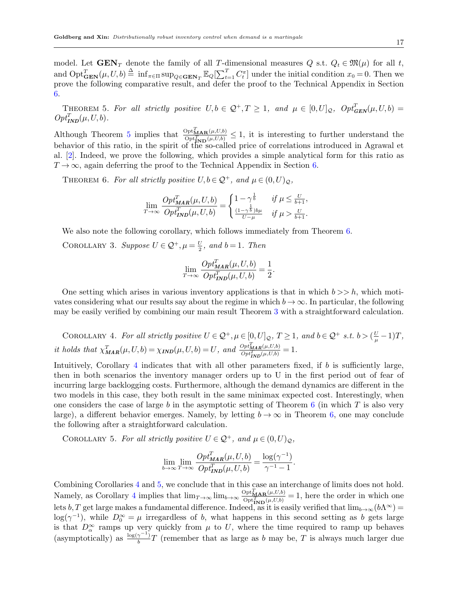model. Let  $\text{GEN}_T$  denote the family of all T-dimensional measures Q s.t.  $Q_t \in \mathfrak{M}(\mu)$  for all t, and  $\mathrm{Opt}_{\mathbf{GEN}}^T(\mu, U, b) \triangleq \inf_{\pi \in \Pi} \sup_{Q \in \mathbf{GEN}_T} \mathbb{E}_Q[\sum_{t=1}^T C_t^{\pi}]$  under the initial condition  $x_0 = 0$ . Then we prove the following comparative result, and defer the proof to the Technical Appendix in Section [6.](#page-32-6)

<span id="page-16-0"></span>THEOREM 5. For all strictly positive  $U, b \in \mathcal{Q}^+, T \geq 1$ , and  $\mu \in [0, U]_{\mathcal{Q}}$ ,  $Opt_{GEN}^T(\mu, U, b) =$  $Opt_{\text{IND}}^T(\mu, U, b)$ .

Although Theorem [5](#page-16-0) implies that  $\frac{\text{Opt}_{\text{MAP}}^T(\mu, U, b)}{\text{Opt}_{\text{IND}}^T(\mu, U, b)} \leq 1$ , it is interesting to further understand the behavior of this ratio, in the spirit of the so-called price of correlations introduced in Agrawal et al. [\[2\]](#page-27-0). Indeed, we prove the following, which provides a simple analytical form for this ratio as  $T \rightarrow \infty$ , again deferring the proof to the Technical Appendix in Section [6.](#page-32-6)

<span id="page-16-1"></span>THEOREM 6. For all strictly positive  $U, b \in \mathcal{Q}^+$ , and  $\mu \in (0, U)_{\mathcal{Q}}$ ,

$$
\lim_{T \to \infty} \frac{Opt_{\mathit{MAR}}^T(\mu, U, b)}{Opt_{\mathit{IND}}^T(\mu, U, b)} = \begin{cases} 1 - \gamma^{\frac{1}{b}} & \text{if } \mu \le \frac{U}{b+1}, \\ \frac{(1 - \gamma^{\frac{1}{b}}) b \mu}{U - \mu} & \text{if } \mu > \frac{U}{b+1}. \end{cases}
$$

We also note the following corollary, which follows immediately from Theorem [6.](#page-16-1)

COROLLARY 3. Suppose  $U \in \mathcal{Q}^+, \mu = \frac{U}{2}$  $\frac{U}{2}$ , and  $b=1$ . Then

$$
\lim_{T \to \infty} \frac{Opt_{\mathbf{MAR}}^T(\mu, U, b)}{Opt_{\mathbf{IND}}^T(\mu, U, b)} = \frac{1}{2}.
$$

One setting which arises in various inventory applications is that in which  $b \gt\gt h$ , which motivates considering what our results say about the regime in which  $b \to \infty$ . In particular, the following may be easily verified by combining our main result Theorem [3](#page-11-0) with a straightforward calculation.

<span id="page-16-2"></span>COROLLARY 4. For all strictly positive  $U \in \mathcal{Q}^+, \mu \in [0, U]_{\mathcal{Q}}, T \geq 1$ , and  $b \in \mathcal{Q}^+$  s.t.  $b > (\frac{U}{\mu} - 1)T$ , it holds that  $\chi^T_{\mathbf{MAR}}(\mu, U, b) = \chi_{\mathbf{IND}}(\mu, U, b) = U$ , and  $\frac{Opt_{\mathbf{MAR}}^T(\mu, U, b)}{Opt_{\mathbf{TM}}^T(\mu, U, b)}$  $\frac{Opt_{\boldsymbol{MAR}}(\mu,U,b)}{Opt_{\boldsymbol{IND}}^T(\mu,U,b)}=1.$ 

Intuitively, Corollary [4](#page-16-2) indicates that with all other parameters fixed, if  $b$  is sufficiently large, then in both scenarios the inventory manager orders up to U in the first period out of fear of incurring large backlogging costs. Furthermore, although the demand dynamics are different in the two models in this case, they both result in the same minimax expected cost. Interestingly, when one considers the case of large b in the asymptotic setting of Theorem  $6$  (in which  $T$  is also very large), a different behavior emerges. Namely, by letting  $b \to \infty$  in Theorem [6,](#page-16-1) one may conclude the following after a straightforward calculation.

COROLLARY 5. For all strictly positive  $U \in \mathcal{Q}^+$ , and  $\mu \in (0, U)_{\mathcal{Q}}$ ,

<span id="page-16-3"></span>
$$
\lim_{b \to \infty} \lim_{T \to \infty} \frac{Opt_{\mathbf{MAR}}^T(\mu, U, b)}{Opt_{\mathbf{IND}}^T(\mu, U, b)} = \frac{\log(\gamma^{-1})}{\gamma^{-1} - 1}.
$$

Combining Corollaries [4](#page-16-2) and [5,](#page-16-3) we conclude that in this case an interchange of limits does not hold. Namely, as Corollary [4](#page-16-2) implies that  $\lim_{T\to\infty} \lim_{b\to\infty} \frac{\mathrm{Opt}_{\mathbf{MAR}}^T(\mu,U,b)}{\mathrm{Opt}_T^T(\mu,U,b)}$  $\frac{\partial P^{t} \mathbf{M} \mathbf{A} \mathbf{R}(\mu, U, b)}{\partial p_{t}^{t} \mathbf{N} \mathbf{D}(\mu, U, b)} = 1$ , here the order in which one lets b, T get large makes a fundamental difference. Indeed, as it is easily verified that  $\lim_{b\to\infty}(b\Lambda^\infty)$  =  $log(\gamma^{-1})$ , while  $D_0^{\infty} = \mu$  irregardless of b, what happens in this second setting as b gets large is that  $D_{\alpha}^{\infty}$  ramps up very quickly from  $\mu$  to U, where the time required to ramp up behaves (asymptotically) as  $\frac{\log(\gamma^{-1})}{h}$  $\frac{\gamma}{b}$  (remember that as large as b may be, T is always much larger due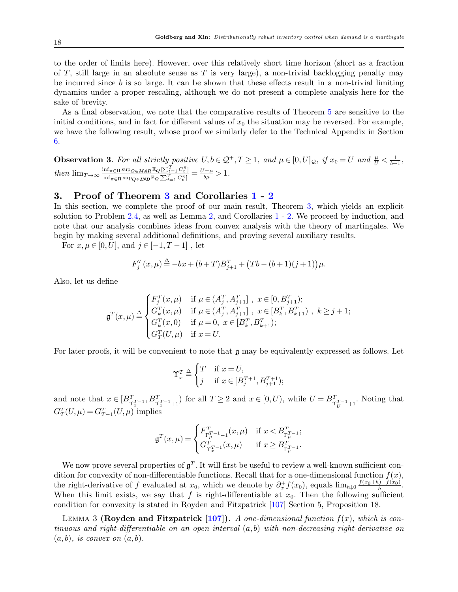to the order of limits here). However, over this relatively short time horizon (short as a fraction of T, still large in an absolute sense as T is very large), a non-trivial backlogging penalty may be incurred since  $b$  is so large. It can be shown that these effects result in a non-trivial limiting dynamics under a proper rescaling, although we do not present a complete analysis here for the sake of brevity.

As a final observation, we note that the comparative results of Theorem [5](#page-16-0) are sensitive to the initial conditions, and in fact for different values of  $x_0$  the situation may be reversed. For example, we have the following result, whose proof we similarly defer to the Technical Appendix in Section [6.](#page-32-6)

<span id="page-17-1"></span>**Observation 3.** For all strictly positive  $U, b \in \mathcal{Q}^+, T \geq 1$ , and  $\mu \in [0, U]_{\mathcal{Q}}$ , if  $x_0 = U$  and  $\frac{\mu}{U} < \frac{1}{b+1}$ , then  $\lim_{T\to\infty} \frac{\inf_{\pi \in \Pi} \sup_{Q \in \mathbf{MAR}} \mathbb{E}_Q[\sum_{t=1}^T C_t^{\pi}]}{\inf_{\pi \in \Pi} \sup_{\pi \in \Pi} \sup_{\pi \in \Pi} \mathbb{E}_P[\sum_{t=1}^T C_t^{\pi}]}$  $\frac{\inf_{\pi \in \Pi} \sup_{Q \in \textit{MAR}} \mathbb{E}_Q[\sum_{t=1}^T C_t^{\pi}]}{\inf_{\pi \in \Pi} \sup_{Q \in \textit{IND}} \mathbb{E}_Q[\sum_{t=1}^T C_t^{\pi}]} = \frac{U - \mu}{b \mu} > 1.$ 

# 3. Proof of Theorem [3](#page-11-0) and Corollaries [1](#page-12-0) - [2](#page-12-1)

In this section, we complete the proof of our main result, Theorem [3,](#page-11-0) which yields an explicit solution to Problem [2.4,](#page-8-1) as well as Lemma [2,](#page-9-1) and Corollaries [1](#page-12-0) - [2.](#page-12-1) We proceed by induction, and note that our analysis combines ideas from convex analysis with the theory of martingales. We begin by making several additional definitions, and proving several auxiliary results.

For  $x, \mu \in [0, U]$ , and  $j \in [-1, T-1]$ , let

$$
F_j^T(x,\mu) \stackrel{\Delta}{=} -bx + (b+T)B_{j+1}^T + (Tb - (b+1)(j+1))\mu.
$$

Also, let us define

$$
\mathfrak{g}^T(x,\mu) \stackrel{\Delta}{=} \begin{cases} F_j^T(x,\mu) & \text{if } \mu \in (A_j^T, A_{j+1}^T], \ x \in [0, B_{j+1}^T); \\ G_k^T(x,\mu) & \text{if } \mu \in (A_j^T, A_{j+1}^T], \ x \in [B_k^T, B_{k+1}^T), \ k \geq j+1; \\ G_k^T(x,0) & \text{if } \mu = 0, \ x \in [B_k^T, B_{k+1}^T); \\ G_T^T(U,\mu) & \text{if } x = U. \end{cases}
$$

For later proofs, it will be convenient to note that g may be equivalently expressed as follows. Let

$$
\Upsilon_x^T \stackrel{\Delta}{=} \begin{cases} T & \text{if } x = U, \\ j & \text{if } x \in [B_j^{T+1}, B_{j+1}^{T+1}); \end{cases}
$$

and note that  $x \in [B_{\Upsilon_x^T-1}^T, B_{\Upsilon_x^T-1+1}^T)$  for all  $T \ge 2$  and  $x \in [0, U)$ , while  $U = B_{\Upsilon_x^T-1+1}^T$ . Noting that  $G_T^T(U,\mu) = G_{T-1}^T(U,\mu)$  implies

<span id="page-17-0"></span>
$$
\mathfrak{g}^T(x,\mu) = \begin{cases} F_{\Gamma_\mu^{T_{-1}}-1}^T(x,\mu) & \text{if } x < B_{\Gamma_\mu^{T_{-1}}}^T; \\ G_{\Upsilon_x^{T_{-1}}}^T(x,\mu) & \text{if } x \geq B_{\Gamma_\mu^{T_{-1}}}^T. \end{cases}
$$

We now prove several properties of  $\mathfrak{g}^T$ . It will first be useful to review a well-known sufficient condition for convexity of non-differentiable functions. Recall that for a one-dimensional function  $f(x)$ , the right-derivative of f evaluated at  $x_0$ , which we denote by  $\partial_x^+ f(x_0)$ , equals  $\lim_{h\downarrow 0} \frac{f(x_0+h)-f(x_0)}{h}$ . When this limit exists, we say that f is right-differentiable at  $x_0$ . Then the following sufficient condition for convexity is stated in Royden and Fitzpatrick [\[107\]](#page-31-20) Section 5, Proposition 18.

LEMMA 3 (Royden and Fitzpatrick [\[107\]](#page-31-20)). A one-dimensional function  $f(x)$ , which is continuous and right-differentiable on an open interval  $(a, b)$  with non-decreasing right-derivative on  $(a, b)$ , is convex on  $(a, b)$ .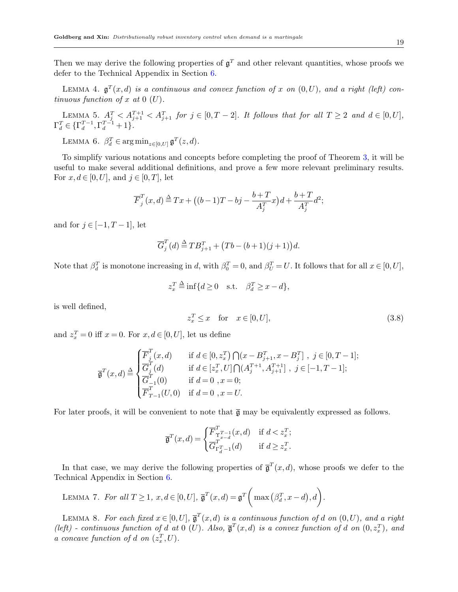Then we may derive the following properties of  $\mathfrak{g}^T$  and other relevant quantities, whose proofs we defer to the Technical Appendix in Section [6.](#page-32-6)

<span id="page-18-1"></span>LEMMA 4.  $\mathfrak{g}^T(x,d)$  is a continuous and convex function of x on  $(0,U)$ , and a right (left) continuous function of x at  $0$  (U).

<span id="page-18-4"></span>LEMMA 5.  $A_j^T < A_{j+1}^{T+1} < A_{j+1}^T$  for  $j \in [0, T-2]$ . It follows that for all  $T \geq 2$  and  $d \in [0, U]$ ,  $\Gamma_d^T \in \{\Gamma_d^{T-1}, \Gamma_d^{T-1} + 1\}.$ 

<span id="page-18-2"></span>LEMMA 6.  $\beta_d^T \in \argmin_{z \in [0, U]} \mathfrak{g}^T(z, d)$ .

To simplify various notations and concepts before completing the proof of Theorem [3,](#page-11-0) it will be useful to make several additional definitions, and prove a few more relevant preliminary results. For  $x, d \in [0, U]$ , and  $j \in [0, T]$ , let

$$
\overline{F}_j^T(x,d) \stackrel{\Delta}{=} Tx + \left( (b-1)T - bj - \frac{b+T}{A_j^T}x \right) d + \frac{b+T}{A_j^T}d^2;
$$

and for  $j \in [-1, T-1]$ , let

$$
\overline{G}_j^T(d) \stackrel{\Delta}{=} T B_{j+1}^T + (Tb - (b+1)(j+1))d.
$$

Note that  $\beta_d^T$  is monotone increasing in d, with  $\beta_0^T = 0$ , and  $\beta_U^T = U$ . It follows that for all  $x \in [0, U]$ ,

$$
z_x^T \stackrel{\Delta}{=} \inf\{d \ge 0 \quad \text{s.t.} \quad \beta_d^T \ge x - d\},
$$

is well defined,

<span id="page-18-0"></span>
$$
z_x^T \le x \quad \text{for} \quad x \in [0, U], \tag{3.8}
$$

and  $z_x^T = 0$  iff  $x = 0$ . For  $x, d \in [0, U]$ , let us define

$$
\overline{\mathfrak{g}}^T(x,d) \stackrel{\Delta}{=} \begin{cases} \overline{F}_j^T(x,d) & \text{if } d \in [0,z_x^T) \bigcap (x-B_{j+1}^T,x-B_j^T] \; , \; j \in [0,T-1]; \\ \overline{G}_j^T(d) & \text{if } d \in [z_x^T,U] \bigcap (A_j^{T+1},A_{j+1}^{T+1}] \; , \; j \in [-1,T-1]; \\ \overline{G}_{-1}^T(0) & \text{if } d=0 \; , x=0; \\ \overline{F}_{T-1}^T(U,0) & \text{if } d=0 \; , x=U. \end{cases}
$$

For later proofs, it will be convenient to note that  $\overline{g}$  may be equivalently expressed as follows.

<span id="page-18-3"></span>
$$
\overline{\mathfrak{g}}^T(x,d)=\begin{cases} \overline{F}^T_{\Upsilon^{T-1}_{x-d}}(x,d) & \text{if } d
$$

In that case, we may derive the following properties of  $\bar{\mathfrak{g}}^T(x,d)$ , whose proofs we defer to the Technical Appendix in Section [6.](#page-32-6)

LEMMA 7. For all 
$$
T \ge 1
$$
,  $x, d \in [0, U]$ ,  $\overline{\mathfrak{g}}^T(x, d) = \mathfrak{g}^T\left(\max\left(\beta_d^T, x - d\right), d\right)$ .

<span id="page-18-5"></span>LEMMA 8. For each fixed  $x \in [0, U]$ ,  $\overline{\mathfrak{g}}^T(x,d)$  is a continuous function of d on  $(0, U)$ , and a right (left) - continuous function of d at 0 (U). Also,  $\bar{\mathfrak{g}}^T(x,d)$  is a convex function of d on  $(0,z_x^T)$ , and a concave function of d on  $(z_x^T, U)$ .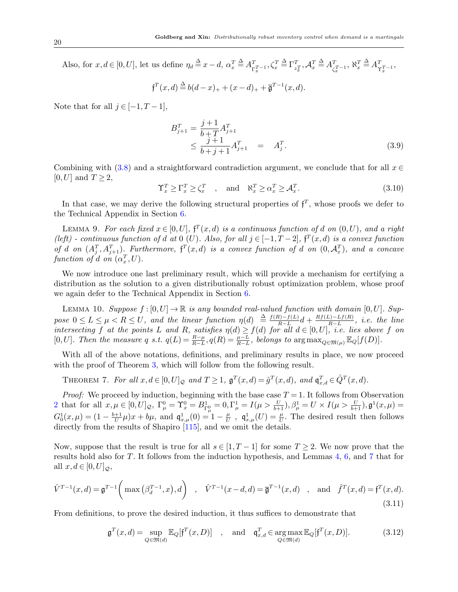Also, for  $x, d \in [0, U]$ , let us define  $\eta_d \stackrel{\Delta}{=} x-d$ ,  $\alpha_x^T \stackrel{\Delta}{=} A_{\Gamma_x^T-1}^T$ ,  $\zeta_x^T \stackrel{\Delta}{=} \Gamma_{z_x^T}^T$ ,  $\mathcal{A}_x^T \stackrel{\Delta}{=} A_{\zeta_x^T-1}^T$ ,  $\aleph_x^T \stackrel{\Delta}{=} A_{\Upsilon_x^T-1}^T$ ,

$$
f^{T}(x,d) \stackrel{\Delta}{=} b(d-x)_{+} + (x-d)_{+} + \overline{\mathfrak{g}}^{T-1}(x,d).
$$

Note that for all  $j \in [-1, T-1]$ ,

<span id="page-19-2"></span>
$$
B_{j+1}^T = \frac{j+1}{b+T} A_{j+1}^T
$$
  
\n
$$
\leq \frac{j+1}{b+j+1} A_{j+1}^T = A_j^T.
$$
\n(3.9)

Combining with [\(3.8\)](#page-18-0) and a straightforward contradiction argument, we conclude that for all  $x \in$  $[0, U]$  and  $T \geq 2$ ,

<span id="page-19-6"></span>
$$
\Upsilon_x^T \ge \Gamma_x^T \ge \zeta_x^T \quad , \quad \text{and} \quad \aleph_x^T \ge \alpha_x^T \ge \mathcal{A}_x^T. \tag{3.10}
$$

In that case, we may derive the following structural properties of  $f^T$ , whose proofs we defer to the Technical Appendix in Section [6.](#page-32-6)

<span id="page-19-0"></span>LEMMA 9. For each fixed  $x \in [0, U]$ ,  $f^T(x,d)$  is a continuous function of d on  $(0, U)$ , and a right (left) - continuous function of d at 0 (U). Also, for all  $j \in [-1, T-2]$ ,  $f^{T}(x,d)$  is a convex function of d on  $(A_j^T, A_{j+1}^T)$ . Furthermore,  $f^T(x,d)$  is a convex function of d on  $(0, A_x^T)$ , and a concave function of d on  $(\alpha_x^T, U)$ .

We now introduce one last preliminary result, which will provide a mechanism for certifying a distribution as the solution to a given distributionally robust optimization problem, whose proof we again defer to the Technical Appendix in Section [6.](#page-32-6)

<span id="page-19-1"></span>LEMMA 10. Suppose  $f : [0, U] \to \mathbb{R}$  is any bounded real-valued function with domain  $[0, U]$ . Suppose  $0 \le L \le \mu < R \le U$ , and the linear function  $\eta(d) \stackrel{\Delta}{=} \frac{f(R)-f(L)}{B-L}$  $\frac{R-1}{R-L}d + \frac{Rf(L)-Lf(R)}{R-L}$  $\frac{L(-L-1) - L}{R-L}$ , *i.e.* the line intersecting f at the points L and R, satisfies  $\eta(d) \geq f(d)$  for all  $d \in [0, U]$ , i.e. lies above f on [0, U]. Then the measure q s.t.  $q(L) = \frac{R-\mu}{R-L}$ ,  $q(R) = \frac{\mu-L}{R-L}$ , belongs to  $\arg \max_{Q \in \mathfrak{M}(\mu)} \mathbb{E}_Q[f(D)]$ .

With all of the above notations, definitions, and preliminary results in place, we now proceed with the proof of Theorem [3,](#page-11-0) which will follow from the following result.

<span id="page-19-4"></span>THEOREM 7. For all  $x, d \in [0, U]_{\mathcal{Q}}$  and  $T \geq 1$ ,  $\mathfrak{g}^T(x,d) = \hat{g}^T(x,d)$ , and  $\mathfrak{q}^T_{x,d} \in \hat{Q}^T(x,d)$ .

*Proof:* We proceed by induction, beginning with the base case  $T = 1$ . It follows from Observation [2](#page-14-1) that for all  $x, \mu \in [0, U]_{\mathcal{Q}}, \ \Gamma_\mu^0 = \Upsilon_x^0 = B_{\Gamma_\mu^0}^1 = 0, \Gamma_\mu^1 = I(\mu > \frac{U}{b+1}), \beta_\mu^1 = U \times I(\mu > \frac{U}{b+1}), \mathfrak{g}^1(x, \mu) =$  $G_0^1(x,\mu) = (1 - \frac{b+1}{U})$  $\frac{+1}{U}\mu)x + b\mu$ , and  $\mathfrak{q}_{x,\mu}^1(0) = 1 - \frac{\mu}{U}$  $\frac{\mu}{U}$ ,  $\mathfrak{q}^1_{x,\mu}(U) = \frac{\mu}{U}$ . The desired result then follows directly from the results of Shapiro [\[115\]](#page-31-0), and we omit the details.

Now, suppose that the result is true for all  $s \in [1, T-1]$  for some  $T \geq 2$ . We now prove that the results hold also for T. It follows from the induction hypothesis, and Lemmas [4,](#page-18-1) [6,](#page-18-2) and [7](#page-18-3) that for all  $x, d \in [0, U]_{\mathcal{Q}},$ 

<span id="page-19-5"></span>
$$
\hat{V}^{T-1}(x,d) = \mathfrak{g}^{T-1}\left(\max\left(\beta_d^{T-1},x\right),d\right) , \quad \hat{V}^{T-1}(x-d,d) = \overline{\mathfrak{g}}^{T-1}(x,d) , \text{ and } \hat{f}^{T}(x,d) = \mathfrak{f}^{T}(x,d). \tag{3.11}
$$

From definitions, to prove the desired induction, it thus suffices to demonstrate that

<span id="page-19-3"></span>
$$
\mathfrak{g}^T(x,d) = \sup_{Q \in \mathfrak{M}(d)} \mathbb{E}_Q[\mathfrak{f}^T(x,D)] \quad , \quad \text{and} \quad \mathfrak{q}^T_{x,d} \in \underset{Q \in \mathfrak{M}(d)}{\arg \max} \mathbb{E}_Q[\mathfrak{f}^T(x,D)]. \tag{3.12}
$$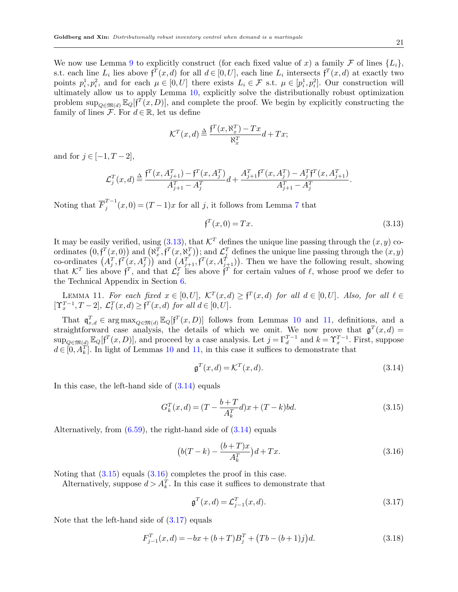We now use Lemma [9](#page-19-0) to explicitly construct (for each fixed value of x) a family F of lines  $\{L_i\}$ , s.t. each line  $L_i$  lies above  $f^T(x,d)$  for all  $d \in [0,U]$ , each line  $L_i$  intersects  $f^T(x,d)$  at exactly two points  $p_i^1, p_i^2$ , and for each  $\mu \in [0, U]$  there exists  $L_i \in \mathcal{F}$  s.t.  $\mu \in [p_i^1, p_i^2]$ . Our construction will ultimately allow us to apply Lemma [10,](#page-19-1) explicitly solve the distributionally robust optimization problem  $\sup_{Q \in \mathfrak{M}(d)} \mathbb{E}_Q[f^T(x, D)]$ , and complete the proof. We begin by explicitly constructing the family of lines  $\mathcal{F}$ . For  $d \in \mathbb{R}$ , let us define

$$
\mathcal{K}^T(x,d) \stackrel{\Delta}{=} \frac{\mathfrak{f}^T(x, \aleph_x^T) - Tx}{\aleph_x^T} d + Tx;
$$

and for  $j \in [-1, T-2]$ ,

$$
\mathcal{L}_j^T(x,d) \stackrel{\Delta}{=} \frac{f^T(x,A_{j+1}^T) - f^T(x,A_j^T)}{A_{j+1}^T - A_j^T}d + \frac{A_{j+1}^T f^T(x,A_j^T) - A_j^T f^T(x,A_{j+1}^T)}{A_{j+1}^T - A_j^T}.
$$

Noting that  $\overline{F}_i^{T-1}$  $j^{T-1}(x,0) = (T-1)x$  for all j, it follows from Lemma [7](#page-18-3) that

<span id="page-20-1"></span><span id="page-20-0"></span>
$$
\mathfrak{f}^T(x,0) = Tx.\tag{3.13}
$$

It may be easily verified, using  $(3.13)$ , that  $\mathcal{K}^T$  defines the unique line passing through the  $(x, y)$  coordinates  $(0, f^T(x, 0))$  and  $(\aleph_x^T, f^T(x, \aleph_x^T))$ ; and  $\mathcal{L}_j^T$  defines the unique line passing through the  $(x, y)$ co-ordinates  $(A_j^T, \mathfrak{f}^T(x, A_j^T))$  and  $(A_{j+1}^T, \mathfrak{f}^T(x, A_{j+1}^T))$ . Then we have the following result, showing that  $\mathcal{K}^T$  lies above  $f^T$ , and that  $\mathcal{L}^T_\ell$  lies above  $f^T$  for certain values of  $\ell$ , whose proof we defer to the Technical Appendix in Section [6.](#page-32-6)

LEMMA 11. For each fixed  $x \in [0, U]$ ,  $\mathcal{K}^T(x,d) \geq \mathfrak{f}^T(x,d)$  for all  $d \in [0, U]$ . Also, for all  $\ell \in$  $[\Upsilon_x^{T-1}, T-2], \mathcal{L}_{\ell}^{T}(x,d) \geq \mathfrak{f}^{T}(x,d)$  for all  $d \in [0, U].$ 

That  $\mathfrak{q}_{x,d}^T \in \arg \max_{Q \in \mathfrak{M}(d)} \mathbb{E}_Q[f^T(x,D)]$  follows from Lemmas [10](#page-19-1) and [11,](#page-20-1) definitions, and a straightforward case analysis, the details of which we omit. We now prove that  $\mathfrak{g}^T(x,d)$  $\sup_{Q \in \mathfrak{M}(d)} \mathbb{E}_Q[f^T(x,D)]$ , and proceed by a case analysis. Let  $j = \Gamma_d^{T-1}$  and  $k = \Upsilon_x^{T-1}$ . First, suppose  $d \in [0, A_k^T]$ . In light of Lemmas [10](#page-19-1) and [11,](#page-20-1) in this case it suffices to demonstrate that

<span id="page-20-2"></span>
$$
\mathfrak{g}^T(x,d) = \mathcal{K}^T(x,d). \tag{3.14}
$$

In this case, the left-hand side of  $(3.14)$  equals

<span id="page-20-3"></span>
$$
G_k^T(x,d) = (T - \frac{b+T}{A_k^T}d)x + (T - k)bd.
$$
\n(3.15)

Alternatively, from  $(6.59)$ , the right-hand side of  $(3.14)$  equals

<span id="page-20-4"></span>
$$
(b(T-k) - \frac{(b+T)x}{A_k^T})d + Tx.
$$
\n(3.16)

Noting that  $(3.15)$  equals  $(3.16)$  completes the proof in this case.

Alternatively, suppose  $d > A_k^T$ . In this case it suffices to demonstrate that

<span id="page-20-5"></span>
$$
\mathfrak{g}^T(x,d) = \mathcal{L}_{j-1}^T(x,d). \tag{3.17}
$$

Note that the left-hand side of  $(3.17)$  equals

<span id="page-20-6"></span>
$$
F_{j-1}^T(x,d) = -bx + (b+T)B_j^T + (Tb - (b+1)j)d.
$$
\n(3.18)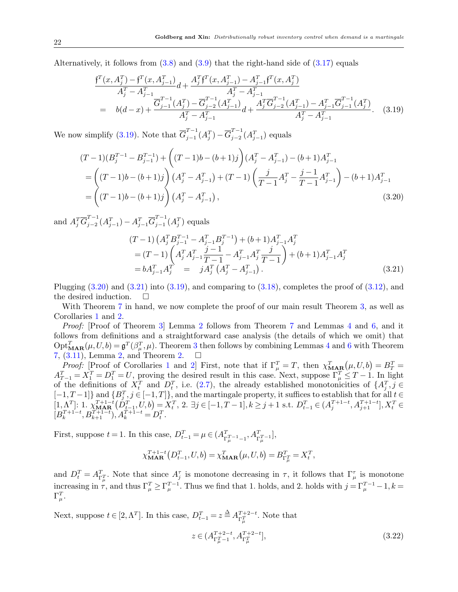Alternatively, it follows from  $(3.8)$  and  $(3.9)$  that the right-hand side of  $(3.17)$  equals

<span id="page-21-0"></span>
$$
\frac{f^T(x, A_j^T) - f^T(x, A_{j-1}^T)}{A_j^T - A_{j-1}^T} d + \frac{A_j^T f^T(x, A_{j-1}^T) - A_{j-1}^T f^T(x, A_j^T)}{A_j^T - A_{j-1}^T}
$$
\n
$$
= b(d-x) + \frac{\overline{G}_{j-1}^{T-1}(A_j^T) - \overline{G}_{j-2}^{T-1}(A_{j-1}^T)}{A_j^T - A_{j-1}^T} d + \frac{A_j^T \overline{G}_{j-2}^{T-1}(A_{j-1}^T) - A_{j-1}^T \overline{G}_{j-1}^{T-1}(A_j^T)}{A_j^T - A_{j-1}^T}.
$$
\n(3.19)

We now simplify [\(3.19\)](#page-21-0). Note that  $\overline{G}_{i-1}^{T-1}$  $T^{-1}_{j-1}(A_j^T) - \overline{G}_{j-2}^{T-1}$  $j^{-1}_{j-2}(A_{j-1}^T)$  equals

<span id="page-21-1"></span>
$$
(T-1)(B_j^{T-1} - B_{j-1}^{T-1}) + ((T-1)b - (b+1)j)(A_j^T - A_{j-1}^T) - (b+1)A_{j-1}^T
$$
  
= 
$$
((T-1)b - (b+1)j)(A_j^T - A_{j-1}^T) + (T-1)\left(\frac{j}{T-1}A_j^T - \frac{j-1}{T-1}A_{j-1}^T\right) - (b+1)A_{j-1}^T
$$
  
= 
$$
((T-1)b - (b+1)j)(A_j^T - A_{j-1}^T),
$$
 (3.20)

and  $A_j^T \overline{G}_{j-2}^{T-1}$  $_{j-2}^{T-1}(A_{j-1}^{T}) - A_{j-1}^{T}\overline{G}_{j-1}^{T-1}$  $j_{-1}^{I-1}(A_j^T)$  equals

<span id="page-21-2"></span>
$$
(T-1)\left(A_j^T B_{j-1}^{T-1} - A_{j-1}^T B_j^{T-1}\right) + (b+1)A_{j-1}^T A_j^T
$$
  
= 
$$
(T-1)\left(A_j^T A_{j-1}^T \frac{j-1}{T-1} - A_{j-1}^T A_j^T \frac{j}{T-1}\right) + (b+1)A_{j-1}^T A_j^T
$$
  
= 
$$
b A_{j-1}^T A_j^T = j A_j^T \left(A_j^T - A_{j-1}^T\right).
$$
 (3.21)

Plugging  $(3.20)$  and  $(3.21)$  into  $(3.19)$ , and comparing to  $(3.18)$ , completes the proof of  $(3.12)$ , and the desired induction.  $\Box$ 

With Theorem [7](#page-19-4) in hand, we now complete the proof of our main result Theorem [3,](#page-11-0) as well as Corollaries [1](#page-12-0) and [2.](#page-12-1)

Proof: [Proof of Theorem [3\]](#page-11-0) Lemma [2](#page-9-1) follows from Theorem [7](#page-19-4) and Lemmas [4](#page-18-1) and [6,](#page-18-2) and it follows from definitions and a straightforward case analysis (the details of which we omit) that  $\mathrm{Opt}_{\mathbf{MAR}}^T(\mu, U, b) = \mathfrak{g}^T(\beta_{\mu}^T, \mu)$ . Theorem [3](#page-11-0) then follows by combining Lemmas [4](#page-18-1) and [6](#page-18-2) with Theorem [7,](#page-19-4)  $(3.11)$ , Lemma [2,](#page-9-1) and Theorem [2.](#page-10-1)  $\square$ 

*Proof:* [Proof of Corollaries [1](#page-12-0) and [2\]](#page-12-1) First, note that if  $\Gamma_{\mu}^{T} = T$ , then  $\chi_{\text{MAR}}^{T}(\mu, U, b) = B_{T}^{T} = T$  $A_{T-1}^T = X_1^T = D_1^T = U$ , proving the desired result in this case. Next, suppose  $\Gamma_{\mu}^T \leq T-1$ . In light of the definitions of  $X_t^T$  and  $D_t^T$ , i.e. [\(2.7\)](#page-11-1), the already established monotonicities of  $\{A_j^T, j \in$  $[-1, T-1]$ } and  $\{B_j^T, j \in [-1, T]\}$ , and the martingale property, it suffices to establish that for all  $t \in$  $[1,\Lambda^T]$ : 1.  $\chi_{\text{MAR}}^{T+1-t}(\tilde{D}_{t-1}^T,U,b) = X_t^T$ , 2.  $\exists j \in [-1, T-1], k \geq j+1$  s.t.  $D_{t-1}^T \in (A_j^{T+1-t}, A_{j+1}^{T+1-t}], X_t^T \in$  $[B_k^{T+1-t}, B_{k+1}^{T+1-t}), A_k^{T+1-t} = D_t^T.$ 

First, suppose  $t = 1$ . In this case,  $D_{t-1}^T = \mu \in (A_{\Gamma_{\mu}^{T-1} - 1}^T, A_{\Gamma_{\mu}^{T-1}}^T]$ ,

$$
\chi_{\mathbf{MAR}}^{T+1-t}(D_{t-1}^T, U, b) = \chi_{\mathbf{MAR}}^T(\mu, U, b) = B_{\Gamma_{\mu}^T}^T = X_t^T,
$$

and  $D_t^T = A_{\Gamma_{\mu}^T}^T$ . Note that since  $A_j^{\tau}$  is monotone decreasing in  $\tau$ , it follows that  $\Gamma_{\mu}^{\tau}$  is monotone increasing in  $\tau$ , and thus  $\Gamma_{\mu}^{T} \geq \Gamma_{\mu}^{T-1}$ . Thus we find that 1. holds, and 2. holds with  $j = \Gamma_{\mu}^{T-1} - 1$ ,  $k =$  $\Gamma_\mu^T.$ 

Next, suppose  $t \in [2, \Lambda^T]$ . In this case,  $D_{t-1}^T = z \stackrel{\Delta}{=} A_{\Gamma_{\mu}^T}^{T+2-t}$ . Note that

<span id="page-21-3"></span>
$$
z \in (A_{\Gamma_{\mu}^{T} - 1}^{T + 2 - t}, A_{\Gamma_{\mu}^{T}}^{T + 2 - t}],
$$
\n(3.22)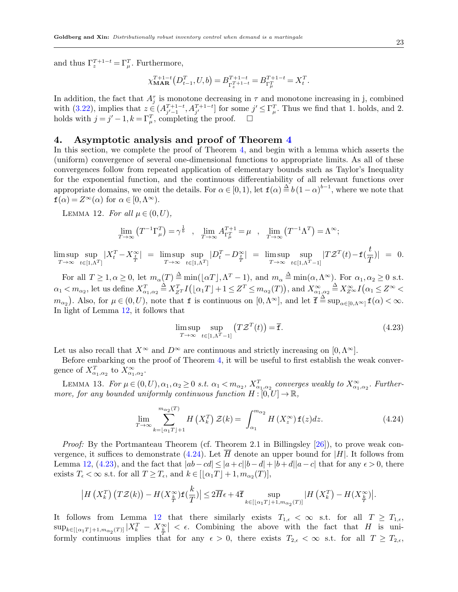and thus  $\Gamma_z^{T+1-t} = \Gamma_{\mu}^T$ . Furthermore,

$$
\chi^{T+1-t}_{\mathbf{MAR}}\left(D_{t-1}^T,U,b\right) = B^{T+1-t}_{\Gamma_x^{T+1-t}} = B^{T+1-t}_{\Gamma_u^{T}} = X_t^T.
$$

In addition, the fact that  $A_j^{\tau}$  is monotone decreasing in  $\tau$  and monotone increasing in j, combined with  $(3.22)$ , implies that  $z \in (A_{j'-1}^{T+1-t}, A_{j'}^{T+1-t}]$  for some  $j' \leq \Gamma_{\mu}^T$ . Thus we find that 1. holds, and 2. holds with  $j = j' - 1$ ,  $k = \Gamma_{\mu}^{T}$ , completing the proof.  $\square$ 

# <span id="page-22-0"></span>4. Asymptotic analysis and proof of Theorem [4](#page-14-0)

In this section, we complete the proof of Theorem [4,](#page-14-0) and begin with a lemma which asserts the (uniform) convergence of several one-dimensional functions to appropriate limits. As all of these convergences follow from repeated application of elementary bounds such as Taylor's Inequality for the exponential function, and the continuous differentiability of all relevant functions over appropriate domains, we omit the details. For  $\alpha \in [0,1)$ , let  $f(\alpha) \stackrel{\Delta}{=} b(1-\alpha)^{b-1}$ , where we note that  $f(\alpha) = Z^{\infty}(\alpha)$  for  $\alpha \in [0, \Lambda^{\infty})$ .

LEMMA 12. For all  $\mu \in (0, U)$ ,

<span id="page-22-1"></span>
$$
\lim_{T \to \infty} (T^{-1} \Gamma_{\mu}^{T}) = \gamma^{\frac{1}{b}} \quad , \quad \lim_{T \to \infty} A_{\Gamma_{\mu}^{T}}^{T+1} = \mu \quad , \quad \lim_{T \to \infty} (T^{-1} \Lambda^{T}) = \Lambda^{\infty};
$$

 $\limsup_{T\to\infty} \sup_{t\in[1,\Lambda]}$  $t\in[1,\Lambda^T]$  $|X_t^T - X_{\frac{t}{T}}^{\infty}| = \limsup_{T \to \infty} \sup_{t \in [1, \Lambda]}$  $t\in[1,\Lambda^T]$  $|D_t^T - D_{\frac{t}{T}}^{\infty}| = \limsup_{T \to \infty} \sup_{t \in [1, \Lambda^T]}$  $t\in[1,\Lambda^T-1]$  $|TZ^T(t)-f(\frac{t}{\sigma})|$  $\frac{c}{T}$ )| = 0.

For all  $T \geq 1, \alpha \geq 0$ , let  $m_{\alpha}(T) \triangleq \min(|\alpha T|, \Lambda^T - 1)$ , and  $m_{\alpha} \triangleq \min(\alpha, \Lambda^{\infty})$ . For  $\alpha_1, \alpha_2 \geq 0$  s.t.  $\alpha_1 < m_{\alpha_2}$ , let us define  $X_{\alpha_1,\alpha_2}^T \triangleq X_{Z^T}^T I(|\alpha_1 T| + 1 \leq Z^T \leq m_{\alpha_2}(T)),$  and  $X_{\alpha_1,\alpha_2}^{\infty} \triangleq X_{Z^{\infty}}^{\infty} I(\alpha_1 \leq Z^{\infty} <$  $m_{\alpha_2}$ ). Also, for  $\mu \in (0, U)$ , note that f is continuous on  $[0, \Lambda^{\infty}]$ , and let  $\overline{\mathbf{f}} \triangleq \sup_{\alpha \in [0, \Lambda^{\infty}]} \mathbf{f}(\alpha) < \infty$ . In light of Lemma [12,](#page-22-1) it follows that

<span id="page-22-3"></span>
$$
\limsup_{T \to \infty} \sup_{t \in [1, \Lambda^T - 1]} \left( T \mathcal{Z}^T(t) \right) = \overline{\mathbf{f}}.\tag{4.23}
$$

Let us also recall that  $X^{\infty}$  and  $D^{\infty}$  are continuous and strictly increasing on [0,  $\Lambda^{\infty}$ ].

Before embarking on the proof of Theorem [4,](#page-14-0) it will be useful to first establish the weak convergence of  $X_{\alpha_1,\alpha_2}^T$  to  $X_{\alpha_1,\alpha_2}^{\infty}$ .

LEMMA 13. For  $\mu \in (0, U), \alpha_1, \alpha_2 \ge 0$  s.t.  $\alpha_1 < m_{\alpha_2}$ ,  $X_{\alpha_1, \alpha_2}^T$  converges weakly to  $X_{\alpha_1, \alpha_2}^{\infty}$ . Furthermore, for any bounded uniformly continuous function  $H : [0, U] \to \mathbb{R}$ ,

<span id="page-22-4"></span><span id="page-22-2"></span>
$$
\lim_{T \to \infty} \sum_{k=\lfloor \alpha_1 T \rfloor + 1}^{m_{\alpha_2}(T)} H\left(X_k^T\right) \mathcal{Z}(k) = \int_{\alpha_1}^{m_{\alpha_2}} H\left(X_z^{\infty}\right) \mathbf{f}(z) dz.
$$
 (4.24)

Proof: By the Portmanteau Theorem (cf. Theorem 2.1 in Billingsley [\[26\]](#page-28-20)), to prove weak con-vergence, it suffices to demonstrate [\(4.24\)](#page-22-2). Let  $\overline{H}$  denote an upper bound for |H|. It follows from Lemma [12,](#page-22-1) [\(4.23\)](#page-22-3), and the fact that  $|ab-cd| \leq |a+c||b-d|+|b+d||a-c|$  that for any  $\epsilon > 0$ , there exists  $T_{\epsilon} < \infty$  s.t. for all  $T \geq T_{\epsilon}$ , and  $k \in [\lfloor \alpha_1 T \rfloor + 1, m_{\alpha_2}(T)],$ 

$$
\left|H\left(X_k^T\right)\left(T\mathcal{Z}(k)\right)-H(X_{\frac{k}{T}}^{\infty})\mathbf{f}(\frac{k}{T})\right|\leq 2\overline{H}\epsilon+4\overline{\mathbf{f}}\sup_{k\in[\lfloor\alpha_1T\rfloor+1,m_{\alpha_2}(T)]}|H\left(X_k^T\right)-H(X_{\frac{k}{T}}^{\infty})\right|.
$$

It follows from Lemma [12](#page-22-1) that there similarly exists  $T_{1,\epsilon} < \infty$  s.t. for all  $T \geq T_{1,\epsilon}$ ,  $\sup_{k\in[\lfloor\alpha_1T\rfloor+1,m_{\alpha_2}(T)]}|X_k^T - X_{\frac{k}{T}}^{\infty}| < \epsilon$ . Combining the above with the fact that H is uniformly continuous implies that for any  $\epsilon > 0$ , there exists  $T_{2,\epsilon} < \infty$  s.t. for all  $T \geq T_{2,\epsilon}$ ,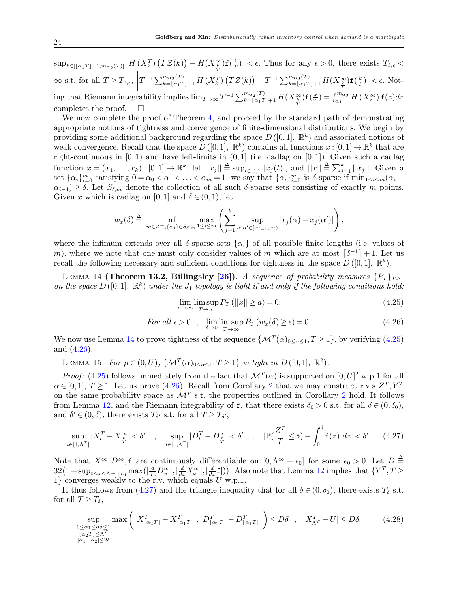$\sup_{k \in [\lfloor \alpha_1 T \rfloor + 1, m_{\alpha_2}(T)]} \left| H\left(X_k^T\right) \left(T \mathcal{Z}(k) \right) - H(X_{\frac{k}{T}}^{\infty}) \mathbf{f}(\frac{k}{T}) \right|$  $\left| \frac{k}{T} \right|$  <  $\epsilon$ . Thus for any  $\epsilon > 0$ , there exists  $T_{3,\epsilon}$  <  $\infty$  s.t. for all  $T \geq T_{3,\epsilon}$ ,  $T^{-1}\sum_{k=\lfloor\alpha_1T\rfloor+1}^{m_{\alpha_2}(T)}H\left(X_k^T\right)\left(T{\cal Z}(k)\right)-T^{-1}\sum_{k=\lfloor\alpha_1T\rfloor+1}^{m_{\alpha_2}(T)}H(X_{\frac{k}{T}}^{\infty}){\bf f}\big(\frac{k}{T}\big)$  $\frac{k}{T}$ )  $< \epsilon$ . Not- $\lim_{T\to\infty} T^{-1} \sum_{k=\lfloor \alpha_1 T \rfloor+1}^{m_{\alpha_2}(T)} H(X_{\frac{k}{T}}^{\infty}) \mathbf{f}(\frac{k}{T})$  $\frac{k}{T}$ ) =  $\int_{\alpha_1}^{m_{\alpha_2}} H(X_z^{\infty}) \mathbf{f}(z) dz$ completes the proof.  $\square$ 

We now complete the proof of Theorem [4,](#page-14-0) and proceed by the standard path of demonstrating appropriate notions of tightness and convergence of finite-dimensional distributions. We begin by providing some additional background regarding the space  $D([0,1], \mathbb{R}^k)$  and associated notions of weak convergence. Recall that the space  $D([0,1], \mathbb{R}^k)$  contains all functions  $x:[0,1] \to \mathbb{R}^k$  that are right-continuous in  $[0, 1)$  and have left-limits in  $(0, 1]$  (i.e. cadlag on  $[0, 1]$ ). Given such a cadlag function  $x = (x_1, ..., x_k) : [0,1] \to \mathbb{R}^k$ , let  $||x_j|| \triangleq \sup_{t \in [0,1]} |x_j(t)|$ , and  $||x|| \triangleq \sum_{j=1}^k ||x_j||$ . Given a set  $\{\alpha_i\}_{i=0}^m$  satisfying  $0 = \alpha_0 < \alpha_1 < \ldots < \alpha_m = 1$ , we say that  $\{\alpha_i\}_{i=0}^m$  is  $\delta$ -sparse if  $\min_{1 \le i \le m} (\alpha_i \alpha_{i-1}$ ) ≥  $\delta$ . Let  $S_{\delta,m}$  denote the collection of all such  $\delta$ -sparse sets consisting of exactly m points. Given x which is cadlag on [0, 1] and  $\delta \in (0,1)$ , let

$$
w_x(\delta) \stackrel{\Delta}{=} \inf_{m \in Z^+, \{\alpha_i\} \in S_{\delta,m}} \max_{1 \le i \le m} \left( \sum_{j=1}^k \sup_{\alpha, \alpha' \in [\alpha_{i-1}, \alpha_i)} |x_j(\alpha) - x_j(\alpha')| \right),
$$

where the infimum extends over all  $\delta$ -sparse sets  $\{\alpha_i\}$  of all possible finite lengths (i.e. values of m), where we note that one must only consider values of m which are at most  $\lceil \delta^{-1} \rceil + 1$ . Let us recall the following necessary and sufficient conditions for tightness in the space  $D([0,1], \mathbb{R}^k)$ .

LEMMA 14 (Theorem 13.2, Billingsley [\[26\]](#page-28-20)). A sequence of probability measures  $\{P_T\}_{T\geq 1}$ on the space  $D([0,1], \mathbb{R}^k)$  under the  $J_1$  topology is tight if and only if the following conditions hold:

<span id="page-23-1"></span><span id="page-23-0"></span>
$$
\lim_{a \to \infty} \limsup_{T \to \infty} P_T \left( ||x|| \ge a \right) = 0; \tag{4.25}
$$

<span id="page-23-2"></span>For all 
$$
\epsilon > 0
$$
,  $\lim_{\delta \to 0} \limsup_{T \to \infty} P_T(w_x(\delta) \ge \epsilon) = 0.$  (4.26)

We now use Lemma [14](#page-23-0) to prove tightness of the sequence  $\{\mathcal{M}^T(\alpha)_{0\leq \alpha\leq 1}, T\geq 1\}$ , by verifying  $(4.25)$ and [\(4.26\)](#page-23-2).

<span id="page-23-5"></span>LEMMA 15. For  $\mu \in (0, U)$ ,  $\{ \mathcal{M}^T(\alpha)_{0 \leq \alpha \leq 1}, T \geq 1 \}$  is tight in  $D([0, 1], \mathbb{R}^2)$ .

*Proof:* [\(4.25\)](#page-23-1) follows immediately from the fact that  $\mathcal{M}^T(\alpha)$  is supported on  $[0, U]^2$  w.p.1 for all  $\alpha \in [0,1], T \ge 1$ . Let us prove [\(4.26\)](#page-23-2). Recall from Corollary [2](#page-12-1) that we may construct r.v.s  $Z<sup>T</sup>, Y<sup>T</sup>$ on the same probability space as  $\mathcal{M}^T$  s.t. the properties outlined in Corollary [2](#page-12-1) hold. It follows from Lemma [12,](#page-22-1) and the Riemann integrability of f, that there exists  $\delta_0 > 0$  s.t. for all  $\delta \in (0, \delta_0)$ , and  $\delta' \in (0, \delta)$ , there exists  $T_{\delta'}$  s.t. for all  $T \geq T_{\delta'}$ ,

<span id="page-23-3"></span>
$$
\sup_{t\in[1,\Lambda^T]}|X_t^T - X_{\frac{t}{T}}^{\infty}| < \delta' \quad , \quad \sup_{t\in[1,\Lambda^T]}|D_t^T - D_{\frac{t}{T}}^{\infty}| < \delta' \quad , \quad |\mathbb{P}(\frac{Z^T}{T} \le \delta) - \int_0^\delta \mathbf{f}(z) \, dz| < \delta'. \tag{4.27}
$$

Note that  $X^{\infty}, D^{\infty}, \mathbf{f}$  are continuously differentiable on  $[0, \Lambda^{\infty} + \epsilon_0]$  for some  $\epsilon_0 > 0$ . Let  $\overline{D} \stackrel{\Delta}{=}$  $32(1+\sup_{0\leq x\leq \Lambda^{\infty}+\epsilon_0} \max(|\frac{d}{dx}D_x^{\infty}|,|\frac{d}{dx}X_x^{\infty}|,|\frac{d}{dx}f|)).$  Also note that Lemma [12](#page-22-1) implies that  $\{Y^T,T\geq 0\}$ 1} converges weakly to the r.v. which equals  $U$  w.p.1.

It thus follows from [\(4.27\)](#page-23-3) and the triangle inequality that for all  $\delta \in (0, \delta_0)$ , there exists  $T_{\delta}$  s.t. for all  $T \geq T_{\delta}$ ,

<span id="page-23-4"></span>
$$
\sup_{\substack{0 \le \alpha_1 \le \alpha_2 \le 1 \\ |\alpha_2 T| \le \Lambda^T \\ |\alpha_1 - \alpha_2| \le 2\delta}} \max\left( \left| X_{\lfloor \alpha_2 T \rfloor}^T - X_{\lfloor \alpha_1 T \rfloor}^T \right|, \left| D_{\lfloor \alpha_2 T \rfloor}^T - D_{\lfloor \alpha_1 T \rfloor}^T \right| \right) \le \overline{D}\delta \quad , \quad |X_{\Lambda^T}^T - U| \le \overline{D}\delta, \tag{4.28}
$$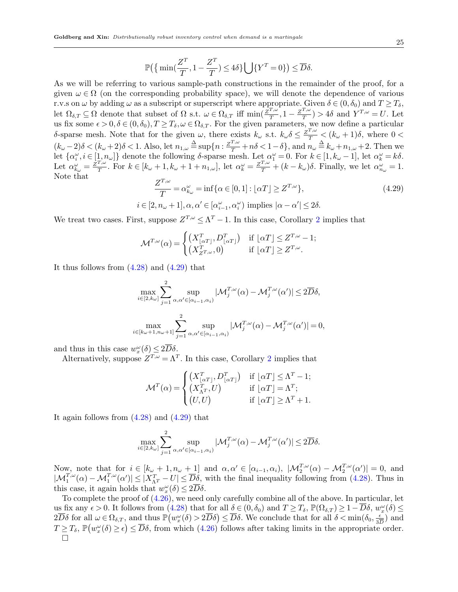$$
\mathbb{P}\left(\left\{\min\left(\frac{Z^T}{T}, 1 - \frac{Z^T}{T}\right) \le 4\delta\right\} \bigcup \{Y^T = 0\}\right) \le \overline{D}\delta.
$$

As we will be referring to various sample-path constructions in the remainder of the proof, for a given  $\omega \in \Omega$  (on the corresponding probability space), we will denote the dependence of various r.v.s on  $\omega$  by adding  $\omega$  as a subscript or superscript where appropriate. Given  $\delta \in (0, \delta_0)$  and  $T \geq T_{\delta}$ , let  $\Omega_{\delta,T} \subseteq \Omega$  denote that subset of  $\Omega$  s.t.  $\omega \in \Omega_{\delta,T}$  iff  $\min(\frac{\bar{Z}^{T,\omega}}{T})$  $\frac{T,\omega}{T}, 1-\frac{Z^{T,\omega}}{T}$  $\frac{T,\omega}{T}$ ) > 4 $\delta$  and  $Y^{T,\omega} = U$ . Let us fix some  $\epsilon > 0$ ,  $\delta \in (0, \delta_0), T \geq T_{\delta}, \omega \in \Omega_{\delta, T}$ . For the given parameters, we now define a particular δ-sparse mesh. Note that for the given  $ω$ , there exists  $k<sub>ω</sub>$  s.t.  $k<sub>ω</sub>δ ≤ \frac{z<sup>T,ω</sup>}{T} < (k<sub>ω</sub> + 1)δ$ , where 0 <  $(k_{\omega}-2)\delta < (k_{\omega}+2)\delta < 1$ . Also, let  $n_{1,\omega} \triangleq \sup\{n : \frac{z^{T,\omega}}{T} + n\delta < 1-\delta\}$ , and  $n_{\omega} \triangleq k_{\omega} + n_{1,\omega} + 2$ . Then we let  $\{\alpha_i^{\omega}, i \in [1, n_{\omega}]\}\)$  denote the following  $\delta$ -sparse mesh. Let  $\alpha_1^{\omega} = 0$ . For  $k \in [1, k_{\omega} - 1]$ , let  $\alpha_k^{\omega} = k\delta$ . Let  $\alpha_{k_{\omega}}^{\omega} = \frac{\tilde{Z}^{T,\omega}}{T}$  $T_{\alpha}^{T,\omega}$ . For  $k \in [k_{\omega}+1, k_{\omega}+1+n_{1,\omega}],$  let  $\alpha_k^{\omega} = \frac{Z^{T,\omega}}{T} + (k-k_{\omega})\delta$ . Finally, we let  $\alpha_{n_{\omega}}^{\omega} = 1$ . Note that

<span id="page-24-0"></span>
$$
\frac{Z^{T,\omega}}{T} = \alpha_{k_{\omega}}^{\omega} = \inf \{ \alpha \in [0,1] : \lfloor \alpha T \rfloor \ge Z^{T,\omega} \},
$$
\n
$$
i \in [2, n_{\omega} + 1], \alpha, \alpha' \in [\alpha_{i-1}^{\omega}, \alpha_i^{\omega}) \text{ implies } |\alpha - \alpha'| \le 2\delta.
$$
\n
$$
(4.29)
$$

We treat two cases. First, suppose  $Z^{T,\omega} \leq \Lambda^T - 1$ . In this case, Corollary [2](#page-12-1) implies that

$$
\mathcal{M}^{T,\omega}(\alpha) = \begin{cases} \left(X_{\lfloor \alpha T \rfloor}^T, D_{\lfloor \alpha T \rfloor}^T\right) & \text{if } \lfloor \alpha T \rfloor \le Z^{T,\omega} - 1; \\ \left(X_{Z^{T,\omega}}^T, 0\right) & \text{if } \lfloor \alpha T \rfloor \ge Z^{T,\omega}. \end{cases}
$$

It thus follows from  $(4.28)$  and  $(4.29)$  that

$$
\max_{i \in [2, k_{\omega}]} \sum_{j=1}^{2} \sup_{\alpha, \alpha' \in [\alpha_{i-1}, \alpha_i)} |\mathcal{M}_j^{T, \omega}(\alpha) - \mathcal{M}_j^{T, \omega}(\alpha')| \le 2\overline{D}\delta,
$$
  

$$
\max_{i \in [k_{\omega}+1, n_{\omega}+1]} \sum_{j=1}^{2} \sup_{\alpha, \alpha' \in [\alpha_{i-1}, \alpha_i)} |\mathcal{M}_j^{T, \omega}(\alpha) - \mathcal{M}_j^{T, \omega}(\alpha')| = 0,
$$

and thus in this case  $w_x^{\omega}(\delta) \leq 2\overline{D}\delta$ .

Alternatively, suppose  $Z^{T,\omega} = \Lambda^T$ . In this case, Corollary [2](#page-12-1) implies that

$$
\mathcal{M}^T(\alpha) = \begin{cases} \left(X_{\lfloor \alpha T \rfloor}^T, D_{\lfloor \alpha T \rfloor}^T\right) & \text{if } \lfloor \alpha T \rfloor \le \Lambda^T - 1; \\ \left(X_{\Lambda^T}^T, U\right) & \text{if } \lfloor \alpha T \rfloor = \Lambda^T; \\ \left(U, U\right) & \text{if } \lfloor \alpha T \rfloor \ge \Lambda^T + 1. \end{cases}
$$

It again follows from  $(4.28)$  and  $(4.29)$  that

$$
\max_{i \in [2,k_{\omega}]}\sum_{j=1}^2 \sup_{\alpha,\alpha' \in [\alpha_{i-1},\alpha_i)}|\mathcal{M}_j^{T,\omega}(\alpha) - \mathcal{M}_j^{T,\omega}(\alpha')| \le 2\overline{D}\delta.
$$

Now, note that for  $i \in [k_{\omega} + 1, n_{\omega} + 1]$  and  $\alpha, \alpha' \in [\alpha_{i-1}, \alpha_i)$ ,  $|\mathcal{M}_2^{T,\omega}(\alpha) - \mathcal{M}_2^{T,\omega}(\alpha')| = 0$ , and  $|\mathcal{M}_1^{T,\omega}(\alpha) - \mathcal{M}_1^{T,\omega}(\alpha')| \leq |X_{\Lambda^T}^T - U| \leq \overline{D}_{\mathcal{S}}^{\mathcal{S}}$ , with the final inequality following from [\(4.28\)](#page-23-4). Thus in this case, it again holds that  $w_x^{\omega}(\delta) \leq 2\overline{D}\delta$ .

To complete the proof of [\(4.26\)](#page-23-2), we need only carefully combine all of the above. In particular, let us fix any  $\epsilon > 0$ . It follows from [\(4.28\)](#page-23-4) that for all  $\delta \in (0, \delta_0)$  and  $T \ge T_\delta$ ,  $\mathbb{P}(\Omega_{\delta,T}) \ge 1 - \overline{D}\delta$ ,  $w_x^{\omega}(\delta) \le$  $2\overline{D}\delta$  for all  $\omega \in \Omega_{\delta,T}$ , and thus  $\mathbb{P}(w_x^{\omega}(\delta) > 2\overline{D}\delta) \leq \overline{D}\delta$ . We conclude that for all  $\delta < \min(\delta_0, \frac{\epsilon}{3\overline{D}\delta})$  $\frac{\epsilon}{3D}$ ) and  $T \geq T_\delta$ ,  $\mathbb{P}(w_x^{\omega}(\delta) \geq \epsilon) \leq \overline{D}\delta$ , from which  $(4.26)$  follows after taking limits in the appropriate order.  $\Box$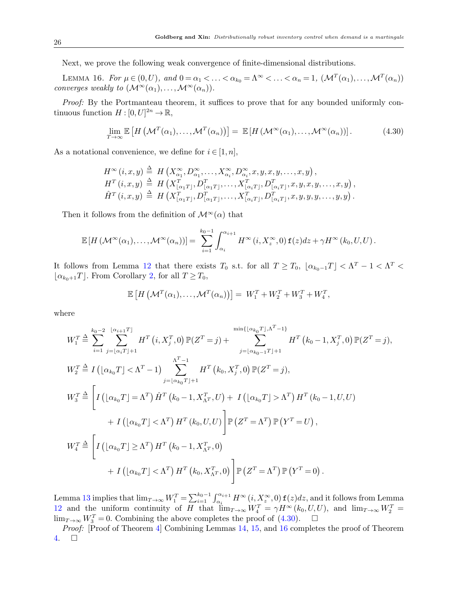Next, we prove the following weak convergence of finite-dimensional distributions.

LEMMA 16. For  $\mu \in (0, U)$ , and  $0 = \alpha_1 < \ldots < \alpha_{k_0} = \Lambda^\infty < \ldots < \alpha_n = 1$ ,  $(\mathcal{M}^T(\alpha_1), \ldots, \mathcal{M}^T(\alpha_n))$ converges weakly to  $(\mathcal{M}^{\infty}(\alpha_1),...,\mathcal{M}^{\infty}(\alpha_n)).$ 

Proof: By the Portmanteau theorem, it suffices to prove that for any bounded uniformly continuous function  $H: [0, U]^{2n} \to \mathbb{R}$ ,

<span id="page-25-1"></span><span id="page-25-0"></span>
$$
\lim_{T \to \infty} \mathbb{E}\left[H\left(\mathcal{M}^{T}(\alpha_{1}), \ldots, \mathcal{M}^{T}(\alpha_{n})\right)\right] = \mathbb{E}\left[H\left(\mathcal{M}^{\infty}(\alpha_{1}), \ldots, \mathcal{M}^{\infty}(\alpha_{n})\right)\right].
$$
\n(4.30)

As a notational convenience, we define for  $i \in [1, n]$ ,

$$
H^{\infty}(i,x,y) \stackrel{\Delta}{=} H(X^{\infty}_{\alpha_1}, D^{\infty}_{\alpha_1}, \ldots, X^{\infty}_{\alpha_i}, D^{\infty}_{\alpha_i}, x, y, x, y, \ldots, x, y),
$$
  
\n
$$
H^{T}(i,x,y) \stackrel{\Delta}{=} H(X^{T}_{[\alpha_1 T]}, D^{T}_{[\alpha_1 T]}, \ldots, X^{T}_{[\alpha_i T]}, D^{T}_{[\alpha_i T]}, x, y, x, y, \ldots, x, y),
$$
  
\n
$$
\hat{H}^{T}(i,x,y) \stackrel{\Delta}{=} H(X^{T}_{[\alpha_1 T]}, D^{T}_{[\alpha_1 T]}, \ldots, X^{T}_{[\alpha_i T]}, D^{T}_{[\alpha_i T]}, x, y, y, \ldots, y, y).
$$

Then it follows from the definition of  $\mathcal{M}^{\infty}(\alpha)$  that

$$
\mathbb{E}\left[H\left(\mathcal{M}^{\infty}(\alpha_1),\ldots,\mathcal{M}^{\infty}(\alpha_n)\right)\right]=\sum_{i=1}^{k_0-1}\int_{\alpha_i}^{\alpha_{i+1}}H^{\infty}\left(i,X_z^{\infty},0\right)\mathbf{f}(z)dz+\gamma H^{\infty}\left(k_0,U,U\right).
$$

It follows from Lemma [12](#page-22-1) that there exists  $T_0$  s.t. for all  $T \ge T_0$ ,  $\lfloor \alpha_{k_0-1} T \rfloor < \Lambda^T - 1 < \Lambda^T <$  $\vert \alpha_{k_0+1}T \vert$ . From Corollary [2,](#page-12-1) for all  $T \geq T_0$ ,

$$
\mathbb{E}\left[H\left(\mathcal{M}^T(\alpha_1),\ldots,\mathcal{M}^T(\alpha_n)\right)\right] = W_1^T + W_2^T + W_3^T + W_4^T,
$$

where

$$
W_{1}^{T} \triangleq \sum_{i=1}^{k_{0}-2} \sum_{j=\lfloor \alpha_{i}T\rfloor+1}^{\lfloor \alpha_{i+1}T\rfloor} H^{T}(i, X_{j}^{T}, 0) \mathbb{P}(Z^{T} = j) + \sum_{j=\lfloor \alpha_{k_{0}-1}T\rfloor+1}^{\min\{\lfloor \alpha_{k_{0}}T\rfloor, \Lambda^{T}-1\}} H^{T}(k_{0}-1, X_{j}^{T}, 0) \mathbb{P}(Z^{T} = j),
$$
  
\n
$$
W_{2}^{T} \triangleq I\left(\lfloor \alpha_{k_{0}}T\rfloor < \Lambda^{T}-1\right) \sum_{j=\lfloor \alpha_{k_{0}}T\rfloor+1}^{\Lambda^{T}-1} H^{T}(k_{0}, X_{j}^{T}, 0) \mathbb{P}(Z^{T} = j),
$$
  
\n
$$
W_{3}^{T} \triangleq \left[I\left(\lfloor \alpha_{k_{0}}T\rfloor = \Lambda^{T}\right) \hat{H}^{T}(k_{0}-1, X_{\Lambda^{T}}^{T}, U) + I\left(\lfloor \alpha_{k_{0}}T\rfloor > \Lambda^{T}\right) H^{T}(k_{0}-1, U, U) + I\left(\lfloor \alpha_{k_{0}}T\rfloor < \Lambda^{T}\right) H^{T}(k_{0}, U, U)\right] \mathbb{P}(Z^{T} = \Lambda^{T}) \mathbb{P}(Y^{T} = U),
$$
  
\n
$$
W_{4}^{T} \triangleq \left[I\left(\lfloor \alpha_{k_{0}}T\rfloor \geq \Lambda^{T}\right) H^{T}(k_{0}-1, X_{\Lambda^{T}}^{T}, 0) + I\left(\lfloor \alpha_{k_{0}}T\rfloor < \Lambda^{T}\right) H^{T}(k_{0}, X_{\Lambda^{T}}^{T}, 0)\right] \mathbb{P}(Z^{T} = \Lambda^{T}) \mathbb{P}(Y^{T} = 0).
$$

Lemma [13](#page-22-4) implies that  $\lim_{T\to\infty}W_1^T=\sum_{i=1}^{k_0-1}\int_{\alpha_i}^{\alpha_{i+1}}H^{\infty}(i,X_z^{\infty},0)$   $f(z)dz$ , and it follows from Lemma [12](#page-22-1) and the uniform continuity of H that  $\lim_{T\to\infty}W_4^T = \gamma H^\infty(k_0,U,U)$ , and  $\lim_{T\to\infty}W_2^T =$ lim<sub>T→∞</sub>  $W_3^T = 0$ . Combining the above completes the proof of [\(4.30\)](#page-25-0).  $\Box$ 

Proof: [Proof of Theorem [4\]](#page-14-0) Combining Lemmas [14,](#page-23-0) [15,](#page-23-5) and [16](#page-25-1) completes the proof of Theorem [4.](#page-14-0)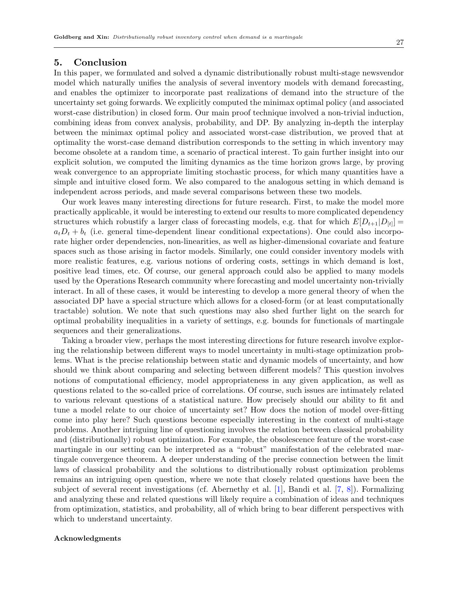# <span id="page-26-0"></span>5. Conclusion

In this paper, we formulated and solved a dynamic distributionally robust multi-stage newsvendor model which naturally unifies the analysis of several inventory models with demand forecasting, and enables the optimizer to incorporate past realizations of demand into the structure of the uncertainty set going forwards. We explicitly computed the minimax optimal policy (and associated worst-case distribution) in closed form. Our main proof technique involved a non-trivial induction, combining ideas from convex analysis, probability, and DP. By analyzing in-depth the interplay between the minimax optimal policy and associated worst-case distribution, we proved that at optimality the worst-case demand distribution corresponds to the setting in which inventory may become obsolete at a random time, a scenario of practical interest. To gain further insight into our explicit solution, we computed the limiting dynamics as the time horizon grows large, by proving weak convergence to an appropriate limiting stochastic process, for which many quantities have a simple and intuitive closed form. We also compared to the analogous setting in which demand is independent across periods, and made several comparisons between these two models.

Our work leaves many interesting directions for future research. First, to make the model more practically applicable, it would be interesting to extend our results to more complicated dependency structures which robustify a larger class of forecasting models, e.g. that for which  $E[D_{t+1}|D_{[t]}] =$  $a_t D_t + b_t$  (i.e. general time-dependent linear conditional expectations). One could also incorporate higher order dependencies, non-linearities, as well as higher-dimensional covariate and feature spaces such as those arising in factor models. Similarly, one could consider inventory models with more realistic features, e.g. various notions of ordering costs, settings in which demand is lost, positive lead times, etc. Of course, our general approach could also be applied to many models used by the Operations Research community where forecasting and model uncertainty non-trivially interact. In all of these cases, it would be interesting to develop a more general theory of when the associated DP have a special structure which allows for a closed-form (or at least computationally tractable) solution. We note that such questions may also shed further light on the search for optimal probability inequalities in a variety of settings, e.g. bounds for functionals of martingale sequences and their generalizations.

Taking a broader view, perhaps the most interesting directions for future research involve exploring the relationship between different ways to model uncertainty in multi-stage optimization problems. What is the precise relationship between static and dynamic models of uncertainty, and how should we think about comparing and selecting between different models? This question involves notions of computational efficiency, model appropriateness in any given application, as well as questions related to the so-called price of correlations. Of course, such issues are intimately related to various relevant questions of a statistical nature. How precisely should our ability to fit and tune a model relate to our choice of uncertainty set? How does the notion of model over-fitting come into play here? Such questions become especially interesting in the context of multi-stage problems. Another intriguing line of questioning involves the relation between classical probability and (distributionally) robust optimization. For example, the obsolescence feature of the worst-case martingale in our setting can be interpreted as a "robust" manifestation of the celebrated martingale convergence theorem. A deeper understanding of the precise connection between the limit laws of classical probability and the solutions to distributionally robust optimization problems remains an intriguing open question, where we note that closely related questions have been the subject of several recent investigations (cf. Abernethy et al. [\[1\]](#page-27-18), Bandi et al. [\[7,](#page-27-19) [8\]](#page-27-20)). Formalizing and analyzing these and related questions will likely require a combination of ideas and techniques from optimization, statistics, and probability, all of which bring to bear different perspectives with which to understand uncertainty.

## Acknowledgments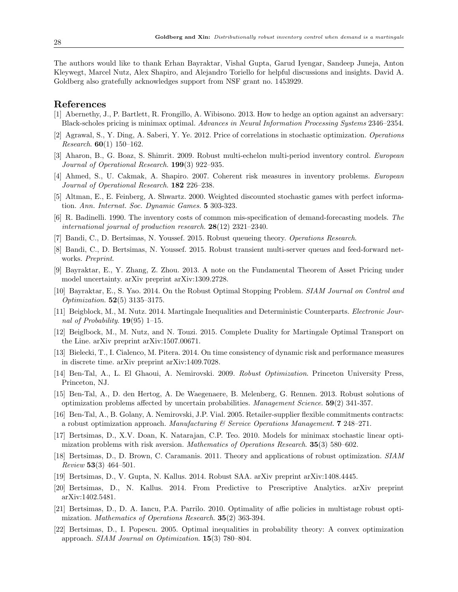The authors would like to thank Erhan Bayraktar, Vishal Gupta, Garud Iyengar, Sandeep Juneja, Anton Kleywegt, Marcel Nutz, Alex Shapiro, and Alejandro Toriello for helpful discussions and insights. David A. Goldberg also gratefully acknowledges support from NSF grant no. 1453929.

# References

- <span id="page-27-18"></span>[1] Abernethy, J., P. Bartlett, R. Frongillo, A. Wibisono. 2013. How to hedge an option against an adversary: Black-scholes pricing is minimax optimal. Advances in Neural Information Processing Systems 2346–2354.
- <span id="page-27-0"></span>[2] Agrawal, S., Y. Ding, A. Saberi, Y. Ye. 2012. Price of correlations in stochastic optimization. Operations Research.  $60(1)$  150-162.
- <span id="page-27-11"></span>[3] Aharon, B., G. Boaz, S. Shimrit. 2009. Robust multi-echelon multi-period inventory control. European Journal of Operational Research. **199**(3) 922–935.
- <span id="page-27-4"></span>[4] Ahmed, S., U. Cakmak, A. Shapiro. 2007. Coherent risk measures in inventory problems. European Journal of Operational Research. 182 226–238.
- <span id="page-27-6"></span>[5] Altman, E., E. Feinberg, A. Shwartz. 2000. Weighted discounted stochastic games with perfect information. Ann. Internat. Soc. Dynamic Games. 5 303-323.
- <span id="page-27-1"></span>[6] R. Badinelli. 1990. The inventory costs of common mis-specification of demand-forecasting models. The international journal of production research.  $28(12)$  2321-2340.
- <span id="page-27-19"></span>[7] Bandi, C., D. Bertsimas, N. Youssef. 2015. Robust queueing theory. Operations Research.
- <span id="page-27-20"></span>[8] Bandi, C., D. Bertsimas, N. Youssef. 2015. Robust transient multi-server queues and feed-forward networks. Preprint.
- <span id="page-27-7"></span>[9] Bayraktar, E., Y. Zhang, Z. Zhou. 2013. A note on the Fundamental Theorem of Asset Pricing under model uncertainty. arXiv preprint arXiv:1309.2728.
- <span id="page-27-8"></span>[10] Bayraktar, E., S. Yao. 2014. On the Robust Optimal Stopping Problem. SIAM Journal on Control and Optimization. 52(5) 3135–3175.
- <span id="page-27-16"></span>[11] Beigblock, M., M. Nutz. 2014. Martingale Inequalities and Deterministic Counterparts. Electronic Journal of Probability.  $19(95)$  1–15.
- <span id="page-27-17"></span>[12] Beiglbock, M., M. Nutz, and N. Touzi. 2015. Complete Duality for Martingale Optimal Transport on the Line. arXiv preprint arXiv:1507.00671.
- <span id="page-27-5"></span>[13] Bielecki, T., I. Cialenco, M. Pitera. 2014. On time consistency of dynamic risk and performance measures in discrete time. arXiv preprint arXiv:1409.7028.
- <span id="page-27-9"></span>[14] Ben-Tal, A., L. El Ghaoui, A. Nemirovski. 2009. Robust Optimization. Princeton University Press, Princeton, NJ.
- <span id="page-27-14"></span>[15] Ben-Tal, A., D. den Hertog, A. De Waegenaere, B. Melenberg, G. Rennen. 2013. Robust solutions of optimization problems affected by uncertain probabilities. Management Science. 59(2) 341-357.
- <span id="page-27-12"></span>[16] Ben-Tal, A., B. Golany, A. Nemirovski, J.P. Vial. 2005. Retailer-supplier flexible commitments contracts: a robust optimization approach. Manufacturing  $\mathscr B$  Service Operations Management. **7** 248–271.
- <span id="page-27-2"></span>[17] Bertsimas, D., X.V. Doan, K. Natarajan, C.P. Teo. 2010. Models for minimax stochastic linear optimization problems with risk aversion. Mathematics of Operations Research. 35(3) 580–602.
- <span id="page-27-10"></span>[18] Bertsimas, D., D. Brown, C. Caramanis. 2011. Theory and applications of robust optimization. SIAM  $Review 53(3) 464-501.$
- <span id="page-27-3"></span>[19] Bertsimas, D., V. Gupta, N. Kallus. 2014. Robust SAA. arXiv preprint arXiv:1408.4445.
- [20] Bertsimas, D., N. Kallus. 2014. From Predictive to Prescriptive Analytics. arXiv preprint arXiv:1402.5481.
- <span id="page-27-13"></span>[21] Bertsimas, D., D. A. Iancu, P.A. Parrilo. 2010. Optimality of affie policies in multistage robust optimization. Mathematics of Operations Research. 35(2) 363-394.
- <span id="page-27-15"></span>[22] Bertsimas, D., I. Popescu. 2005. Optimal inequalities in probability theory: A convex optimization approach. SIAM Journal on Optimization. 15(3) 780–804.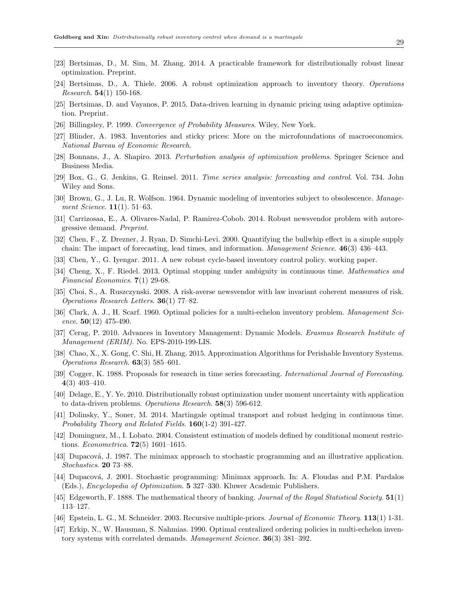- <span id="page-28-14"></span>[23] Bertsimas, D., M. Sim, M. Zhang. 2014. A practicable framework for distributionally robust linear optimization. Preprint.
- <span id="page-28-12"></span>[24] Bertsimas, D., A. Thiele. 2006. A robust optimization approach to inventory theory. Operations *Research.* **54**(1) 150-168.
- <span id="page-28-15"></span>[25] Bertsimas, D. and Vayanos, P. 2015. Data-driven learning in dynamic pricing using adaptive optimization. Preprint.
- <span id="page-28-20"></span>[26] Billingsley, P. 1999. Convergence of Probability Measures. Wiley, New York.
- <span id="page-28-2"></span>[27] Blinder, A. 1983. Inventories and sticky prices: More on the microfoundations of macroeconomics. National Bureau of Economic Research.
- <span id="page-28-11"></span>[28] Bonnans, J., A. Shapiro. 2013. Perturbation analysis of optimization problems. Springer Science and Business Media.
- <span id="page-28-17"></span>[29] Box, G., G. Jenkins, G. Reinsel. 2011. Time series analysis: forecasting and control. Vol. 734. John Wiley and Sons.
- <span id="page-28-18"></span>[30] Brown, G., J. Lu, R. Wolfson. 1964. Dynamic modeling of inventories subject to obsolescence. Management Science. **11**(1). 51–63.
- <span id="page-28-13"></span>[31] Carrizosaa, E., A. Olivares-Nadal, P. Ramirez-Cobob. 2014. Robust newsvendor problem with autoregressive demand. Preprint.
- <span id="page-28-1"></span>[32] Chen, F., Z. Drezner, J. Ryan, D. Simchi-Levi. 2000. Quantifying the bullwhip effect in a simple supply chain: The impact of forecasting, lead times, and information. Management Science. 46(3) 436–443.
- [33] Chen, Y., G. Iyengar. 2011. A new robust cycle-based inventory control policy. working paper.
- <span id="page-28-9"></span>[34] Cheng, X., F. Riedel. 2013. Optimal stopping under ambiguity in continuous time. Mathematics and Financial Economics. 7(1) 29-68.
- <span id="page-28-10"></span>[35] Choi, S., A. Ruszczynski. 2008. A risk-averse newsvendor with law invariant coherent measures of risk. Operations Research Letters. 36(1) 77–82.
- [36] Clark, A. J., H. Scarf. 1960. Optimal policies for a multi-echelon inventory problem. Management Science.  $50(12)$  475-490.
- <span id="page-28-19"></span>[37] Cerag, P. 2010. Advances in Inventory Management: Dynamic Models. Erasmus Research Institute of Management (ERIM). No. EPS-2010-199-LIS.
- <span id="page-28-3"></span>[38] Chao, X., X. Gong, C. Shi, H. Zhang. 2015. Approximation Algorithms for Perishable Inventory Systems. Operations Research. 63(3) 585–601.
- [39] Cogger, K. 1988. Proposals for research in time series forecasting. International Journal of Forecasting. 4(3) 403–410.
- <span id="page-28-7"></span>[40] Delage, E., Y. Ye. 2010. Distributionally robust optimization under moment uncertainty with application to data-driven problems. Operations Research. 58(3) 596-612.
- <span id="page-28-16"></span>[41] Dolinsky, Y., Soner, M. 2014. Martingale optimal transport and robust hedging in continuous time. Probability Theory and Related Fields.  $160(1-2)$  391-427.
- [42] Dominguez, M., I. Lobato. 2004. Consistent estimation of models defined by conditional moment restrictions. *Econometrica*. **72**(5) 1601–1615.
- <span id="page-28-5"></span>[43] Dupacová, J. 1987. The minimax approach to stochastic programming and an illustrative application. Stochastics. 20 73–88.
- <span id="page-28-6"></span>[44] Dupacová, J. 2001. Stochastic programming: Minimax approach. In: A. Floudas and P.M. Pardalos (Eds.), Encyclopedia of Optimization. 5 327–330. Kluwer Academic Publishers.
- <span id="page-28-0"></span>[45] Edgeworth, F. 1888. The mathematical theory of banking. Journal of the Royal Statistical Society. **51**(1) 113–127.
- <span id="page-28-8"></span>[46] Epstein, L. G., M. Schneider. 2003. Recursive multiple-priors. Journal of Economic Theory. 113(1) 1-31.
- <span id="page-28-4"></span>[47] Erkip, N., W. Hausman, S. Nahmias. 1990. Optimal centralized ordering policies in multi-echelon inventory systems with correlated demands. Management Science. 36(3) 381–392.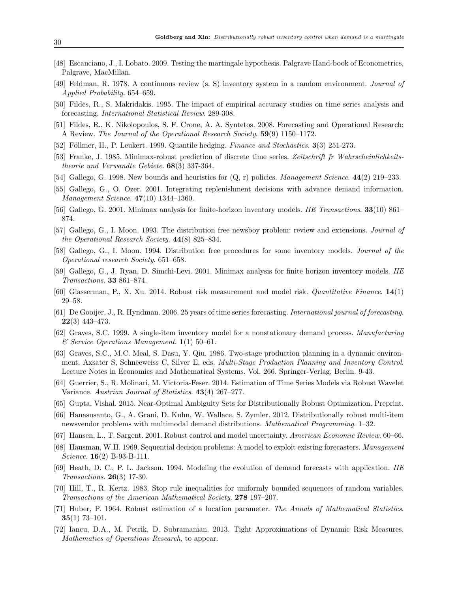- [48] Escanciano, J., I. Lobato. 2009. Testing the martingale hypothesis. Palgrave Hand-book of Econometrics, Palgrave, MacMillan.
- <span id="page-29-0"></span>[49] Feldman, R. 1978. A continuous review (s, S) inventory system in a random environment. Journal of Applied Probability. 654–659.
- <span id="page-29-4"></span>[50] Fildes, R., S. Makridakis. 1995. The impact of empirical accuracy studies on time series analysis and forecasting. International Statistical Review. 289-308.
- <span id="page-29-5"></span>[51] Fildes, R., K. Nikolopoulos, S. F. Crone, A. A. Syntetos. 2008. Forecasting and Operational Research: A Review. The Journal of the Operational Research Society. 59(9) 1150–1172.
- <span id="page-29-13"></span>[52] Föllmer, H., P. Leukert. 1999. Quantile hedging. *Finance and Stochastics*. **3**(3) 251-273.
- <span id="page-29-17"></span>[53] Franke, J. 1985. Minimax-robust prediction of discrete time series. Zeitschrift fr Wahrscheinlichkeitstheorie und Verwandte Gebiete. 68(3) 337-364.
- <span id="page-29-7"></span>[54] Gallego, G. 1998. New bounds and heuristics for  $(Q, r)$  policies. *Management Science*. **44**(2) 219–233.
- <span id="page-29-1"></span>[55] Gallego, G., O. Ozer. 2001. Integrating replenishment decisions with advance demand information. Management Science. 47(10) 1344–1360.
- <span id="page-29-14"></span>[56] Gallego, G. 2001. Minimax analysis for finite-horizon inventory models. IIE Transactions. **33**(10) 861– 874.
- <span id="page-29-6"></span>[57] Gallego, G., I. Moon. 1993. The distribution free newsboy problem: review and extensions. *Journal of* the Operational Research Society. 44(8) 825–834.
- <span id="page-29-8"></span>[58] Gallego, G., I. Moon. 1994. Distribution free procedures for some inventory models. Journal of the Operational research Society. 651–658.
- [59] Gallego, G., J. Ryan, D. Simchi-Levi. 2001. Minimax analysis for finite horizon inventory models. IIE Transactions. 33 861–874.
- <span id="page-29-12"></span>[60] Glasserman, P., X. Xu. 2014. Robust risk measurement and model risk. Quantitative Finance. 14(1) 29–58.
- <span id="page-29-18"></span>[61] De Gooijer, J., R. Hyndman. 2006. 25 years of time series forecasting. International journal of forecasting. 22(3) 443–473.
- [62] Graves, S.C. 1999. A single-item inventory model for a nonstationary demand process. Manufacturing & Service Operations Management. 1(1) 50–61.
- <span id="page-29-3"></span>[63] Graves, S.C., M.C. Meal, S. Dasu, Y. Qiu. 1986. Two-stage production planning in a dynamic environment. Axsater S, Schneeweiss C, Silver E, eds. Multi-Stage Production Planning and Inventory Control. Lecture Notes in Economics and Mathematical Systems. Vol. 266. Springer-Verlag, Berlin. 9-43.
- <span id="page-29-19"></span>[64] Guerrier, S., R. Molinari, M. Victoria-Feser. 2014. Estimation of Time Series Models via Robust Wavelet Variance. Austrian Journal of Statistics. 43(4) 267–277.
- <span id="page-29-11"></span>[65] Gupta, Vishal. 2015. Near-Optimal Ambiguity Sets for Distributionally Robust Optimization. Preprint.
- <span id="page-29-9"></span>[66] Hanasusanto, G., A. Grani, D. Kuhn, W. Wallace, S. Zymler. 2012. Distributionally robust multi-item newsvendor problems with multimodal demand distributions. Mathematical Programming. 1–32.
- <span id="page-29-15"></span>[67] Hansen, L., T. Sargent. 2001. Robust control and model uncertainty. American Economic Review. 60–66.
- [68] Hausman, W.H. 1969. Sequential decision problems: A model to exploit existing forecasters. Management Science. **16**(2) B-93-B-111.
- <span id="page-29-2"></span>[69] Heath, D. C., P. L. Jackson. 1994. Modeling the evolution of demand forecasts with application. IIE Transactions. 26(3) 17-30.
- <span id="page-29-20"></span>[70] Hill, T., R. Kertz. 1983. Stop rule inequalities for uniformly bounded sequences of random variables. Transactions of the American Mathematical Society. 278 197–207.
- <span id="page-29-16"></span>[71] Huber, P. 1964. Robust estimation of a location parameter. The Annals of Mathematical Statistics. 35(1) 73–101.
- <span id="page-29-10"></span>[72] Iancu, D.A., M. Petrik, D. Subramanian. 2013. Tight Approximations of Dynamic Risk Measures. Mathematics of Operations Research, to appear.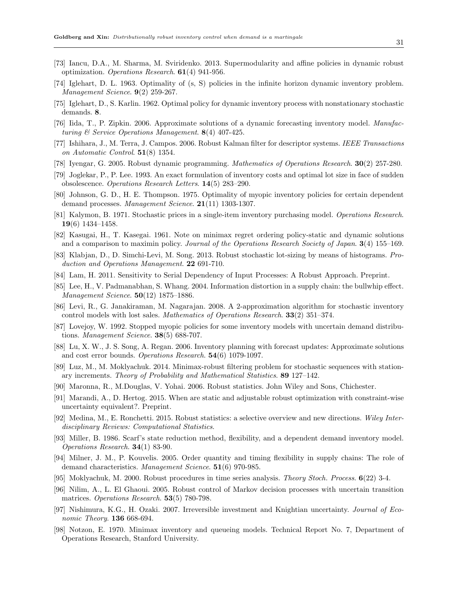- [73] Iancu, D.A., M. Sharma, M. Sviridenko. 2013. Supermodularity and affine policies in dynamic robust optimization. Operations Research. 61(4) 941-956.
- [74] Iglehart, D. L. 1963. Optimality of (s, S) policies in the infinite horizon dynamic inventory problem. Management Science. 9(2) 259-267.
- <span id="page-30-1"></span>[75] Iglehart, D., S. Karlin. 1962. Optimal policy for dynamic inventory process with nonstationary stochastic demands. 8.
- <span id="page-30-8"></span>[76] Iida, T., P. Zipkin. 2006. Approximate solutions of a dynamic forecasting inventory model. Manufacturing & Service Operations Management. 8(4) 407-425.
- [77] Ishihara, J., M. Terra, J. Campos. 2006. Robust Kalman filter for descriptor systems. IEEE Transactions on Automatic Control.  $51(8)$  1354.
- <span id="page-30-12"></span>[78] Iyengar, G. 2005. Robust dynamic programming. Mathematics of Operations Research. 30(2) 257-280.
- <span id="page-30-20"></span>[79] Joglekar, P., P. Lee. 1993. An exact formulation of inventory costs and optimal lot size in face of sudden obsolescence. Operations Research Letters. 14(5) 283–290.
- <span id="page-30-4"></span>[80] Johnson, G. D., H. E. Thompson. 1975. Optimality of myopic inventory policies for certain dependent demand processes. Management Science. **21**(11) 1303-1307.
- <span id="page-30-3"></span>[81] Kalymon, B. 1971. Stochastic prices in a single-item inventory purchasing model. Operations Research. 19(6) 1434–1458.
- <span id="page-30-16"></span>[82] Kasugai, H., T. Kasegai. 1961. Note on minimax regret ordering policy-static and dynamic solutions and a comparison to maximin policy. Journal of the Operations Research Society of Japan. 3(4) 155–169.
- <span id="page-30-0"></span>[83] Klabjan, D., D. Simchi-Levi, M. Song. 2013. Robust stochastic lot-sizing by means of histograms. Production and Operations Management. 22 691-710.
- <span id="page-30-11"></span>[84] Lam, H. 2011. Sensitivity to Serial Dependency of Input Processes: A Robust Approach. Preprint.
- <span id="page-30-2"></span>[85] Lee, H., V. Padmanabhan, S. Whang. 2004. Information distortion in a supply chain: the bullwhip effect. Management Science. **50**(12) 1875–1886.
- <span id="page-30-7"></span>[86] Levi, R., G. Janakiraman, M. Nagarajan. 2008. A 2-approximation algorithm for stochastic inventory control models with lost sales. Mathematics of Operations Research. 33(2) 351–374.
- <span id="page-30-5"></span>[87] Lovejoy, W. 1992. Stopped myopic policies for some inventory models with uncertain demand distributions. Management Science. 38(5) 688-707.
- <span id="page-30-9"></span>[88] Lu, X. W., J. S. Song, A. Regan. 2006. Inventory planning with forecast updates: Approximate solutions and cost error bounds. Operations Research. 54(6) 1079-1097.
- <span id="page-30-19"></span>[89] Luz, M., M. Moklyachuk. 2014. Minimax-robust filtering problem for stochastic sequences with stationary increments. Theory of Probability and Mathematical Statistics. 89 127–142.
- <span id="page-30-17"></span>[90] Maronna, R., M.Douglas, V. Yohai. 2006. Robust statistics. John Wiley and Sons, Chichester.
- [91] Marandi, A., D. Hertog. 2015. When are static and adjustable robust optimization with constraint-wise uncertainty equivalent?. Preprint.
- <span id="page-30-18"></span>[92] Medina, M., E. Ronchetti. 2015. Robust statistics: a selective overview and new directions. Wiley Interdisciplinary Reviews: Computational Statistics.
- <span id="page-30-6"></span>[93] Miller, B. 1986. Scarf's state reduction method, flexibility, and a dependent demand inventory model. Operations Research. 34(1) 83-90.
- <span id="page-30-10"></span>[94] Milner, J. M., P. Kouvelis. 2005. Order quantity and timing flexibility in supply chains: The role of demand characteristics. Management Science. **51**(6) 970-985.
- [95] Moklyachuk, M. 2000. Robust procedures in time series analysis. Theory Stoch. Process. 6(22) 3-4.
- <span id="page-30-13"></span>[96] Nilim, A., L. El Ghaoui. 2005. Robust control of Markov decision processes with uncertain transition matrices. *Operations Research*. **53**(5) 780-798.
- <span id="page-30-14"></span>[97] Nishimura, K.G., H. Ozaki. 2007. Irreversible investment and Knightian uncertainty. Journal of Economic Theory. **136** 668-694.
- <span id="page-30-15"></span>[98] Notzon, E. 1970. Minimax inventory and queueing models. Technical Report No. 7, Department of Operations Research, Stanford University.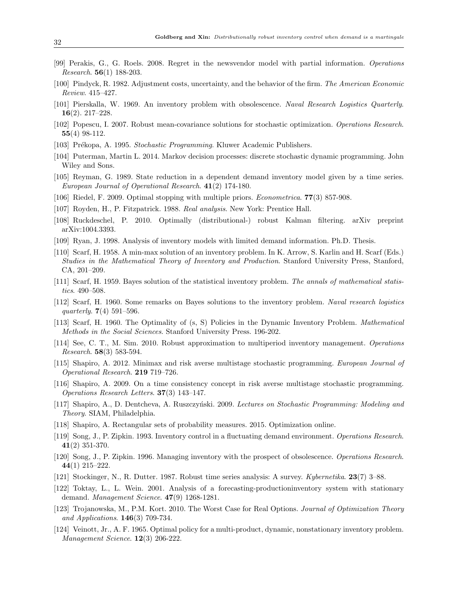- <span id="page-31-8"></span>[99] Perakis, G., G. Roels. 2008. Regret in the newsvendor model with partial information. Operations Research. 56(1) 188-203.
- <span id="page-31-4"></span>[100] Pindyck, R. 1982. Adjustment costs, uncertainty, and the behavior of the firm. The American Economic Review. 415–427.
- <span id="page-31-17"></span>[101] Pierskalla, W. 1969. An inventory problem with obsolescence. Naval Research Logistics Quarterly. 16(2). 217–228.
- <span id="page-31-10"></span>[102] Popescu, I. 2007. Robust mean-covariance solutions for stochastic optimization. Operations Research. 55(4) 98-112.
- <span id="page-31-6"></span>[103] Prékopa, A. 1995. Stochastic Programming. Kluwer Academic Publishers.
- <span id="page-31-19"></span>[104] Puterman, Martin L. 2014. Markov decision processes: discrete stochastic dynamic programming. John Wiley and Sons.
- [105] Reyman, G. 1989. State reduction in a dependent demand inventory model given by a time series. European Journal of Operational Research. 41(2) 174-180.
- <span id="page-31-13"></span>[106] Riedel, F. 2009. Optimal stopping with multiple priors. Econometrica. 77(3) 857-908.
- <span id="page-31-20"></span>[107] Royden, H., P. Fitzpatrick. 1988. Real analysis. New York: Prentice Hall.
- <span id="page-31-16"></span>[108] Ruckdeschel, P. 2010. Optimally (distributional-) robust Kalman filtering. arXiv preprint arXiv:1004.3393.
- <span id="page-31-3"></span>[109] Ryan, J. 1998. Analysis of inventory models with limited demand information. Ph.D. Thesis.
- <span id="page-31-7"></span>[110] Scarf, H. 1958. A min-max solution of an inventory problem. In K. Arrow, S. Karlin and H. Scarf (Eds.) Studies in the Mathematical Theory of Inventory and Production. Stanford University Press, Stanford, CA, 201–209.
- <span id="page-31-1"></span>[111] Scarf, H. 1959. Bayes solution of the statistical inventory problem. The annals of mathematical statistics. 490–508.
- <span id="page-31-2"></span>[112] Scarf, H. 1960. Some remarks on Bayes solutions to the inventory problem. Naval research logistics quarterly. 7(4) 591–596.
- [113] Scarf, H. 1960. The Optimality of (s, S) Policies in the Dynamic Inventory Problem. Mathematical Methods in the Social Sciences. Stanford University Press. 196-202.
- <span id="page-31-9"></span>[114] See, C. T., M. Sim. 2010. Robust approximation to multiperiod inventory management. Operations *Research.* **58** $(3)$  **583-594.**
- <span id="page-31-0"></span>[115] Shapiro, A. 2012. Minimax and risk averse multistage stochastic programming. European Journal of Operational Research. 219 719–726.
- <span id="page-31-11"></span>[116] Shapiro, A. 2009. On a time consistency concept in risk averse multistage stochastic programming. Operations Research Letters. 37(3) 143–147.
- [117] Shapiro, A., D. Dentcheva, A. Ruszczyński. 2009. Lectures on Stochastic Programming: Modeling and Theory. SIAM, Philadelphia.
- <span id="page-31-12"></span>[118] Shapiro, A. Rectangular sets of probability measures. 2015. Optimization online.
- [119] Song, J., P. Zipkin. 1993. Inventory control in a fluctuating demand environment. Operations Research. 41(2) 351-370.
- <span id="page-31-18"></span>[120] Song, J., P. Zipkin. 1996. Managing inventory with the prospect of obsolescence. Operations Research. 44(1) 215–222.
- <span id="page-31-15"></span>[121] Stockinger, N., R. Dutter. 1987. Robust time series analysis: A survey. Kybernetika. 23(7) 3–88.
- <span id="page-31-5"></span>[122] Toktay, L., L. Wein. 2001. Analysis of a forecasting-productioninventory system with stationary demand. Management Science. 47(9) 1268-1281.
- <span id="page-31-14"></span>[123] Trojanowska, M., P.M. Kort. 2010. The Worst Case for Real Options. Journal of Optimization Theory and Applications.  $146(3)$  709-734.
- [124] Veinott, Jr., A. F. 1965. Optimal policy for a multi-product, dynamic, nonstationary inventory problem. Management Science. 12(3) 206-222.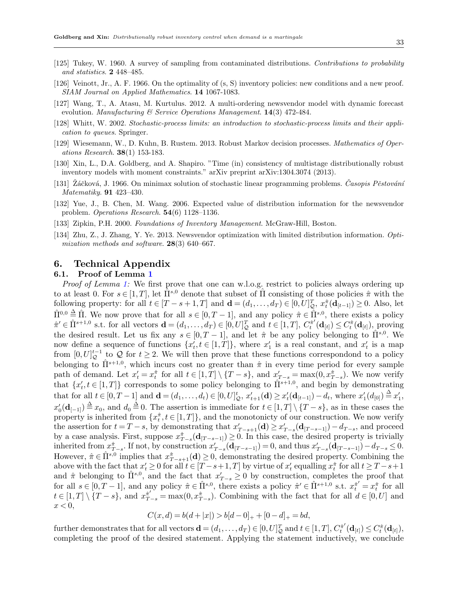- <span id="page-32-5"></span>[125] Tukey, W. 1960. A survey of sampling from contaminated distributions. Contributions to probability and statistics. 2 448–485.
- [126] Veinott, Jr., A. F. 1966. On the optimality of (s, S) inventory policies: new conditions and a new proof. SIAM Journal on Applied Mathematics. 14 1067-1083.
- [127] Wang, T., A. Atasu, M. Kurtulus. 2012. A multi-ordering newsvendor model with dynamic forecast evolution. Manufacturing  $\mathcal C$  Service Operations Management. 14(3) 472-484.
- <span id="page-32-7"></span>[128] Whitt, W. 2002. Stochastic-process limits: an introduction to stochastic-process limits and their application to queues. Springer.
- <span id="page-32-4"></span>[129] Wiesemann, W., D. Kuhn, B. Rustem. 2013. Robust Markov decision processes. Mathematics of Oper*ations Research.* **38**(1) 153-183.
- <span id="page-32-3"></span>[130] Xin, L., D.A. Goldberg, and A. Shapiro. "Time (in) consistency of multistage distributionally robust inventory models with moment constraints." arXiv preprint arXiv:1304.3074 (2013).
- <span id="page-32-0"></span>[131]  $\tilde{Z}$ áčková, J. 1966. On minimax solution of stochastic linear programming problems. *Časopis Pěstování* Matematiky. 91 423–430.
- <span id="page-32-1"></span>[132] Yue, J., B. Chen, M. Wang. 2006. Expected value of distribution information for the newsvendor problem. Operations Research. 54(6) 1128–1136.
- [133] Zipkin, P.H. 2000. Foundations of Inventory Management. McGraw-Hill, Boston.
- <span id="page-32-2"></span>[134] Zhu, Z., J. Zhang, Y. Ye. 2013. Newsvendor optimization with limited distribution information. Optimization methods and software.  $28(3)$  640–667.

# <span id="page-32-6"></span>6. Technical Appendix

## 6.1. Proof of Lemma [1](#page-6-0)

Proof of Lemma [1:](#page-6-0) We first prove that one can w.l.o.g. restrict to policies always ordering up to at least 0. For  $s \in [1, T]$ , let  $\hat{\Pi}^{s,0}$  denote that subset of  $\hat{\Pi}$  consisting of those policies  $\hat{\pi}$  with the following property: for all  $t \in [T - s + 1, T]$  and  $\mathbf{d} = (d_1, \ldots, d_T) \in [0, U]_Q^T$ ,  $x_t^{\hat{\pi}}(\mathbf{d}_{[t-1]}) \geq 0$ . Also, let  $\hat{\Pi}^{0,0} \triangleq \hat{\Pi}$ . We now prove that for all  $s \in [0,T-1]$ , and any policy  $\hat{\pi} \in \hat{\Pi}^{s,0}$ , there exists a policy  $\hat{\pi}' \in \hat{\Pi}^{s+1,0}$  s.t. for all vectors  $\mathbf{d} = (d_1, \ldots, d_T) \in [0, U]_{\mathcal{Q}}^T$  and  $t \in [1, T]$ ,  $C_t^{\hat{\pi}'}$  $t^{\hat{\pi}'}_t(\mathbf{d}_{[t]}) \leq C^{\hat{\pi}}_t(\mathbf{d}_{[t]}),$  proving the desired result. Let us fix any  $s \in [0, T-1]$ , and let  $\hat{\pi}$  be any policy belonging to  $\hat{\Pi}^{s,0}$ . We now define a sequence of functions  $\{x'_t, t \in [1,T]\}$ , where  $x'_1$  is a real constant, and  $x'_t$  is a map from  $[0, U]_{\mathcal{Q}}^{t-1}$  to  $\mathcal Q$  for  $t \geq 2$ . We will then prove that these functions correspondond to a policy belonging to  $\hat{\Pi}^{s+1,0}$ , which incurs cost no greater than  $\hat{\pi}$  in every time period for every sample path of demand. Let  $x'_t = x_t^{\hat{\pi}}$  for all  $t \in [1, T] \setminus \{T - s\}$ , and  $x'_{T-s} = \max(0, x_{T-s}^{\hat{\pi}})$ . We now verify that  $\{x'_t, t \in [1,T]\}$  corresponds to some policy belonging to  $\hat{\Pi}^{s+1,0}$ , and begin by demonstrating that for all  $t \in [0, T-1]$  and  $\mathbf{d} = (d_1, \ldots, d_t) \in [0, U]_{\mathcal{Q}}^t$ ,  $x'_{t+1}(\mathbf{d}) \ge x'_{t}(\mathbf{d}_{[t-1]}) - d_t$ , where  $x'_{1}(d_{[0]}) \stackrel{\Delta}{=} x'_{1}$ ,  $x'_0(\mathbf{d}_{[-1]}) \stackrel{\Delta}{=} x_0$ , and  $d_0 \stackrel{\Delta}{=} 0$ . The assertion is immediate for  $t \in [1,T] \setminus \{T-s\}$ , as in these cases the property is inherited from  $\{x_t^*, t \in [1,T]\}$ , and the monotonicty of our construction. We now verify the assertion for  $t = T - s$ , by demonstrating that  $x'_{T-s+1}(\mathbf{d}) \ge x'_{T-s}(\mathbf{d}_{[T-s-1]}) - d_{T-s}$ , and proceed by a case analysis. First, suppose  $x^*_{T-s}(\mathbf{d}_{[T-s-1]}) \geq 0$ . In this case, the desired property is trivially inherited from  $x_{T-s}^{\hat{\pi}}$ . If not, by construction  $x'_{T-s}(\mathbf{d}_{[T-s-1]}) = 0$ , and thus  $x'_{T-s}(\mathbf{d}_{[T-s-1]}) - d_{T-s} \leq 0$ . However,  $\hat{\pi} \in \hat{\Pi}^{s,0}$  implies that  $x^{\hat{\pi}}_{T-s+1}(\mathbf{d}) \geq 0$ , demonstrating the desired property. Combining the above with the fact that  $x'_t \geq 0$  for all  $t \in [T-s+1, T]$  by virtue of  $x'_t$  equalling  $x_t^{\hat{\pi}}$  for all  $t \geq T-s+1$ and  $\hat{\pi}$  belonging to  $\hat{\Pi}^{s,0}$ , and the fact that  $x'_{T-s} \geq 0$  by construction, completes the proof that for all  $s \in [0, T-1]$ , and any policy  $\hat{\pi} \in \hat{\Pi}^{s,0}$ , there exists a policy  $\hat{\pi}' \in \hat{\Pi}^{s+1,0}$  s.t.  $x_t^{\hat{\pi}'} = x_t^{\hat{\pi}}$  for all  $t \in [1,T] \setminus \{T-s\}$ , and  $x_{T-s}^{\hat{\pi}'} = \max(0, x_{T-s}^{\hat{\pi}})$ . Combining with the fact that for all  $d \in [0,U]$  and  $x < 0$ ,

$$
C(x,d) = b(d+|x|) > b[d-0]_+ + [0-d]_+ = bd,
$$

further demonstrates that for all vectors  $\mathbf{d} = (d_1, \ldots, d_T) \in [0, U]_{\mathcal{Q}}^T$  and  $t \in [1, T]$ ,  $C_t^{\hat{\pi}'}$  $\ell_t^{\hat\pi'}(\mathbf{d}_{[t]})\!\leq\! C_t^{\hat\pi}(\mathbf{d}_{[t]}),$ completing the proof of the desired statement. Applying the statement inductively, we conclude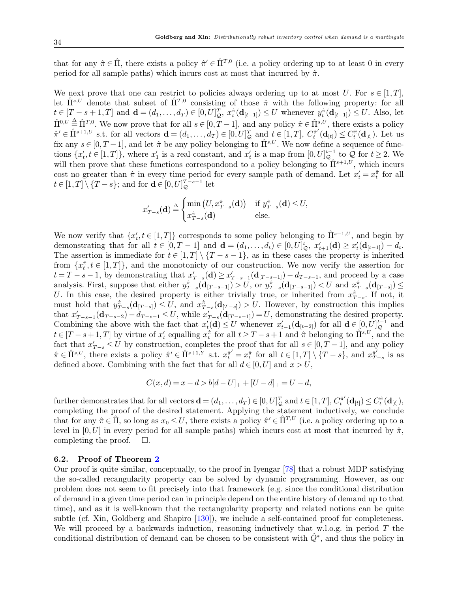that for any  $\hat{\pi} \in \hat{\Pi}$ , there exists a policy  $\hat{\pi}' \in \hat{\Pi}^{T,0}$  (i.e. a policy ordering up to at least 0 in every period for all sample paths) which incurs cost at most that incurred by  $\hat{\pi}$ .

We next prove that one can restrict to policies always ordering up to at most U. For  $s \in [1, T]$ , let  $\hat{\Pi}^{s,U}$  denote that subset of  $\hat{\Pi}^{T,0}$  consisting of those  $\hat{\pi}$  with the following property: for all  $t \in [T-s+1,T]$  and  $\mathbf{d} = (d_1,\ldots,d_T) \in [0,U]_Q^T$ ,  $x_t^{\hat{\pi}}(\mathbf{d}_{[t-1]}) \leq U$  whenever  $y_t^{\hat{\pi}}(\mathbf{d}_{[t-1]}) \leq U$ . Also, let  $\hat{\Pi}^{0,U} \triangleq \hat{\Pi}^{T,0}$ . We now prove that for all  $s \in [0, T-1]$ , and any policy  $\hat{\pi} \in \hat{\Pi}^{s,U}$ , there exists a policy  $\hat{\pi}' \in \hat{\Pi}^{s+1,U}$  s.t. for all vectors  $\mathbf{d} = (d_1, \ldots, d_T) \in [0, U]_{\mathcal{Q}}^T$  and  $t \in [1, T]$ ,  $C_t^{\hat{\pi}'}$  $t_t^{\hat{\pi}'}(\mathbf{d}_{[t]}) \leq C_t^{\hat{\pi}}(\mathbf{d}_{[t]})$ . Let us fix any  $s \in [0, T-1]$ , and let  $\hat{\pi}$  be any policy belonging to  $\hat{\Pi}^{s,U}$ . We now define a sequence of functions  $\{x'_t, t \in [1,T]\}$ , where  $x'_1$  is a real constant, and  $x'_t$  is a map from  $[0, U]_{\mathcal{Q}}^{t-1}$  to  $\mathcal{Q}$  for  $t \geq 2$ . We will then prove that these functions correspondond to a policy belonging to  $\hat{\Pi}^{s+1,U}$ , which incurs cost no greater than  $\hat{\pi}$  in every time period for every sample path of demand. Let  $x_t' = x_t^{\hat{\pi}}$  for all  $t \in [1, T] \setminus \{T - s\}$ ; and for  $\mathbf{d} \in [0, U]_{\mathcal{Q}}^{T - s - 1}$  let

$$
x'_{T-s}(\mathbf{d}) \stackrel{\Delta}{=} \begin{cases} \min\left(U, x^{\hat{\pi}}_{T-s}(\mathbf{d})\right) & \text{if } y^{\hat{\pi}}_{T-s}(\mathbf{d}) \le U, \\ x^{\hat{\pi}}_{T-s}(\mathbf{d}) & \text{else.} \end{cases}
$$

We now verify that  $\{x'_t, t \in [1,T]\}$  corresponds to some policy belonging to  $\hat{\Pi}^{s+1,U}$ , and begin by demonstrating that for all  $t \in [0, T-1]$  and  $\mathbf{d} = (d_1, \ldots, d_t) \in [0, U]_{\mathcal{Q}}^t$ ,  $x'_{t+1}(\mathbf{d}) \ge x'_{t}(\mathbf{d}_{[t-1]}) - d_t$ . The assertion is immediate for  $t \in [1, T] \setminus \{T - s - 1\}$ , as in these cases the property is inherited from  $\{x_t^{\hat{\pi}}, t \in [1,T]\}$ , and the monotonicty of our construction. We now verify the assertion for  $t = T - s - 1$ , by demonstrating that  $x'_{T-s}(\mathbf{d}) \ge x'_{T-s-1}(\mathbf{d}_{[T-s-1]}) - d_{T-s-1}$ , and proceed by a case analysis. First, suppose that either  $y_{T-s}^{\hat{\pi}}(\mathbf{d}_{[T-s-1]}) > U$ , or  $y_{T-s}^{\hat{\pi}}(\mathbf{d}_{[T-s-1]}) < U$  and  $x_{T-s}^{\hat{\pi}}(\mathbf{d}_{[T-s]}) \le$ U. In this case, the desired property is either trivially true, or inherited from  $x^{\hat{\pi}}_{T-s}$ . If not, it must hold that  $y^{\hat{\pi}}_{T-s}(\mathbf{d}_{[T-s]}) \leq U$ , and  $x^{\hat{\pi}}_{T-s}(\mathbf{d}_{[T-s]}) > U$ . However, by construction this implies that  $x'_{T-s-1}(\mathbf{d}_{T-s-2}) - d_{T-s-1} \leq U$ , while  $x'_{T-s}(\mathbf{d}_{[T-s-1]}) = U$ , demonstrating the desired property. Combining the above with the fact that  $x'_t(\mathbf{d}) \leq U$  whenever  $x'_{t-1}(\mathbf{d}_{[t-2]})$  for all  $\mathbf{d} \in [0, U]_{\mathcal{Q}}^{t-1}$  and  $t \in [T-s+1,T]$  by virtue of  $x'_t$  equalling  $x_t^{\hat{\pi}}$  for all  $t \geq T-s+1$  and  $\hat{\pi}$  belonging to  $\hat{\Pi}^{s,U}$ , and the fact that  $x'_{T-s} \leq U$  by construction, completes the proof that for all  $s \in [0, T-1]$ , and any policy  $\hat{\pi} \in \hat{\Pi}^{s,U}$ , there exists a policy  $\hat{\pi}' \in \hat{\Pi}^{s+1,Y}$  s.t.  $x_t^{\hat{\pi}'} = x_t^{\hat{\pi}}$  for all  $t \in [1,T] \setminus \{T-s\}$ , and  $x_T^{\hat{\pi}'}$  $\hat{\pi}^{\prime}_{T-s}$  is as defined above. Combining with the fact that for all  $d \in [0, U]$  and  $x > U$ ,

$$
C(x,d) = x - d > b[d-U]_+ + [U - d]_+ = U - d,
$$

further demonstrates that for all vectors  $\mathbf{d} = (d_1, \ldots, d_T) \in [0, U]_{\mathcal{Q}}^T$  and  $t \in [1, T]$ ,  $C_t^{\hat{\pi}'}$  $C^{\hat{\pi}'}_t(\mathbf{d}_{[t]})\leq C^{\hat{\pi}}_t(\mathbf{d}_{[t]}),$ completing the proof of the desired statement. Applying the statement inductively, we conclude that for any  $\hat{\pi} \in \hat{\Pi}$ , so long as  $x_0 \leq U$ , there exists a policy  $\hat{\pi}' \in \hat{\Pi}^{T,U}$  (i.e. a policy ordering up to a level in [0, U] in every period for all sample paths) which incurs cost at most that incurred by  $\hat{\pi}$ , completing the proof.  $\Box$ .

## 6.2. Proof of Theorem [2](#page-10-1)

Our proof is quite similar, conceptually, to the proof in Iyengar [\[78\]](#page-30-12) that a robust MDP satisfying the so-called recangularity property can be solved by dynamic programming. However, as our problem does not seem to fit precisely into that framework (e.g. since the conditional distribution of demand in a given time period can in principle depend on the entire history of demand up to that time), and as it is well-known that the rectangularity property and related notions can be quite subtle (cf. Xin, Goldberg and Shapiro [\[130\]](#page-32-3)), we include a self-contained proof for completeness. We will proceed by a backwards induction, reasoning inductively that w.l.o.g. in period  $T$  the conditional distribution of demand can be chosen to be consistent with  $\hat{Q}^*$ , and thus the policy in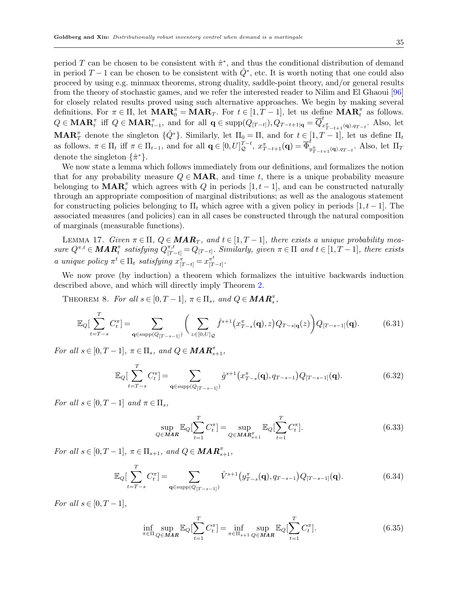period T can be chosen to be consistent with  $\hat{\pi}^*$ , and thus the conditional distribution of demand in period  $T-1$  can be chosen to be consistent with  $\hat{Q}^*$ , etc. It is worth noting that one could also proceed by using e.g. minmax theorems, strong duality, saddle-point theory, and/or general results from the theory of stochastic games, and we refer the interested reader to Nilim and El Ghaoui [\[96\]](#page-30-13) for closely related results proved using such alternative approaches. We begin by making several definitions. For  $\pi \in \Pi$ , let  $\mathbf{MAR}_{0}^{\pi} = \mathbf{MAR}_{T}$ . For  $t \in [1, T-1]$ , let us define  $\mathbf{MAR}_{t}^{\pi}$  as follows.  $Q \in \mathbf{MAR}_t^{\pi}$  iff  $Q \in \mathbf{MAR}_{t-1}^{\pi}$ , and for all  $\mathbf{q} \in \mathrm{supp}(Q_{[T-t]}), Q_{T-t+1|\mathbf{q}} = \overline{Q}_x^t$  $\sum_{x_{T-t+1}(\mathbf{q}),q_{T-t}}^{\infty}$ . Also, let **MAR**<sup>π</sup> denote the singleton  $\{\hat{Q}^*\}$ . Similarly, let  $\Pi_0 = \Pi$ , and for  $t \in [1, T-1]$ , let us define  $\Pi_t$ as follows.  $\pi \in \Pi_t$  iff  $\pi \in \Pi_{t-1}$ , and for all  $\mathbf{q} \in [0, U]_{\mathcal{Q}}^{T-t}$ ,  $x_{T-t+1}^{\pi}(\mathbf{q}) = \overline{\Phi}_t^t$  $\int_{y_{T-t+1}^{\pi}(\mathbf{q}),q_{T-t}}^{\infty}$ . Also, let  $\Pi_T$ denote the singleton  $\{\hat{\pi}^*\}.$ 

We now state a lemma which follows immediately from our definitions, and formalizes the notion that for any probability measure  $Q \in \mathbf{MAR}$ , and time t, there is a unique probability measure belonging to  $\text{MAR}_t^{\pi}$  which agrees with Q in periods  $[1, t-1]$ , and can be constructed naturally through an appropriate composition of marginal distributions; as well as the analogous statement for constructing policies belonging to  $\Pi_t$  which agree with a given policy in periods  $[1, t-1]$ . The associated measures (and policies) can in all cases be constructed through the natural composition of marginals (measurable functions).

<span id="page-34-5"></span>LEMMA 17. Given  $\pi \in \Pi$ ,  $Q \in \mathbf{MAR}_T$ , and  $t \in [1, T-1]$ , there exists a unique probability mea $sure\ Q^{\pi,t} \in \mathbf{MAR}_t^{\pi}$  satisfying  $Q_{[T-t]}^{\pi,t} = Q_{[T-t]}$ . Similarly, given  $\pi \in \Pi$  and  $t \in [1, T-1]$ , there exists a unique policy  $\pi^t \in \Pi_t$  satisfying  $x_{[T-t]}^{\pi} = x_{[T}^{\pi^t}]$  $\frac{\pi^{\iota}}{[T - t]}$  .

We now prove (by induction) a theorem which formalizes the intuitive backwards induction described above, and which will directly imply Theorem [2.](#page-10-1)

THEOREM 8. For all  $s \in [0, T-1]$ ,  $\pi \in \Pi_s$ , and  $Q \in \mathbf{MAR}_s^{\pi}$ ,

<span id="page-34-0"></span>
$$
\mathbb{E}_{Q}[\sum_{t=T-s}^{T} C_{t}^{\pi}] = \sum_{\mathbf{q} \in \text{supp}(Q_{[T-s-1]})} \left( \sum_{z \in [0,U]_{Q}} \hat{f}^{s+1}(x_{T-s}^{\pi}(\mathbf{q}), z) Q_{T-s|\mathbf{q}}(z) \right) Q_{[T-s-1]}(\mathbf{q}). \tag{6.31}
$$

For all  $s \in [0, T-1]$ ,  $\pi \in \Pi_s$ , and  $Q \in \mathbf{MAR}_{s+1}^{\pi}$ ,

<span id="page-34-1"></span>
$$
\mathbb{E}_{Q} \left[ \sum_{t=T-s}^{T} C_{t}^{\pi} \right] = \sum_{\mathbf{q} \in \text{supp}(Q_{[T-s-1]})} \hat{g}^{s+1}\left(x_{T-s}^{\pi}(\mathbf{q}), q_{T-s-1}\right) Q_{[T-s-1]}(\mathbf{q}).
$$
\n(6.32)

For all  $s \in [0, T-1]$  and  $\pi \in \Pi_s$ ,

<span id="page-34-2"></span>
$$
\sup_{Q \in \mathbf{M} \mathbf{A} \mathbf{R}} \mathbb{E}_Q[\sum_{t=1}^T C_t^{\pi}] = \sup_{Q \in \mathbf{M} \mathbf{A} \mathbf{R}_{s+1}^{\pi}} \mathbb{E}_Q[\sum_{t=1}^T C_t^{\pi}].
$$
\n(6.33)

For all  $s \in [0, T-1]$ ,  $\pi \in \Pi_{s+1}$ , and  $Q \in \mathbf{MAR}_{s+1}^{\pi}$ ,

<span id="page-34-3"></span>
$$
\mathbb{E}_{Q} \left[ \sum_{t=T-s}^{T} C_{t}^{\pi} \right] = \sum_{\mathbf{q} \in \text{supp}(Q_{[T-s-1]})} \hat{V}^{s+1}\left(\mathbf{y}_{T-s}^{\pi}(\mathbf{q}), q_{T-s-1}\right) Q_{[T-s-1]}(\mathbf{q}). \tag{6.34}
$$

For all  $s \in [0, T-1]$ ,

<span id="page-34-4"></span>
$$
\inf_{\pi \in \Pi} \sup_{Q \in \mathbf{MAR}} \mathbb{E}_Q[\sum_{t=1}^T C_t^{\pi}] = \inf_{\pi \in \Pi_{s+1}} \sup_{Q \in \mathbf{MAR}} \mathbb{E}_Q[\sum_{t=1}^T C_t^{\pi}].
$$
\n(6.35)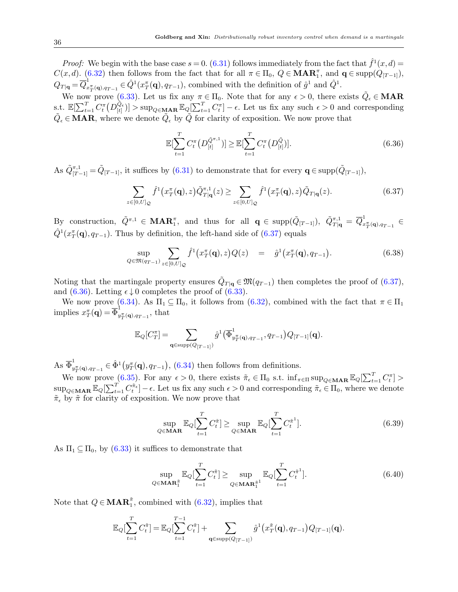*Proof:* We begin with the base case  $s = 0$ . [\(6.31\)](#page-34-0) follows immediately from the fact that  $\hat{f}^1(x, d) =$  $C(x, d)$ . [\(6.32\)](#page-34-1) then follows from the fact that for all  $\pi \in \Pi_0$ ,  $Q \in \mathbf{MAR}_1^{\pi}$ , and  $\mathbf{q} \in \text{supp}(Q_{[T-1]})$ ,  $\overline{Q_{T|{\bf q}}}\!=\!\overline{Q}_{x}^{1}$  $\hat{L}_{x_T^{\pi}(\mathbf{q}),q_{T-1}}^1 \in \hat{Q}^1(x_T^{\pi}(\mathbf{q}), q_{T-1}),$  combined with the definition of  $\hat{g}^1$  and  $\hat{Q}^1$ .

We now prove [\(6.33\)](#page-34-2). Let us fix any  $\pi \in \Pi_0$ . Note that for any  $\epsilon > 0$ , there exists  $\tilde{Q}_{\epsilon} \in \mathbf{MAR}$ s.t.  $\mathbb{E}[\sum_{t=1}^T C_t^{\pi}(D_{[t]}^{\tilde{Q}_{\epsilon}})] > \sup_{Q \in \mathbf{MAR}} \mathbb{E}_Q[\sum_{t=1}^T C_t^{\pi}] - \epsilon$ . Let us fix any such  $\epsilon > 0$  and corresponding  $\tilde{Q}_{\epsilon} \in \mathbf{MAR}$ , where we denote  $\tilde{Q}_{\epsilon}$  by  $\tilde{Q}$  for clarity of exposition. We now prove that

<span id="page-35-1"></span>
$$
\mathbb{E}[\sum_{t=1}^{T} C_t^{\pi} \left( D_{[t]}^{\tilde{Q}^{\pi,1}} \right)] \geq \mathbb{E}[\sum_{t=1}^{T} C_t^{\pi} \left( D_{[t]}^{\tilde{Q}} \right)]. \tag{6.36}
$$

As  $\tilde{Q}_{[T-1]}^{\pi,1} = \tilde{Q}_{[T-1]}$ , it suffices by  $(6.31)$  to demonstrate that for every  $\mathbf{q} \in \text{supp}(\tilde{Q}_{[T-1]}),$ 

<span id="page-35-0"></span>
$$
\sum_{\in[0,U]_{\mathcal{Q}}} \hat{f}^1\big(x_T^{\pi}(\mathbf{q}),z\big)\tilde{Q}_{T|\mathbf{q}}^{\pi,1}(z) \ge \sum_{z\in[0,U]_{\mathcal{Q}}} \hat{f}^1\big(x_T^{\pi}(\mathbf{q}),z\big)\tilde{Q}_{T|\mathbf{q}}(z). \tag{6.37}
$$

By construction,  $\tilde{Q}^{\pi,1} \in \mathbf{MAR}_1^{\pi}$ , and thus for all  $\mathbf{q} \in \text{supp}(\tilde{Q}_{[T-1]})$ ,  $\tilde{Q}_{T|\mathbf{q}}^{\pi,1} = \overline{Q}_x^1$  $\frac{1}{x_T^{\pi}(\mathbf{q}), q_{T-1}} \in$  $\hat{Q}^1(x_T^{\pi}(\mathbf{q}), q_{T-1})$ . Thus by definition, the left-hand side of  $(6.37)$  equals

$$
\sup_{Q \in \mathfrak{M}(q_{T-1})} \sum_{z \in [0,U]_Q} \hat{f}^1(x_T^{\pi}(\mathbf{q}), z) Q(z) = \hat{g}^1(x_T^{\pi}(\mathbf{q}), q_{T-1}). \tag{6.38}
$$

Noting that the martingale property ensures  $\tilde{Q}_{T|q} \in \mathfrak{M}(q_{T-1})$  then completes the proof of  $(6.37)$ , and [\(6.36\)](#page-35-1). Letting  $\epsilon \downarrow 0$  completes the proof of [\(6.33\)](#page-34-2).

We now prove [\(6.34\)](#page-34-3). As  $\Pi_1 \subseteq \Pi_0$ , it follows from [\(6.32\)](#page-34-1), combined with the fact that  $\pi \in \Pi_1$ implies  $x_T(\mathbf{q}) = \overline{\Phi}_y^1$  $\int_{y_T^{\pi}(\mathbf{q}),q_{T-1}}^{\infty}$ , that

$$
\mathbb{E}_{Q}[C_T^{\pi}] = \sum_{\mathbf{q} \in \text{supp}(Q_{[T-1]})} \hat{g}^1(\overline{\Phi}^1_{y_T^{\pi}(\mathbf{q}), q_{T-1}}, q_{T-1}) Q_{[T-1]}(\mathbf{q}).
$$

As  $\overline{\Phi}_u^1$  $y_{T}^{\pi}(\mathbf{q}), q_{T-1} \in \hat{\Phi}^1(y_T^{\pi}(\mathbf{q}), q_{T-1}), (6.34)$  $y_{T}^{\pi}(\mathbf{q}), q_{T-1} \in \hat{\Phi}^1(y_T^{\pi}(\mathbf{q}), q_{T-1}), (6.34)$  then follows from definitions.

We now prove  $(6.35)$ . For any  $\epsilon > 0$ , there exists  $\tilde{\pi}_{\epsilon} \in \Pi_0$  s.t.  $\inf_{\pi \in \Pi} \sup_{Q \in \mathbf{MAR}} \mathbb{E}_Q[\sum_{t=1}^T C_t^{\pi}] >$  $\sup_{Q \in \mathbf{MAR}} \mathbb{E}_Q[\sum_{t=1}^T C_t^{\tilde{\pi}_{\epsilon}}] - \epsilon$ . Let us fix any such  $\epsilon > 0$  and corresponding  $\tilde{\pi}_{\epsilon} \in \Pi_0$ , where we denote  $\tilde{\pi}_{\epsilon}$  by  $\tilde{\pi}$  for clarity of exposition. We now prove that

<span id="page-35-3"></span>
$$
\sup_{Q \in \mathbf{MAR}} \mathbb{E}_Q[\sum_{t=1}^T C_t^{\tilde{\pi}}] \ge \sup_{Q \in \mathbf{MAR}} \mathbb{E}_Q[\sum_{t=1}^T C_t^{\tilde{\pi}^1}].
$$
\n(6.39)

As  $\Pi_1 \subseteq \Pi_0$ , by [\(6.33\)](#page-34-2) it suffices to demonstrate that

 $\boldsymbol{z}$ 

<span id="page-35-2"></span>
$$
\sup_{Q \in \mathbf{MAR}_1^{\tilde{\pi}}} \mathbb{E}_Q[\sum_{t=1}^T C_t^{\tilde{\pi}}] \ge \sup_{Q \in \mathbf{MAR}_1^{\tilde{\pi}^1}} \mathbb{E}_Q[\sum_{t=1}^T C_t^{\tilde{\pi}^1}]. \tag{6.40}
$$

Note that  $Q \in \mathbf{MAR}_1^{\tilde{\pi}}$ , combined with  $(6.32)$ , implies that

$$
\mathbb{E}_{Q}[\sum_{t=1}^{T} C_t^{\tilde{\pi}}] = \mathbb{E}_{Q}[\sum_{t=1}^{T-1} C_t^{\tilde{\pi}}] + \sum_{\mathbf{q} \in \text{supp}(Q_{[T-1]})} \hat{g}^1(x_T^{\tilde{\pi}}(\mathbf{q}), q_{T-1}) Q_{[T-1]}(\mathbf{q}).
$$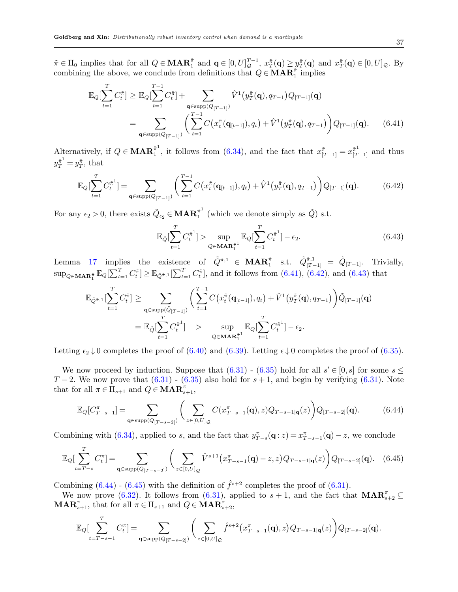$\tilde{\pi} \in \Pi_0$  implies that for all  $Q \in \mathbf{MAR}_1^{\tilde{\pi}}$  and  $\mathbf{q} \in [0, U]_{\mathcal{Q}}^{T-1}$ ,  $x_T^{\tilde{\pi}}(\mathbf{q}) \geq y_T^{\tilde{\pi}}(\mathbf{q})$  and  $x_T^{\tilde{\pi}}(\mathbf{q}) \in [0, U]_{\mathcal{Q}}$ . By combining the above, we conclude from definitions that  $Q \in \mathbf{MAR}_1^{\tilde{\pi}}$  implies

<span id="page-36-0"></span>
$$
\mathbb{E}_{Q}[\sum_{t=1}^{T} C_{t}^{\tilde{\pi}}] \geq \mathbb{E}_{Q}[\sum_{t=1}^{T-1} C_{t}^{\tilde{\pi}}] + \sum_{\mathbf{q} \in \text{supp}(Q_{[T-1]})} \hat{V}^{1}(y_{T}^{\tilde{\pi}}(\mathbf{q}), q_{T-1}) Q_{[T-1]}(\mathbf{q})
$$
\n
$$
= \sum_{\mathbf{q} \in \text{supp}(Q_{[T-1]})} \left( \sum_{t=1}^{T-1} C(x_{t}^{\tilde{\pi}}(\mathbf{q}_{[t-1]}), q_{t}) + \hat{V}^{1}(y_{T}^{\tilde{\pi}}(\mathbf{q}), q_{T-1}) \right) Q_{[T-1]}(\mathbf{q}). \quad (6.41)
$$

Alternatively, if  $Q \in \mathbf{MAR}_1^{\tilde{\pi}^1}$  $\tilde{\tau}_1^1$ , it follows from [\(6.34\)](#page-34-3), and the fact that  $x^{\tilde{\pi}}_{[T-1]} = x^{\tilde{\pi}^1}_{[T-1]}$  and thus  $y_T^{\tilde{\pi}^1} = y_T^{\tilde{\pi}}, \text{ that}$ 

<span id="page-36-1"></span>
$$
\mathbb{E}_{Q}[\sum_{t=1}^{T} C_{t}^{\tilde{\pi}^{1}}] = \sum_{\mathbf{q} \in \text{supp}(Q_{[T-1]})} \left( \sum_{t=1}^{T-1} C\big(x_{t}^{\tilde{\pi}}(\mathbf{q}_{[t-1]}), q_{t}\big) + \hat{V}^{1}\big(y_{T}^{\tilde{\pi}}(\mathbf{q}), q_{T-1}\big) \right) Q_{[T-1]}(\mathbf{q}). \tag{6.42}
$$

For any  $\epsilon_2 > 0$ , there exists  $\tilde{Q}_{\epsilon_2} \in \mathbf{MAR}_1^{\tilde{\pi}^1}$  $\tilde{a}^1$  (which we denote simply as  $\tilde{Q}$ ) s.t.

<span id="page-36-2"></span>
$$
\mathbb{E}_{\tilde{Q}}\left[\sum_{t=1}^{T} C_t^{\tilde{\pi}^1}\right] > \sup_{Q \in \mathbf{MAR}_1^{\tilde{\pi}^1}} \mathbb{E}_{Q}\left[\sum_{t=1}^{T} C_t^{\tilde{\pi}^1}\right] - \epsilon_2.
$$
\n(6.43)

Lemma [17](#page-34-5) implies the existence of  $\tilde{Q}^{\tilde{\pi},1} \in \mathbf{MAR}_1^{\tilde{\pi}}$  s.t.  $\tilde{Q}_{[T-1]}^{\tilde{\pi},1} = \tilde{Q}_{[T-1]}$ . Trivially,  $\sup_{Q \in \mathbf{MAR}_1^{\tilde{\pi}}} \mathbb{E}_Q[\sum_{t=1}^T C_t^{\tilde{\pi}}] \geq \mathbb{E}_{\tilde{Q}^{\tilde{\pi}},1}[\sum_{t=1}^T C_t^{\tilde{\pi}}]$ , and it follows from  $(6.41)$ ,  $(6.42)$ , and  $(6.43)$  that

$$
\mathbb{E}_{\tilde{Q}^{\tilde{\pi}},1}[\sum_{t=1}^{T} C_t^{\tilde{\pi}}] \ge \sum_{\mathbf{q} \in \text{supp}(\tilde{Q}_{[T-1]})} \left( \sum_{t=1}^{T-1} C(x_t^{\tilde{\pi}}(\mathbf{q}_{[t-1]}), q_t) + \hat{V}^1(y_T^{\tilde{\pi}}(\mathbf{q}), q_{T-1}) \right) \tilde{Q}_{[T-1]}(\mathbf{q})
$$
  
\n
$$
= \mathbb{E}_{\tilde{Q}}[\sum_{t=1}^{T} C_t^{\tilde{\pi}^1}] \quad \text{sup} \quad \text{sup}_{Q \in \mathbf{MAR}_1^{\tilde{\pi}^1}} \mathbb{E}_{Q}[\sum_{t=1}^{T} C_t^{\tilde{\pi}^1}] - \epsilon_2.
$$

Letting  $\epsilon_2 \downarrow 0$  completes the proof of [\(6.40\)](#page-35-2) and [\(6.39\)](#page-35-3). Letting  $\epsilon \downarrow 0$  completes the proof of [\(6.35\)](#page-34-4).

We now proceed by induction. Suppose that  $(6.31)$  -  $(6.35)$  hold for all  $s' \in [0, s]$  for some  $s \leq$  $T-2$ . We now prove that  $(6.31)$  -  $(6.35)$  also hold for  $s+1$ , and begin by verifying  $(6.31)$ . Note that for all  $\pi \in \Pi_{s+1}$  and  $Q \in \mathbf{MAR}_{s+1}^{\pi}$ ,

<span id="page-36-3"></span>
$$
\mathbb{E}_{Q}[C_{T-s-1}^{\pi}] = \sum_{\mathbf{q} \in \text{supp}(Q_{[T-s-2]})} \left( \sum_{z \in [0,U]_{\mathcal{Q}}} C(x_{T-s-1}^{\pi}(\mathbf{q}), z) Q_{T-s-1|\mathbf{q}}(z) \right) Q_{[T-s-2]}(\mathbf{q}). \tag{6.44}
$$

Combining with [\(6.34\)](#page-34-3), applied to s, and the fact that  $y_{T-s}^{\pi}(\mathbf{q}:z) = x_{T-s-1}^{\pi}(\mathbf{q}) - z$ , we conclude

<span id="page-36-4"></span>
$$
\mathbb{E}_{Q}[\sum_{t=T-s}^{T} C_{t}^{\pi}] = \sum_{\mathbf{q} \in \text{supp}(Q_{[T-s-2]})} \left( \sum_{z \in [0,U]_{Q}} \hat{V}^{s+1}(x_{T-s-1}^{\pi}(\mathbf{q}) - z, z) Q_{T-s-1|\mathbf{q}}(z) \right) Q_{[T-s-2]}(\mathbf{q}). \quad (6.45)
$$

Combining  $(6.44)$  -  $(6.45)$  with the definition of  $\hat{f}^{s+2}$  completes the proof of  $(6.31)$ .

We now prove [\(6.32\)](#page-34-1). It follows from [\(6.31\)](#page-34-0), applied to  $s+1$ , and the fact that  $\mathbf{MAR}_{s+2}^{\pi} \subseteq$  $\mathbf{MAR}_{s+1}^{\pi}$ , that for all  $\pi \in \Pi_{s+1}$  and  $Q \in \mathbf{MAR}_{s+2}^{\pi}$ ,

$$
\mathbb{E}_{Q} \Big[ \sum_{t=T-s-1}^{T} C_{t}^{\pi} \Big] = \sum_{\mathbf{q} \in \text{supp}(Q_{[T-s-2]})} \bigg( \sum_{z \in [0,U]_{Q}} \hat{f}^{s+2}\big(x_{T-s-1}^{\pi}(\mathbf{q}), z\big) Q_{T-s-1|\mathbf{q}}(z) \bigg) Q_{[T-s-2]}(\mathbf{q}).
$$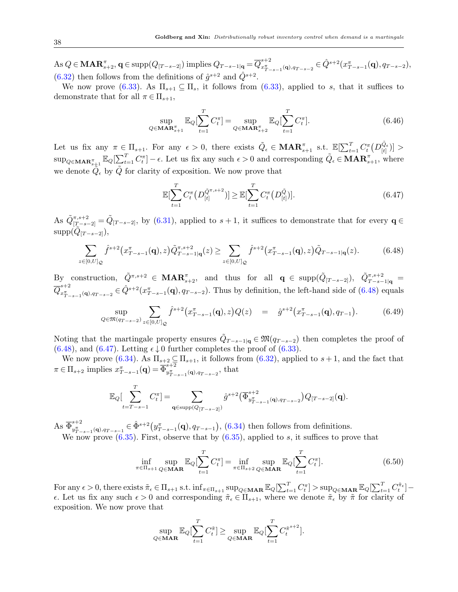As  $Q \in \mathbf{MAR}_{s+2}^{\pi}$ ,  $\mathbf{q} \in \text{supp}(Q_{[T-s-2]})$  implies  $Q_{T-s-1|\mathbf{q}} = \overline{Q}_{x_{T-}^{\pi}}^{s+2}$  $x_{T-s-1}^{s+2}(\mathbf{q}),q_{T-s-2}\in \hat{Q}^{s+2}(x_{T-s-1}^{\pi}(\mathbf{q}),q_{T-s-2}),$  $(6.32)$  then follows from the definitions of  $\hat{g}^{s+2}$  and  $\hat{Q}^{s+2}$ .

We now prove [\(6.33\)](#page-34-2). As  $\Pi_{s+1} \subseteq \Pi_s$ , it follows from (6.33), applied to s, that it suffices to demonstrate that for all  $\pi \in \Pi_{s+1}$ ,

$$
\sup_{Q \in \mathbf{MAR}_{s+1}^{\pi}} \mathbb{E}_Q[\sum_{t=1}^T C_t^{\pi}] = \sup_{Q \in \mathbf{MAR}_{s+2}^{\pi}} \mathbb{E}_Q[\sum_{t=1}^T C_t^{\pi}].
$$
\n(6.46)

Let us fix any  $\pi \in \Pi_{s+1}$ . For any  $\epsilon > 0$ , there exists  $\tilde{Q}_{\epsilon} \in \mathbf{MAR}_{s+1}^{\pi}$  s.t.  $\mathbb{E}[\sum_{t=1}^{T} C_t^{\pi}(D_{[t]}^{\tilde{Q}_{\epsilon}})] >$  $\sup_{Q \in \mathbf{MAR}_{s+1}^{\pi}} \mathbb{E}_Q[\sum_{t=1}^T C_t^{\pi}] - \epsilon$ . Let us fix any such  $\epsilon > 0$  and corresponding  $\tilde{Q}_{\epsilon} \in \mathbf{MAR}_{s+1}^{\pi}$ , where we denote  $\tilde{Q}_{\epsilon}$  by  $\tilde{Q}$  for clarity of exposition. We now prove that

<span id="page-37-1"></span>
$$
\mathbb{E}[\sum_{t=1}^{T} C_t^{\pi} \left( D_{[t]}^{\tilde{Q}^{\pi,s+2}} \right)] \geq \mathbb{E}[\sum_{t=1}^{T} C_t^{\pi} \left( D_{[t]}^{\tilde{Q}} \right)]. \tag{6.47}
$$

As  $\tilde{Q}_{[T-s-2]}^{\pi,s+2} = \tilde{Q}_{[T-s-2]}$ , by  $(6.31)$ , applied to  $s+1$ , it suffices to demonstrate that for every  $\mathbf{q} \in$  $\mathrm{supp}(\tilde{Q}_{[T-s-2]}),$ 

<span id="page-37-0"></span>
$$
\sum_{z \in [0,U]_{\mathcal{Q}}} \hat{f}^{s+2} \big( x^{\pi}_{T-s-1}(\mathbf{q}), z \big) \tilde{Q}^{\pi, s+2}_{T-s-1|\mathbf{q}}(z) \ge \sum_{z \in [0,U]_{\mathcal{Q}}} \hat{f}^{s+2} \big( x^{\pi}_{T-s-1}(\mathbf{q}), z \big) \tilde{Q}_{T-s-1|\mathbf{q}}(z). \tag{6.48}
$$

By construction,  $\tilde{Q}^{\pi,s+2} \in \mathbf{MAR}_{s+2}^{\pi}$ , and thus for all  $\mathbf{q} \in \mathrm{supp}(\tilde{Q}_{[T-s-2]})$ ,  $\tilde{Q}_{T-s-1|\mathbf{q}}^{\pi,s+2}$  $\overline{Q}_{x\overline{x}}^{s+2}$  $x_{T-s-1}^{s+2}(\mathbf{q})_{,q_{T-s-2}} \in \hat{Q}^{s+2}(x_{T-s-1}^{\pi}(\mathbf{q}), q_{T-s-2})$ . Thus by definition, the left-hand side of  $(6.48)$  equals

$$
\sup_{Q \in \mathfrak{M}(q_{T-s-2})} \sum_{z \in [0,U]_{\mathcal{Q}}} \hat{f}^{s+2}(x_{T-s-1}^{\pi}(\mathbf{q}), z) Q(z) = \hat{g}^{s+2}(x_{T-s-1}^{\pi}(\mathbf{q}), q_{T-1}). \tag{6.49}
$$

Noting that the martingale property ensures  $\tilde{Q}_{T-s-1|\mathbf{q}} \in \mathfrak{M}(q_{T-s-2})$  then completes the proof of [\(6.48\)](#page-37-0), and [\(6.47\)](#page-37-1). Letting  $\epsilon \downarrow 0$  further completes the proof of [\(6.33\)](#page-34-2).

We now prove [\(6.34\)](#page-34-3). As  $\Pi_{s+2} \subseteq \Pi_{s+1}$ , it follows from [\(6.32\)](#page-34-1), applied to  $s+1$ , and the fact that  $\pi \in \Pi_{s+2}$  implies  $x^{\pi}_{T-s-1}(\mathbf{q}) = \overline{\Phi}^{s+2}_{y^{\pi}_T}$  $y_{T-s-1}^{\pi}({\bf q})$ , $q_{T-s-2}$ , that

$$
\mathbb{E}_{Q} \left[ \sum_{t=T-s-1}^{T} C_{t}^{\pi} \right] = \sum_{\mathbf{q} \in \text{supp}(Q_{[T-s-2]})} \hat{g}^{s+2} \left( \overline{\Phi}_{y_{T-s-1}^{\pi}(\mathbf{q}), q_{T-s-2}}^{s+2} \right) Q_{[T-s-2]}(\mathbf{q}).
$$

As  $\overline{\Phi}_{u\overline{u}}^{s+2}$  $y_{T-s-1}^{s+2}(\mathbf{q})_{,q_{T-s-1}} \in \hat{\Phi}^{s+2}(y_{T-s-1}^{*}(\mathbf{q}), q_{T-s-1}), (6.34)$  $y_{T-s-1}^{s+2}(\mathbf{q})_{,q_{T-s-1}} \in \hat{\Phi}^{s+2}(y_{T-s-1}^{*}(\mathbf{q}), q_{T-s-1}), (6.34)$  then follows from definitions. We now prove  $(6.35)$ . First, observe that by  $(6.35)$ , applied to s, it suffices to prove that

<span id="page-37-2"></span>
$$
\inf_{\pi \in \Pi_{s+1}} \sup_{Q \in \mathbf{MAR}} \mathbb{E}_Q[\sum_{t=1}^T C_t^{\pi}] = \inf_{\pi \in \Pi_{s+2}} \sup_{Q \in \mathbf{MAR}} \mathbb{E}_Q[\sum_{t=1}^T C_t^{\pi}].
$$
\n(6.50)

For any  $\epsilon > 0$ , there exists  $\tilde{\pi}_{\epsilon} \in \Pi_{s+1}$  s.t.  $\inf_{\pi \in \Pi_{s+1}} \sup_{Q \in \mathbf{MAR}} \mathbb{E}_{Q}[\sum_{t=1}^T C_t^{\pi}] > \sup_{Q \in \mathbf{MAR}} \mathbb{E}_{Q}[\sum_{t=1}^T C_t^{\tilde{\pi}_{\epsilon}}]$  $\epsilon$ . Let us fix any such  $\epsilon > 0$  and corresponding  $\tilde{\pi}_{\epsilon} \in \Pi_{s+1}$ , where we denote  $\tilde{\pi}_{\epsilon}$  by  $\tilde{\pi}$  for clarity of exposition. We now prove that

$$
\sup_{Q \in \mathbf{MAR}} \mathbb{E}_Q[\sum_{t=1}^T C_t^{\tilde{\pi}}] \ge \sup_{Q \in \mathbf{MAR}} \mathbb{E}_Q[\sum_{t=1}^T C_t^{\tilde{\pi}^{s+2}}].
$$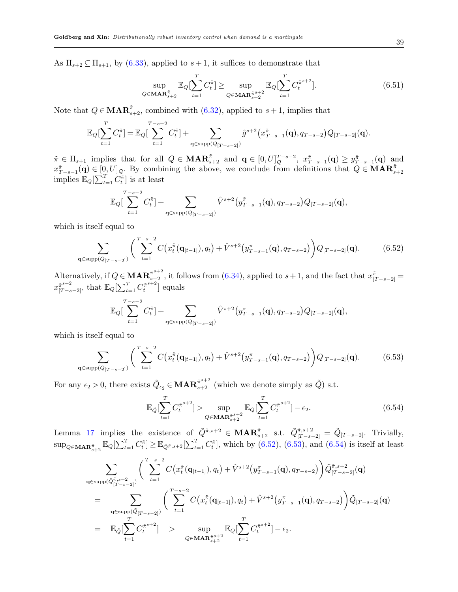As  $\Pi_{s+2} \subseteq \Pi_{s+1}$ , by [\(6.33\)](#page-34-2), applied to  $s+1$ , it suffices to demonstrate that

<span id="page-38-3"></span>
$$
\sup_{Q \in \mathbf{MAR}_{s+2}^{\pi}} \mathbb{E}_Q[\sum_{t=1}^T C_t^{\tilde{\pi}}] \ge \sup_{Q \in \mathbf{MAR}_{s+2}^{\tilde{\pi}^{s+2}}} \mathbb{E}_Q[\sum_{t=1}^T C_t^{\tilde{\pi}^{s+2}}].
$$
\n(6.51)

Note that  $Q \in \mathbf{MAR}_{s+2}^{\tilde{\pi}}$ , combined with  $(6.32)$ , applied to  $s+1$ , implies that

$$
\mathbb{E}_{Q}[\sum_{t=1}^{T} C_{t}^{\tilde{\pi}}] = \mathbb{E}_{Q}[\sum_{t=1}^{T-s-2} C_{t}^{\tilde{\pi}}] + \sum_{\mathbf{q} \in \text{supp}(Q_{[T-s-2]})} \hat{g}^{s+2}(x_{T-s-1}^{\tilde{\pi}}(\mathbf{q}), q_{T-s-2})Q_{[T-s-2]}(\mathbf{q}).
$$

 $\tilde{\pi} \in \Pi_{s+1}$  implies that for all  $Q \in \mathbf{MAR}_{s+2}^{\tilde{\pi}}$  and  $\mathbf{q} \in [0, U]_{\mathcal{Q}}^{T-s-2}$ ,  $x_{T-s-1}^{\tilde{\pi}}(\mathbf{q}) \ge y_{T-s-1}^{\tilde{\pi}}(\mathbf{q})$  and  $x_{T-s-1}^{\pi}(\mathbf{q}) \in [0, U]_{\mathcal{Q}}$ . By combining the above, we conclude from definitions that  $Q \in \mathbf{MAR}_{s+2}^{\pi}$  implies  $\mathbb{E}_{Q}[\sum_{t=1}^{T} C_t^{\tilde{\pi}}]$  is at least

$$
\mathbb{E}_Q[\sum_{t=1}^{T-s-2} C_t^{\tilde{\pi}}] + \sum_{\mathbf{q} \in \text{supp}(Q_{[T-s-2]})} \hat{V}^{s+2} (y^{\tilde{\pi}}_{T-s-1}(\mathbf{q}), q_{T-s-2}) Q_{[T-s-2]}(\mathbf{q}),
$$

which is itself equal to

<span id="page-38-0"></span>
$$
\sum_{\mathbf{q} \in \text{supp}(Q_{[T-s-2]})} \left( \sum_{t=1}^{T-s-2} C\big(x_t^{\tilde{\pi}}(\mathbf{q}_{[t-1]}), q_t\big) + \hat{V}^{s+2}\big(y_{T-s-1}^{\pi}(\mathbf{q}), q_{T-s-2}\big) \right) Q_{[T-s-2]}(\mathbf{q}). \tag{6.52}
$$

Alternatively, if  $Q \in \mathbf{MAR}_{s+2}^{\tilde{\pi}^{s+2}}$ , it follows from  $(6.34)$ , applied to  $s+1$ , and the fact that  $x^{\tilde{\pi}}_{[T-s-2]} =$  $x^{\tilde{\pi}^{s+2}}_{[T-s-2]},$  that  $\mathbb{E}_Q[\sum_{t=1}^T C_t^{\tilde{\pi}^{s+2}}]$  $\binom{\tilde{\pi}^{s+2}}{t}$  equals

$$
\mathbb{E}_{Q} \big[ \sum_{t=1}^{T-s-2} C_t^{\tilde{\pi}} \big] + \sum_{\mathbf{q} \in \text{supp}(Q_{[T-s-2]})} \hat{V}^{s+2} \big( y_{T-s-1}^{\pi}(\mathbf{q}), q_{T-s-2} \big) Q_{[T-s-2]}(\mathbf{q}),
$$

which is itself equal to

<span id="page-38-1"></span>
$$
\sum_{\mathbf{q} \in \text{supp}(Q_{[T-s-2]})} \left( \sum_{t=1}^{T-s-2} C\big(x_t^{\tilde{\pi}}(\mathbf{q}_{[t-1]}), q_t\big) + \hat{V}^{s+2}\big(y_{T-s-1}^{\pi}(\mathbf{q}), q_{T-s-2}\big) \right) Q_{[T-s-2]}(\mathbf{q}). \tag{6.53}
$$

For any  $\epsilon_2 > 0$ , there exists  $\tilde{Q}_{\epsilon_2} \in \mathbf{MAR}_{s+2}^{\tilde{\pi}^{s+2}}$  (which we denote simply as  $\tilde{Q}$ ) s.t.

<span id="page-38-2"></span>
$$
\mathbb{E}_{\tilde{Q}}[\sum_{t=1}^{T} C_t^{\tilde{\pi}^{s+2}}] > \sup_{Q \in \mathbf{MAR}_{s+2}^{\tilde{\pi}^{s+2}}} \mathbb{E}_{Q}[\sum_{t=1}^{T} C_t^{\tilde{\pi}^{s+2}}] - \epsilon_2.
$$
 (6.54)

Lemma [17](#page-34-5) implies the existence of  $\tilde{Q}^{\tilde{\pi},s+2} \in \mathbf{MAR}_{s+2}^{\tilde{\pi}}$  s.t.  $\tilde{Q}_{[T-s-2]}^{\tilde{\pi},s+2} = \tilde{Q}_{[T-s-2]}$ . Trivially,  $\sup_{Q \in \mathbf{MAR}_{s+2}^{\tilde{\pi}}} \mathbb{E}_Q[\sum_{t=1}^T C_t^{\tilde{\pi}}] \geq \mathbb{E}_{\tilde{Q}^{\tilde{\pi},s+2}}[\sum_{t=1}^T C_t^{\tilde{\pi}}]$ , which by [\(6.52\)](#page-38-0), [\(6.53\)](#page-38-1), and [\(6.54\)](#page-38-2) is itself at least

$$
\sum_{\mathbf{q} \in \text{supp}(\tilde{Q}_{[T-s-2]}^{\tilde{\pi},s+2})} \left( \sum_{t=1}^{T-s-2} C\big(x_t^{\tilde{\pi}}(\mathbf{q}_{[t-1]}), q_t\big) + \hat{V}^{s+2}\big(y_{T-s-1}^{\pi}(\mathbf{q}), q_{T-s-2}\big)\right) \tilde{Q}_{[T-s-2]}^{\tilde{\pi},s+2}(\mathbf{q})
$$
\n
$$
= \sum_{\mathbf{q} \in \text{supp}(\tilde{Q}_{[T-s-2]})} \left( \sum_{t=1}^{T-s-2} C\big(x_t^{\tilde{\pi}}(\mathbf{q}_{[t-1]}), q_t\big) + \hat{V}^{s+2}\big(y_{T-s-1}^{\pi}(\mathbf{q}), q_{T-s-2}\big)\right) \tilde{Q}_{[T-s-2]}(\mathbf{q})
$$
\n
$$
= \mathbb{E}_{\tilde{Q}}\big[\sum_{t=1}^{T} C_t^{\tilde{\pi}^{s+2}}\big] \ge \sup_{Q \in \mathbf{MAR}_{s+2}^{\tilde{\pi}^{s+2}}} \mathbb{E}_{Q}\big[\sum_{t=1}^{T} C_t^{\tilde{\pi}^{s+2}}\big] - \epsilon_2.
$$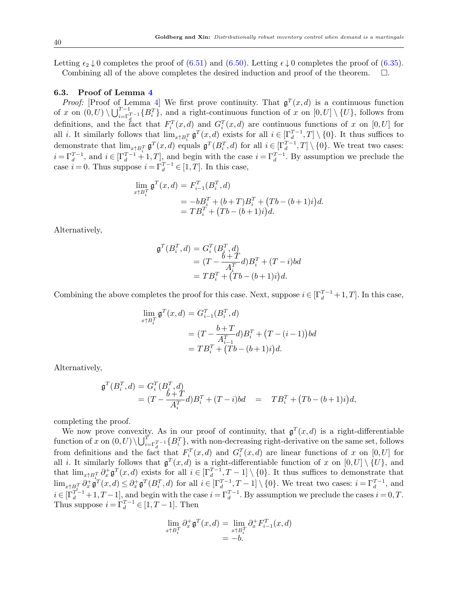Letting  $\epsilon_2 \downarrow 0$  completes the proof of [\(6.51\)](#page-38-3) and [\(6.50\)](#page-37-2). Letting  $\epsilon \downarrow 0$  completes the proof of [\(6.35\)](#page-34-4). Combining all of the above completes the desired induction and proof of the theorem. .

#### 6.3. Proof of Lemma [4](#page-18-1)

*Proof:* [Proof of Lemma [4\]](#page-18-1) We first prove continuity. That  $\mathfrak{g}^T(x,d)$  is a continuous function of x on  $(0, U) \setminus \bigcup_{i=\Gamma_X^T-1}^{T-1} \{B_i^T\}$ , and a right-continuous function of x on  $[0, U] \setminus \{U\}$ , follows from definitions, and the fact that  $F_i^T(x,d)$  and  $G_i^T(x,d)$  are continuous functions of x on [0, U] for all *i*. It similarly follows that  $\lim_{x \uparrow B_i^T} \mathfrak{g}^T(x,d)$  exists for all  $i \in [\Gamma_d^{T-1},T] \setminus \{0\}$ . It thus suffices to demonstrate that  $\lim_{x \uparrow B_i^T} \mathfrak{g}^T(x, d)$  equals  $\mathfrak{g}^T(B_i^T, d)$  for all  $i \in [\Gamma_d^{T-1}, T] \setminus \{0\}$ . We treat two cases:  $i = \Gamma_d^{T-1}$ , and  $i \in [\Gamma_d^{T-1} + 1, T]$ , and begin with the case  $i = \Gamma_d^{T-1}$ . By assumption we preclude the case  $i = 0$ . Thus suppose  $i = \Gamma_d^{T-1} \in [1, T]$ . In this case,

$$
\lim_{x \uparrow B_i^T} \mathfrak{g}^T(x,d) = F_{i-1}^T(B_i^T,d)
$$
  
=  $-bB_i^T + (b+T)B_i^T + (Tb - (b+1)i)d$ .  
=  $TB_i^T + (Tb - (b+1)i)d$ .

Alternatively,

$$
\mathfrak{g}^T(B_i^T, d) = G_i^T(B_i^T, d)
$$
  
=  $(T - \frac{b + T}{A_i^T}d)B_i^T + (T - i)bd$   
=  $TB_i^T + (Tb - (b + 1)i)d$ .

Combining the above completes the proof for this case. Next, suppose  $i \in [\Gamma_d^{T-1} + 1, T]$ . In this case,

$$
\lim_{x \uparrow B_i^T} \mathfrak{g}^T(x, d) = G_{i-1}^T(B_i^T, d)
$$
  
=  $(T - \frac{b+T}{A_{i-1}^T}d)B_i^T + (T - (i - 1))bd$   
=  $TB_i^T + (Tb - (b+1)i)d$ .

Alternatively,

$$
\mathfrak{g}^T(B_i^T, d) = G_i^T(B_i^T, d)
$$
  
=  $(T - \frac{b + T}{A_i^T}d)B_i^T + (T - i)bd$  =  $TB_i^T + (Tb - (b + 1)i)d$ ,

completing the proof.

We now prove convexity. As in our proof of continuity, that  $\mathfrak{g}^T(x,d)$  is a right-differentiable function of x on  $(0, U) \setminus \bigcup_{i=\Gamma_d}^T \{B_i^T\}$ , with non-decreasing right-derivative on the same set, follows from definitions and the fact that  $F_i^T(x,d)$  and  $G_i^T(x,d)$  are linear functions of x on [0, U] for all *i*. It similarly follows that  $\mathfrak{g}^T(x,d)$  is a right-differentiable function of x on  $[0,U] \setminus \{U\}$ , and that  $\lim_{x \uparrow B_i^T} \partial_x^+ \mathfrak{g}^T(x, d)$  exists for all  $i \in [\Gamma_d^{T-1}, T-1] \setminus \{0\}$ . It thus suffices to demonstrate that  $\lim_{x \uparrow B_i^T} \partial_x^+ \mathfrak{g}^T(x, d) \leq \partial_x^+ \mathfrak{g}^T(B_i^T, d)$  for all  $i \in [\Gamma_d^{T-1}, T-1] \setminus \{0\}$ . We treat two cases:  $i = \Gamma_d^{T-1}$ , and  $i \in [\Gamma_d^{T-1}+1, T-1]$ , and begin with the case  $i = \Gamma_d^{T-1}$ . By assumption we preclude the cases  $i = 0, T$ . Thus suppose  $i = \Gamma_d^{T-1} \in [1, T-1]$ . Then

$$
\lim_{x \uparrow B_i^T} \partial_x^+ \mathfrak{g}^T(x, d) = \lim_{\substack{x \uparrow B_i^T} \\ = -b} \partial_x^+ F_{i-1}^T(x, d)
$$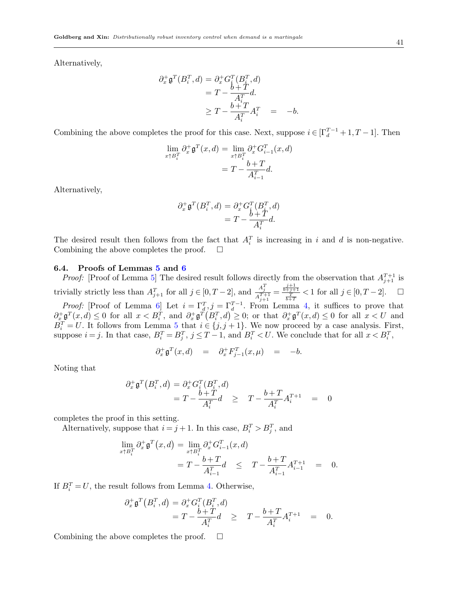Alternatively,

$$
\partial_x^+ \mathfrak{g}^T(B_i^T, d) = \partial_x^+ G_i^T(B_i^T, d)
$$
  
=  $T - \frac{b+T}{A_i^T} d$ .  

$$
\geq T - \frac{b+T}{A_i^T} A_i^T = -b.
$$

Combining the above completes the proof for this case. Next, suppose  $i \in [\Gamma_d^{T-1} + 1, T-1]$ . Then

$$
\lim_{x \uparrow B_i^T} \partial_x^+ \mathfrak{g}^T(x, d) = \lim_{x \uparrow B_i^T} \partial_x^+ G_{i-1}^T(x, d)
$$

$$
= T - \frac{b+T}{A_{i-1}^T} d.
$$

Alternatively,

$$
\partial_x^+ \mathfrak{g}^T(B_i^T, d) = \partial_x^+ G_i^T(B_i^T, d)
$$
  
= 
$$
T - \frac{b+T}{A_i^T}d.
$$

The desired result then follows from the fact that  $A_i^T$  is increasing in i and is non-negative. Combining the above completes the proof.  $\square$ 

## 6.4. Proofs of Lemmas [5](#page-18-4) and [6](#page-18-2)

*Proof:* [Proof of Lemma [5\]](#page-18-4) The desired result follows directly from the observation that  $A_{j+1}^{T+1}$  is trivially strictly less than  $A_{j+1}^T$  for all  $j \in [0, T-2]$ , and  $\frac{A_j^T}{A^{T+1}}$  $\frac{A_j^T}{A_{j+1}^{T+1}} = \frac{\frac{j+1}{b+j+1}}{\frac{T}{b+T}} < 1$  for all  $j \in [0, T-2]$ .  $\Box$ *Proof:* [Proof of Lemma [6\]](#page-18-2) Let  $i = \Gamma_d^T, j = \Gamma_d^{T-1}$ . From Lemma [4,](#page-18-1) it suffices to prove that  $\partial_x^+\mathfrak{g}^T(x,d) \leq 0$  for all  $x < B_i^T$ , and  $\partial_x^+\mathfrak{g}^T(B_i^T,d) \geq 0$ ; or that  $\partial_x^+\mathfrak{g}^T(x,d) \leq 0$  for all  $x < U$  and  $B_i^T = U$ . It follows from Lemma [5](#page-18-4) that  $i \in \{j, j+1\}$ . We now proceed by a case analysis. First, suppose  $i = j$ . In that case,  $B_i^T = B_j^T$ ,  $j \le T - 1$ , and  $B_i^T < U$ . We conclude that for all  $x < B_i^T$ ,

$$
\partial_x^+ \mathfrak{g}^T(x,d) = \partial_x^+ F_{j-1}^T(x,\mu) = -b.
$$

Noting that

$$
\begin{aligned} \partial_x^+ \mathfrak{g}^T \big( B_i^T,d \big) &= \partial_x^+ G_i^T (B_i^T,d) \\ &= T - \frac{b+T}{A_i^T} d \quad \geq \quad T - \frac{b+T}{A_i^T} A_i^{T+1} \quad = \quad 0 \end{aligned}
$$

completes the proof in this setting.

Alternatively, suppose that  $i = j + 1$ . In this case,  $B_i^T > B_j^T$ , and

$$
\lim_{x \uparrow B_i^T} \partial_x^+ \mathfrak{g}^T(x, d) = \lim_{x \uparrow B_i^T} \partial_x^+ G_{i-1}^T(x, d)
$$
  
=  $T - \frac{b + T}{A_{i-1}^T} d \leq T - \frac{b + T}{A_{i-1}^T} A_{i-1}^{T+1} = 0.$ 

If  $B_i^T = U$ , the result follows from Lemma [4.](#page-18-1) Otherwise,

$$
\partial_x^+ \mathfrak{g}^T \big( B_i^T, d \big) = \partial_x^+ G_i^T (B_i^T, d) \n= T - \frac{b+T}{A_i^T} d \geq T - \frac{b+T}{A_i^T} A_i^{T+1} = 0.
$$

Combining the above completes the proof.  $\Box$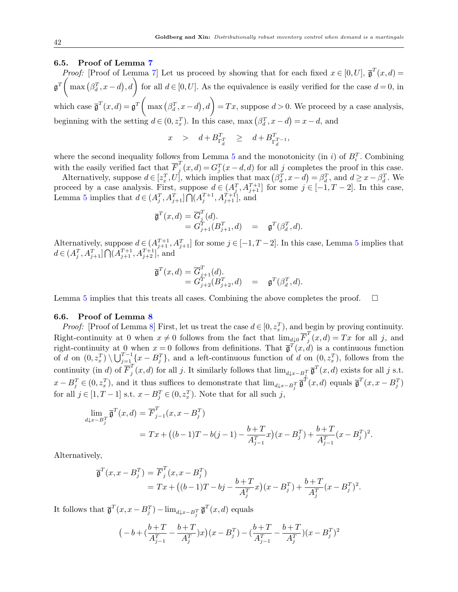## 6.5. Proof of Lemma [7](#page-18-3)

*Proof:* [Proof of Lemma [7\]](#page-18-3) Let us proceed by showing that for each fixed  $x \in [0, U]$ ,  $\overline{\mathfrak{g}}^T(x, d) =$  $\mathfrak{g}^T\left(\max\left(\beta_d^T,x-d\right),d\right)$  for all  $d\in[0,U]$ . As the equivalence is easily verified for the case  $d=0$ , in which case  $\bar{\mathfrak{g}}^T(x,d) = \mathfrak{g}^T\left(\max\left(\beta_d^T, x-d\right), d\right) = Tx$ , suppose  $d > 0$ . We proceed by a case analysis, beginning with the setting  $d \in (0, z_x^T)$ . In this case, max  $(\beta_d^T, x - d) = x - d$ , and

$$
x \quad > \quad d + B_{\Gamma_d^T}^T \quad \geq \quad d + B_{\Gamma_d^{T-1}}^T,
$$

where the second inequality follows from Lemma [5](#page-18-4) and the monotonicity (in i) of  $B_i^T$ . Combining with the easily verified fact that  $\overline{F}_i^T$  $j(x,d) = G_j^T(x-d,d)$  for all j completes the proof in this case.

Alternatively, suppose  $d \in [z_x^T, U]$ , which implies that  $\max(\beta_d^T, x - d) = \beta_d^T$ , and  $d \geq x - \beta_d^T$ . We proceed by a case analysis. First, suppose  $d \in (A_j^T, A_{j+1}^{T+1}]$  for some  $j \in [-1, T-2]$ . In this case, Lemma [5](#page-18-4) implies that  $d \in (A_j^T, A_{j+1}^T] \bigcap (A_j^{T+1}, A_{j+1}^{T+1}],$  and

$$
\begin{array}{rcl}\n\overline{\mathfrak{g}}^T(x,d) & = \overline{G}_j^T(d). \\
& = G_{j+1}^T(B_{j+1}^T,d) & = & \mathfrak{g}^T(\beta_d^T,d).\n\end{array}
$$

Alternatively, suppose  $d \in (A_{j+1}^{T+1}, A_{j+1}^{T}]$  for some  $j \in [-1, T-2]$ . In this case, Lemma [5](#page-18-4) implies that  $d \in (A_j^T, A_{j+1}^T] \bigcap (A_{j+1}^{T+1}, A_{j+2}^{T+1}],$  and

$$
\begin{array}{lll} \overline{\mathfrak{g}}^T(x,d) = \overline{G}^T_{j+1}(d). \\ & = G^T_{j+2}(B^T_{j+2},d) & = & \mathfrak{g}^T(\beta^T_d,d). \end{array}
$$

Lemma [5](#page-18-4) implies that this treats all cases. Combining the above completes the proof.  $\Box$ 

## 6.6. Proof of Lemma [8](#page-18-5)

*Proof:* [Proof of Lemma [8\]](#page-18-5) First, let us treat the case  $d \in [0, z_x^T)$ , and begin by proving continuity. Right-continuity at 0 when  $x \neq 0$  follows from the fact that  $\lim_{d \downarrow 0} \overline{F}_i^T$  $j(x,d) = Tx$  for all j, and right-continuity at 0 when  $x = 0$  follows from definitions. That  $\bar{g}^T(x, d)$  is a continuous function of d on  $(0, z_x^T) \setminus \bigcup_{j=1}^{T-1} \{x - B_j^T\}$ , and a left-continuous function of d on  $(0, z_x^T)$ , follows from the continuity (in d) of  $\overline{F}_i^T$  $j^T(x,d)$  for all j. It similarly follows that  $\lim_{d\downarrow x-B_j^T}\overline{\mathfrak{g}}^T(x,d)$  exists for all j s.t.  $x - B_j^T \in (0, z_x^T)$ , and it thus suffices to demonstrate that  $\lim_{d \downarrow x - B_j^T} \overline{\mathfrak{g}}^T(x, d)$  equals  $\overline{\mathfrak{g}}^T(x, x - B_j^T)$ for all  $j \in [1, T-1]$  s.t.  $x - B_j^T \in (0, z_x^T)$ . Note that for all such j,

$$
\lim_{d \downarrow x - B_j^T} \overline{\mathfrak{g}}^T(x, d) = \overline{F}_{j-1}^T(x, x - B_j^T)
$$
  
=  $Tx + ((b-1)T - b(j-1) - \frac{b+T}{A_{j-1}^T}x)(x - B_j^T) + \frac{b+T}{A_{j-1}^T}(x - B_j^T)^2$ .

Alternatively,

$$
\overline{\mathfrak{g}}^T(x, x - B_j^T) = \overline{F}_j^T(x, x - B_j^T) \n= Tx + ((b-1)T - bj - \frac{b+T}{A_j^T}x)(x - B_j^T) + \frac{b+T}{A_j^T}(x - B_j^T)^2.
$$

It follows that  $\overline{\mathfrak{g}}^T(x, x - B_j^T) - \lim_{d \downarrow x - B_j^T} \overline{\mathfrak{g}}^T(x, d)$  equals

$$
\left(-b + \left(\frac{b+T}{A_{j-1}^T} - \frac{b+T}{A_j^T}\right)x\right)(x - B_j^T) - \left(\frac{b+T}{A_{j-1}^T} - \frac{b+T}{A_j^T}\right)(x - B_j^T)^2
$$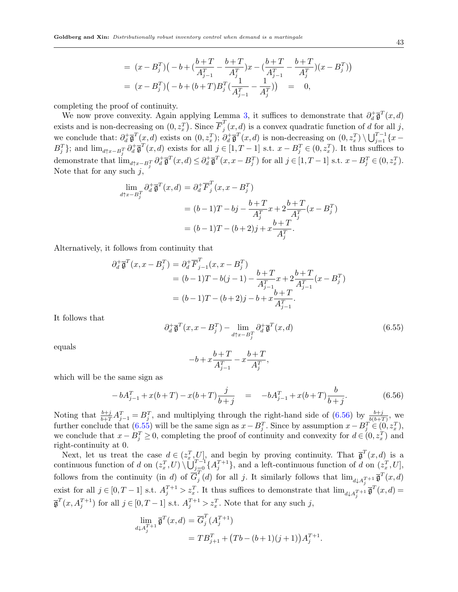$$
= (x - B_j^T)(-b + (\frac{b+T}{A_{j-1}^T} - \frac{b+T}{A_j^T})x - (\frac{b+T}{A_{j-1}^T} - \frac{b+T}{A_j^T})(x - B_j^T))
$$
  

$$
= (x - B_j^T)(-b + (b+T)B_j^T(\frac{1}{A_{j-1}^T} - \frac{1}{A_j^T})) = 0,
$$

completing the proof of continuity.

We now prove convexity. Again applying Lemma [3,](#page-17-0) it suffices to demonstrate that  $\partial_d^+ \overline{\mathfrak{g}}^T(x,d)$ exists and is non-decreasing on  $(0, z_x^T)$ . Since  $\overline{F}_j^T$  $j(x,d)$  is a convex quadratic function of d for all j, we conclude that:  $\partial^+_d \overline{\mathfrak{g}}^T(x,d)$  exists on  $(0,z_x^T)$ ;  $\partial^+_d \overline{\mathfrak{g}}^T(x,d)$  is non-decreasing on  $(0,z_x^T) \setminus \bigcup_{j=1}^{T-1} \{x-\overline{\mathfrak{g}}^T(x,d)\}$  $B_j^T$ ; and  $\lim_{d\uparrow x-B_j^T} \partial_d^+ \overline{\mathfrak{g}}^T(x,d)$  exists for all  $j \in [1, T-1]$  s.t.  $x-B_j^T \in (0, z_x^T)$ . It thus suffices to demonstrate that  $\lim_{d\uparrow x-B_j^T} \partial_d^+ \overline{\mathfrak{g}}^T(x,d) \leq \partial_d^+ \overline{\mathfrak{g}}^T(x,x-B_j^T)$  for all  $j \in [1, T-1]$  s.t.  $x-B_j^T \in (0, z_x^T)$ . Note that for any such  $j$ ,

$$
\lim_{d \uparrow x - B_j^T} \partial_d^+ \overline{\mathfrak{g}}^T(x, d) = \partial_d^+ \overline{F}_j^T(x, x - B_j^T)
$$
  
=  $(b - 1)T - bj - \frac{b + T}{A_j^T} x + 2 \frac{b + T}{A_j^T} (x - B_j^T)$   
=  $(b - 1)T - (b + 2)j + x \frac{b + T}{A_j^T}.$ 

Alternatively, it follows from continuity that

$$
\partial_d^+ \overline{\mathfrak{g}}^T(x, x - B_j^T) = \partial_d^+ \overline{F}_{j-1}^T(x, x - B_j^T)
$$
  
=  $(b-1)T - b(j-1) - \frac{b+T}{A_{j-1}^T}x + 2\frac{b+T}{A_{j-1}^T}(x - B_j^T)$   
=  $(b-1)T - (b+2)j - b + x\frac{b+T}{A_{j-1}^T}$ .

It follows that

<span id="page-42-1"></span>
$$
\partial_d^+ \overline{\mathfrak{g}}^T(x, x - B_j^T) - \lim_{d \uparrow x - B_j^T} \partial_d^+ \overline{\mathfrak{g}}^T(x, d) \tag{6.55}
$$

equals

$$
-b+x\frac{b+T}{A_{j-1}^T}-x\frac{b+T}{A_j^T},
$$

which will be the same sign as

<span id="page-42-0"></span>
$$
-bA_{j-1}^T + x(b+T) - x(b+T)\frac{j}{b+j} = -bA_{j-1}^T + x(b+T)\frac{b}{b+j}.
$$
 (6.56)

Noting that  $\frac{b+j}{b+T}A_{j-1}^T = B_j^T$ , and multiplying through the right-hand side of [\(6.56\)](#page-42-0) by  $\frac{b+j}{b(b+T)}$ , we further conclude that  $(6.55)$  will be the same sign as  $x - B_j^T$ . Since by assumption  $x - B_j^T \in (0, z_x^T)$ , we conclude that  $x - B_j^T \geq 0$ , completing the proof of continuity and convexity for  $d \in (0, z_x^T)$  and right-continuity at 0.

Next, let us treat the case  $d \in (z_x^T, U]$ , and begin by proving continuity. That  $\bar{\mathfrak{g}}^T(x, d)$  is a continuous function of d on  $(z_x^T, U) \setminus \bigcup_{j=0}^{T-1} \{A_j^{T+1}\}\,$  and a left-continuous function of d on  $(z_x^T, U)$ , follows from the continuity (in d) of  $\overline{G}_i^T$  $j(d)$  for all j. It similarly follows that  $\lim_{d\downarrow A_j^{T+1}} \overline{\mathfrak{g}}^T(x,d)$ exist for all  $j \in [0, T-1]$  s.t.  $A_j^{T+1} > z_x^T$ . It thus suffices to demonstrate that  $\lim_{d \downarrow A_j^{T+1}} \overline{\mathfrak{g}}^T(x, d) =$  $\overline{\mathfrak{g}}^T(x, A_j^{T+1})$  for all  $j \in [0, T-1]$  s.t.  $A_j^{T+1} > z_x^T$ . Note that for any such j,

$$
\lim_{d \downarrow A_j^{T+1}} \overline{\mathfrak{g}}^T(x, d) = \overline{G}_j^T (A_j^{T+1})
$$
  
= 
$$
TB_{j+1}^T + (Tb - (b+1)(j+1))A_j^{T+1}.
$$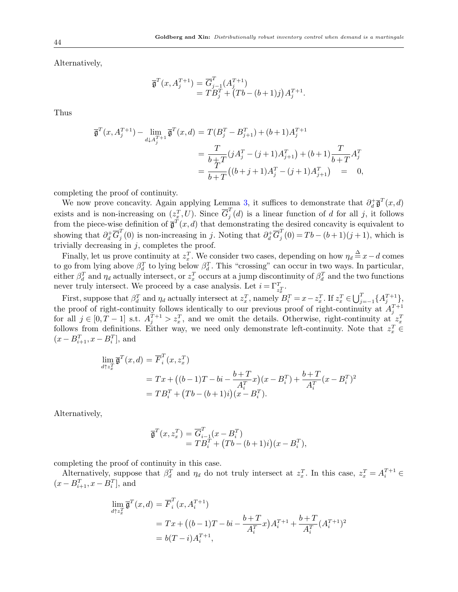Alternatively,

$$
\overline{\mathfrak{g}}^T(x, A_j^{T+1}) = \overline{G}_{j-1}^T(A_j^{T+1}) \n= TB_j^T + (Tb - (b+1)j) A_j^{T+1}.
$$

Thus

$$
\overline{\mathfrak{g}}^T(x, A_j^{T+1}) - \lim_{d \downarrow A_j^{T+1}} \overline{\mathfrak{g}}^T(x, d) = T(B_j^T - B_{j+1}^T) + (b+1)A_j^{T+1}
$$
\n
$$
= \frac{T}{b+T} (jA_j^T - (j+1)A_{j+1}^T) + (b+1)\frac{T}{b+T}A_j^T
$$
\n
$$
= \frac{T}{b+T} ((b+j+1)A_j^T - (j+1)A_{j+1}^T) = 0,
$$

completing the proof of continuity.

We now prove concavity. Again applying Lemma [3,](#page-17-0) it suffices to demonstrate that  $\partial_d^+ \overline{\mathfrak{g}}^T(x,d)$ exists and is non-increasing on  $(z_x^T, U)$ . Since  $\overline{G}_j^T$  $j(d)$  is a linear function of d for all j, it follows from the piece-wise definition of  $\bar{\mathfrak{g}}^T(x,d)$  that demonstrating the desired concavity is equivalent to showing that  $\partial_d^+ \overline{G}_j^T$  $j^T(0)$  is non-increasing in j. Noting that  $\partial_d^+\overline{G}_j^T$  $j(0) = Tb - (b+1)(j+1)$ , which is trivially decreasing in  $j$ , completes the proof.

Finally, let us prove continuity at  $z_x^T$ . We consider two cases, depending on how  $\eta_d \stackrel{\Delta}{=} x-d$  comes to go from lying above  $\beta_d^T$  to lying below  $\beta_d^T$ . This "crossing" can occur in two ways. In particular, either  $\beta_d^T$  and  $\eta_d$  actually intersect, or  $z_x^T$  occurs at a jump discontinuity of  $\beta_d^T$  and the two functions never truly intersect. We proceed by a case analysis. Let  $i = \Gamma_{z_x}^T$ .

First, suppose that  $\beta_d^T$  and  $\eta_d$  actually intersect at  $z_x^T$ , namely  $B_i^T = x - z_x^T$ . If  $z_x^T \in \bigcup_{j=-1}^T \{A_j^{T+1}\},$ the proof of right-continuity follows identically to our previous proof of right-continuity at  $A_j^{T+1}$  for all  $j \in [0, T-1]$  s.t.  $A_j^{T+1} > z_x^T$ , and we omit the details. Otherwise, right-continuity at  $z_x^T$ follows from definitions. Either way, we need only demonstrate left-continuity. Note that  $z_x^T$  $(x - B_{i+1}^T, x - B_i^T]$ , and

$$
\lim_{d \uparrow z_x^T} \overline{\mathfrak{g}}^T(x, d) = \overline{F}_i^T(x, z_x^T)
$$
\n
$$
= Tx + ((b-1)T - bi - \frac{b+T}{A_i^T}x)(x - B_i^T) + \frac{b+T}{A_i^T}(x - B_i^T)^2
$$
\n
$$
= TB_i^T + (Tb - (b+1)i)(x - B_i^T).
$$

Alternatively,

$$
\overline{\mathfrak{g}}^T(x, z_x^T) = \overline{G}_{i-1}^T(x - B_i^T) \n= TB_i^T + (Tb - (b+1)i)(x - B_i^T),
$$

completing the proof of continuity in this case.

Alternatively, suppose that  $\beta_d^T$  and  $\eta_d$  do not truly intersect at  $z_x^T$ . In this case,  $z_x^T = A_i^{T+1}$  $(x - B_{i+1}^T, x - B_i^T]$ , and

$$
\lim_{d \uparrow z_x^T} \overline{\mathfrak{g}}^T(x, d) = \overline{F}_i^T(x, A_i^{T+1})
$$
\n
$$
= Tx + ((b-1)T - bi - \frac{b+T}{A_i^T}x)A_i^{T+1} + \frac{b+T}{A_i^T}(A_i^{T+1})^2
$$
\n
$$
= b(T-i)A_i^{T+1},
$$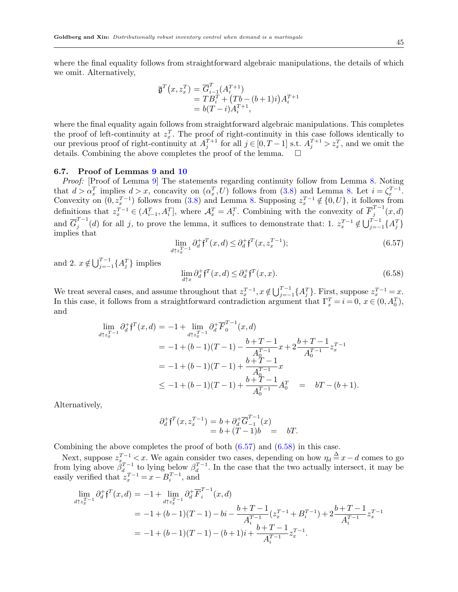where the final equality follows from straightforward algebraic manipulations, the details of which we omit. Alternatively,

$$
\overline{\mathfrak{g}}^T(x, z_x^T) = \overline{G}_{i-1}^T (A_i^{T+1}) \n= TB_i^T + (Tb - (b+1)i) A_i^{T+1} \n= b(T-i) A_i^{T+1},
$$

where the final equality again follows from straightforward algebraic manipulations. This completes the proof of left-continuity at  $z_x^T$ . The proof of right-continuity in this case follows identically to our previous proof of right-continuity at  $A_j^{T+1}$  for all  $j \in [0, T-1]$  s.t.  $A_j^{T+1} > z_x^T$ , and we omit the details. Combining the above completes the proof of the lemma.  $\Box$ 

# 6.7. Proof of Lemmas [9](#page-19-0) and [10](#page-19-1)

Proof: [Proof of Lemma [9\]](#page-19-0) The statements regarding continuity follow from Lemma [8.](#page-18-5) Noting that  $d > \alpha_x^T$  implies  $d > x$ , concavity on  $(\alpha_x^T, U)$  follows from [\(3.8\)](#page-18-0) and Lemma [8.](#page-18-5) Let  $i = \zeta_x^{T-1}$ . Convexity on  $(0, z_x^{T-1})$  follows from  $(3.8)$  and Lemma [8.](#page-18-5) Supposing  $z_x^{T-1} \notin \{0, U\}$ , it follows from definitions that  $z_x^{T-1} \in (A_{i-1}^T, A_i^T]$ , where  $\mathcal{A}_x^T = A_i^T$ . Combining with the convexity of  $\overline{F}_j^{T-1}$  $\int_{j}^{1} (x, d)$ and  $\overline{G}_i^{T-1}$  $j^{T-1}(d)$  for all j, to prove the lemma, it suffices to demonstrate that: 1.  $z_x^{T-1} \notin \bigcup_{j=-1}^{T-1} \{A_j^T\}$ implies that

<span id="page-44-0"></span>
$$
\lim_{d \uparrow z_x^{T-1}} \partial_d^+ f^T(x, d) \le \partial_d^+ f^T(x, z_x^{T-1});\tag{6.57}
$$

and 2.  $x \notin \bigcup_{j=-1}^{T-1} \{A_j^T\}$  implies

<span id="page-44-1"></span>
$$
\lim_{d \uparrow x} \partial_d^+ f^T(x, d) \le \partial_d^+ f^T(x, x). \tag{6.58}
$$

We treat several cases, and assume throughout that  $z_x^{T-1}$ ,  $x \notin \bigcup_{j=-1}^{T-1} \{A_j^T\}$ . First, suppose  $z_x^{T-1} = x$ . In this case, it follows from a straightforward contradiction argument that  $\Gamma_x^T = i = 0, x \in (0, A_0^T)$ , and

$$
\lim_{d \uparrow z_x^{T-1}} \partial_d^+ f^T(x, d) = -1 + \lim_{d \uparrow z_x^{T-1}} \partial_d^+ \overline{F}_0^{T-1}(x, d)
$$
\n
$$
= -1 + (b - 1)(T - 1) - \frac{b + T - 1}{A_0^{T-1}} x + 2 \frac{b + T - 1}{A_0^{T-1}} z_x^{T-1}
$$
\n
$$
= -1 + (b - 1)(T - 1) + \frac{b + T - 1}{A_0^{T-1}} x
$$
\n
$$
\leq -1 + (b - 1)(T - 1) + \frac{b + T - 1}{A_0^{T-1}} A_0^T = bT - (b + 1).
$$

Alternatively,

$$
\partial_d^+ \mathfrak{f}^T(x, z_x^{T-1}) = b + \partial_d^+ \overline{G}_{-1}^{T-1}(x) \n= b + (T-1)b = bT.
$$

Combining the above completes the proof of both  $(6.57)$  and  $(6.58)$  in this case.

Next, suppose  $z_{x}^{T-1}$  < x. We again consider two cases, depending on how  $\eta_d \stackrel{\Delta}{=} x-d$  comes to go from lying above  $\beta_d^{T-1}$  to lying below  $\beta_d^{T-1}$ . In the case that the two actually intersect, it may be easily verified that  $z_x^{T-1} = x - B_i^{T-1}$ , and

$$
\lim_{d \uparrow z_x^{T-1}} \partial_d^+ f^T(x, d) = -1 + \lim_{d \uparrow z_x^{T-1}} \partial_d^+ \overline{F}_i^{T-1}(x, d)
$$
\n
$$
= -1 + (b - 1)(T - 1) - bi - \frac{b + T - 1}{A_i^{T-1}} (z_x^{T-1} + B_i^{T-1}) + 2 \frac{b + T - 1}{A_i^{T-1}} z_x^{T-1}
$$
\n
$$
= -1 + (b - 1)(T - 1) - (b + 1)i + \frac{b + T - 1}{A_i^{T-1}} z_x^{T-1}.
$$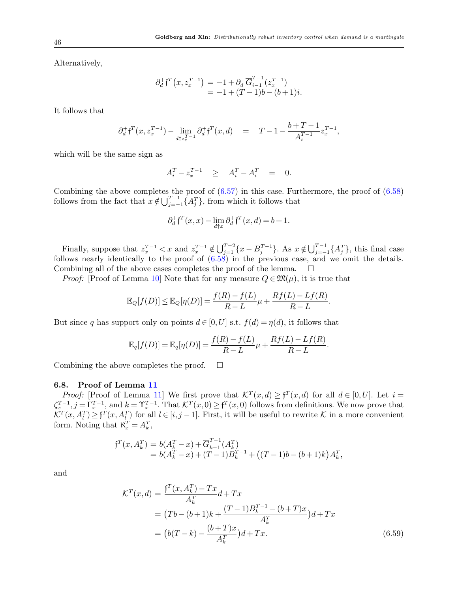Alternatively,

$$
\partial_d^+ f^T(x, z_x^{T-1}) = -1 + \partial_d^+ \overline{G}_{i-1}^{T-1}(z_x^{T-1}) \n= -1 + (T-1)b - (b+1)i.
$$

It follows that

$$
\partial^{+}_{d}\mathfrak{f}^{T}(x,z_{x}^{T-1})-\lim_{d\uparrow z_{x}^{T-1}}\partial^{+}_{d}\mathfrak{f}^{T}(x,d)\quad =\quad T-1-\frac{b+T-1}{A_{i}^{T-1}}z_{x}^{T-1},
$$

which will be the same sign as

$$
A_i^T - z_x^{T-1} \quad \geq \quad A_i^T - A_i^T \quad = \quad 0.
$$

Combining the above completes the proof of [\(6.57\)](#page-44-0) in this case. Furthermore, the proof of [\(6.58\)](#page-44-1) follows from the fact that  $x \notin \bigcup_{j=-1}^{T-1} \{A_j^T\}$ , from which it follows that

$$
\partial_d^+ \mathfrak{f}^T(x,x) - \lim_{d \uparrow x} \partial_d^+ \mathfrak{f}^T(x,d) = b+1.
$$

Finally, suppose that  $z_x^{T-1} < x$  and  $z_x^{T-1} \notin \bigcup_{j=1}^{T-2} \{x - B_j^{T-1}\}\$ . As  $x \notin \bigcup_{j=-1}^{T-1} \{A_j^T\}$ , this final case follows nearly identically to the proof of [\(6.58\)](#page-44-1) in the previous case, and we omit the details. Combining all of the above cases completes the proof of the lemma.  $\Box$ 

*Proof:* [Proof of Lemma [10\]](#page-19-1) Note that for any measure  $Q \in \mathfrak{M}(\mu)$ , it is true that

$$
\mathbb{E}_Q[f(D)] \leq \mathbb{E}_Q[\eta(D)] = \frac{f(R) - f(L)}{R - L}\mu + \frac{Rf(L) - Lf(R)}{R - L}.
$$

But since q has support only on points  $d \in [0, U]$  s.t.  $f(d) = \eta(d)$ , it follows that

$$
\mathbb{E}_q[f(D)] = \mathbb{E}_q[\eta(D)] = \frac{f(R) - f(L)}{R - L}\mu + \frac{Rf(L) - Lf(R)}{R - L}.
$$

Combining the above completes the proof.  $\Box$ 

#### 6.8. Proof of Lemma [11](#page-20-1)

*Proof:* [Proof of Lemma [11\]](#page-20-1) We first prove that  $\mathcal{K}^T(x,d) \geq f^T(x,d)$  for all  $d \in [0,U]$ . Let  $i =$  $\zeta_x^{T-1}, j = \Gamma_x^{T-1}$ , and  $k = \Upsilon_x^{T-1}$ . That  $\mathcal{K}^T(x,0) \geq \mathfrak{f}^T(x,0)$  follows from definitions. We now prove that  $\mathcal{K}^T(x, A_l^T) \geq \mathfrak{f}^T(x, A_l^T)$  for all  $l \in [i, j-1]$ . First, it will be useful to rewrite K in a more convenient form. Noting that  $\aleph_x^T = A_k^T$ ,

$$
\begin{aligned} \mathfrak{f}^T(x, A_k^T) &= b(A_k^T - x) + \overline{G}_{k-1}^{T-1}(A_k^T) \\ &= b(A_k^T - x) + (T-1)B_k^{T-1} + \left( (T-1)b - (b+1)k \right) A_k^T, \end{aligned}
$$

and

<span id="page-45-0"></span>
$$
\mathcal{K}^{T}(x,d) = \frac{\mathfrak{f}^{T}(x, A_{k}^{T}) - Tx}{A_{k}^{T}} d + Tx
$$
  
=  $(Tb - (b+1)k + \frac{(T-1)B_{k}^{T-1} - (b+T)x}{A_{k}^{T}})d + Tx$   
=  $(b(T-k) - \frac{(b+T)x}{A_{k}^{T}})d + Tx.$  (6.59)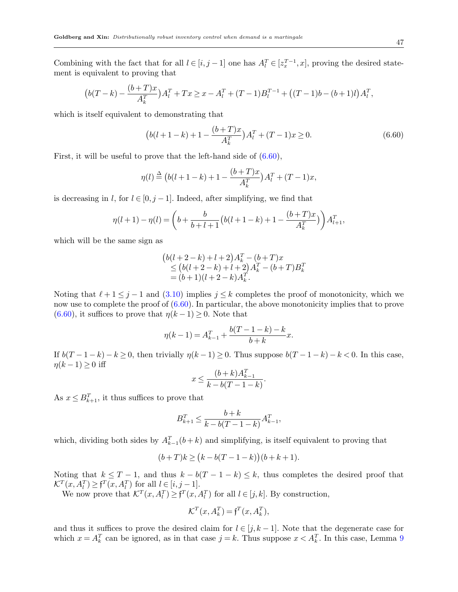$$
(b(T-k)-\frac{(b+T)x}{A_k^T})A_l^T+Tx\geq x-A_l^T+(T-1)B_l^{T-1}+\big((T-1)b-(b+1)l\big)A_l^T,
$$

which is itself equivalent to demonstrating that

<span id="page-46-0"></span>
$$
(b(l+1-k)+1-\frac{(b+T)x}{A_k^T})A_l^T + (T-1)x \ge 0.
$$
\n(6.60)

First, it will be useful to prove that the left-hand side of  $(6.60)$ ,

$$
\eta(l) \stackrel{\Delta}{=} (b(l+1-k)+1-\frac{(b+T)x}{A_k^T})A_l^T + (T-1)x,
$$

is decreasing in l, for  $l \in [0, j-1]$ . Indeed, after simplifying, we find that

$$
\eta(l+1) - \eta(l) = \left(b + \frac{b}{b+l+1} \left(b(l+1-k) + 1 - \frac{(b+T)x}{A_k^T}\right)\right) A_{l+1}^T,
$$

which will be the same sign as

$$
(b(l+2-k)+l+2)A_k^T - (b+T)x
$$
  
\n
$$
\leq (b(l+2-k)+l+2)A_k^T - (b+T)B_k^T
$$
  
\n
$$
= (b+1)(l+2-k)A_k^T.
$$

Noting that  $\ell + 1 \leq j - 1$  and [\(3.10\)](#page-19-6) implies  $j \leq k$  completes the proof of monotonicity, which we now use to complete the proof of  $(6.60)$ . In particular, the above monotonicity implies that to prove  $(6.60)$ , it suffices to prove that  $\eta(k-1) \geq 0$ . Note that

$$
\eta(k-1) = A_{k-1}^T + \frac{b(T-1-k) - k}{b+k}x.
$$

If  $b(T-1-k)-k\geq 0$ , then trivially  $\eta(k-1)\geq 0$ . Thus suppose  $b(T-1-k)-k<0$ . In this case,  $\eta(k-1) \geq 0$  iff

$$
x \le \frac{(b+k)A_{k-1}^T}{k - b(T - 1 - k)}.
$$

As  $x \leq B_{k+1}^T$ , it thus suffices to prove that

$$
B_{k+1}^T \le \frac{b+k}{k-b(T-1-k)}A_{k-1}^T,
$$

which, dividing both sides by  $A_{k-1}^T(b+k)$  and simplifying, is itself equivalent to proving that

$$
(b+T)k\geq \big(k-b(T-1-k)\big)\big(b+k+1).
$$

Noting that  $k \leq T-1$ , and thus  $k - b(T - 1 - k) \leq k$ , thus completes the desired proof that  $\mathcal{K}^T(x, A_l^T) \geq \mathfrak{f}^T(x, A_l^T)$  for all  $l \in [i, j-1]$ .

We now prove that  $\mathcal{K}^T(x, A_l^T) \geq \mathfrak{f}^T(x, A_l^T)$  for all  $l \in [j, k]$ . By construction,

$$
\mathcal{K}^T(x, A_k^T) = \mathbf{f}^T(x, A_k^T),
$$

and thus it suffices to prove the desired claim for  $l \in [j, k-1]$ . Note that the degenerate case for which  $x = A_k^T$  can be ignored, as in that case  $j = k$ . Thus suppose  $x < A_k^T$ . In this case, Lemma [9](#page-19-0)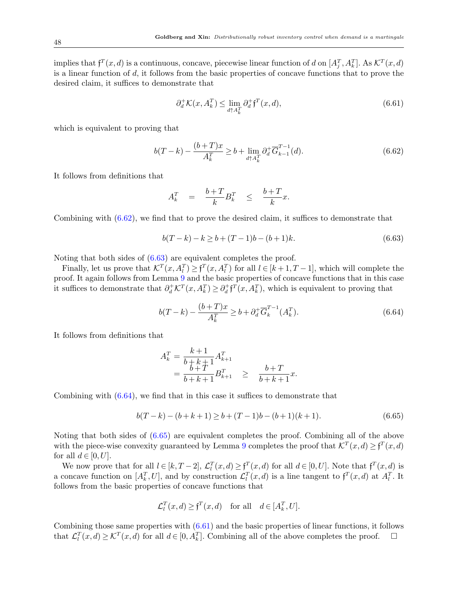implies that  $f^T(x,d)$  is a continuous, concave, piecewise linear function of d on  $[A_j^T, A_k^T]$ . As  $\mathcal{K}^T(x,d)$ is a linear function of  $d$ , it follows from the basic properties of concave functions that to prove the desired claim, it suffices to demonstrate that

<span id="page-47-4"></span>
$$
\partial_d^+ \mathcal{K}(x, A_k^T) \le \lim_{d \uparrow A_k^T} \partial_d^+ \mathfrak{f}^T(x, d), \tag{6.61}
$$

which is equivalent to proving that

<span id="page-47-0"></span>
$$
b(T-k) - \frac{(b+T)x}{A_k^T} \ge b + \lim_{d \uparrow A_k^T} \partial_d^+ \overline{G}_{k-1}^{T-1}(d). \tag{6.62}
$$

It follows from definitions that

$$
A_k^T = \frac{b+T}{k}B_k^T \le \frac{b+T}{k}x.
$$

Combining with [\(6.62\)](#page-47-0), we find that to prove the desired claim, it suffices to demonstrate that

<span id="page-47-1"></span>
$$
b(T-k) - k \ge b + (T-1)b - (b+1)k. \tag{6.63}
$$

Noting that both sides of [\(6.63\)](#page-47-1) are equivalent completes the proof.

Finally, let us prove that  $\mathcal{K}^T(x, A_l^T) \geq \mathfrak{f}^T(x, A_l^T)$  for all  $l \in [k+1, T-1]$ , which will complete the proof. It again follows from Lemma [9](#page-19-0) and the basic properties of concave functions that in this case it suffices to demonstrate that  $\partial_d^+ \mathcal{K}^T(x, A_k^T) \geq \partial_d^+ \mathfrak{f}^T(x, A_k^T)$ , which is equivalent to proving that

<span id="page-47-2"></span>
$$
b(T-k) - \frac{(b+T)x}{A_k^T} \ge b + \partial_d^+ \overline{G}_k^{T-1}(A_k^T). \tag{6.64}
$$

It follows from definitions that

$$
A_k^T = \frac{k+1}{b+k+1} A_{k+1}^T
$$
  
= 
$$
\frac{b+T}{b+k+1} B_{k+1}^T \ge \frac{b+T}{b+k+1} x.
$$

Combining with [\(6.64\)](#page-47-2), we find that in this case it suffices to demonstrate that

<span id="page-47-3"></span>
$$
b(T-k) - (b+k+1) \ge b + (T-1)b - (b+1)(k+1). \tag{6.65}
$$

Noting that both sides of [\(6.65\)](#page-47-3) are equivalent completes the proof. Combining all of the above with the piece-wise convexity guaranteed by Lemma [9](#page-19-0) completes the proof that  $\mathcal{K}^T(x,d) \geq \mathfrak{f}^T(x,d)$ for all  $d \in [0, U]$ .

We now prove that for all  $l \in [k, T-2]$ ,  $\mathcal{L}_l^T(x, d) \geq \mathfrak{f}^T(x, d)$  for all  $d \in [0, U]$ . Note that  $\mathfrak{f}^T(x, d)$  is a concave function on  $[A_k^T, U]$ , and by construction  $\mathcal{L}_l^T(x, d)$  is a line tangent to  $f^T(x, d)$  at  $A_l^T$ . It follows from the basic properties of concave functions that

$$
\mathcal{L}_l^T(x,d) \ge \mathfrak{f}^T(x,d) \quad \text{for all} \quad d \in [A_k^T, U].
$$

Combining those same properties with [\(6.61\)](#page-47-4) and the basic properties of linear functions, it follows that  $\mathcal{L}_l^T(x, d) \geq \mathcal{K}^T(x, d)$  for all  $d \in [0, A_k^T]$ . Combining all of the above completes the proof.  $\Box$